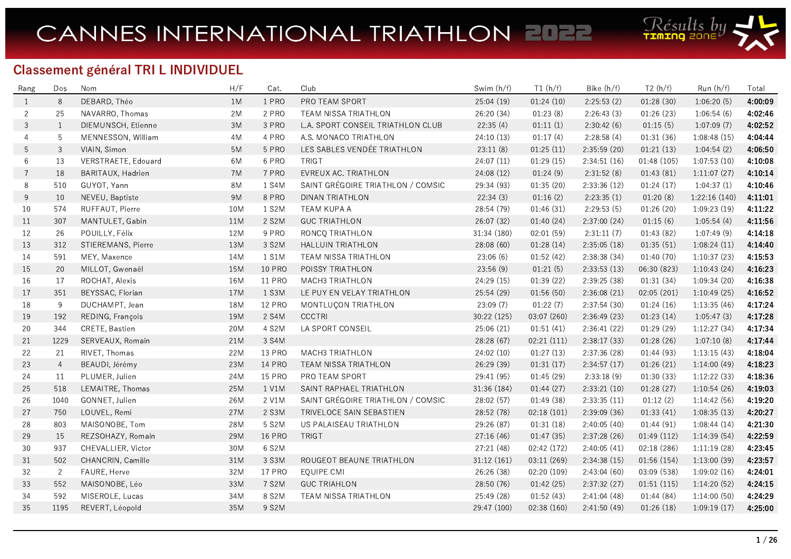

## Classement général TRI L INDIVIDUEL

| Rang           | Dos            | Nom                 | H/F       | Cat.          | Club                              | Swim (h/f)  | T1(h/f)     | Bike (h/f)   | T2(h/f)     | Run(h/f)      | Total   |
|----------------|----------------|---------------------|-----------|---------------|-----------------------------------|-------------|-------------|--------------|-------------|---------------|---------|
| 1              | 8              | DEBARD, Théo        | 1M        | 1 PRO         | PRO TEAM SPORT                    | 25:04(19)   | 01:24(10)   | 2:25:53(2)   | 01:28(30)   | 1:06:20(5)    | 4:00:09 |
| $\overline{2}$ | 25             | NAVARRO, Thomas     | 2M        | 2 PRO         | TEAM NISSA TRIATHLON              | 26:20 (34)  | 01:23(8)    | 2:26:43(3)   | 01:26(23)   | 1:06:54(6)    | 4:02:46 |
| 3              | $\mathbf{1}$   | DIEMUNSCH, Etienne  | 3M        | 3 PRO         | L.A. SPORT CONSEIL TRIATHLON CLUB | 22:35(4)    | 01:11(1)    | 2:30:42(6)   | 01:15(5)    | 1:07:09(7)    | 4:02:52 |
| 4              | 5              | MENNESSON, William  | 4M        | 4 PRO         | A.S. MONACO TRIATHLON             | 24:10 (13)  | 01:17(4)    | 2:28:58(4)   | 01:31(36)   | 1:08:48(15)   | 4:04:44 |
| 5              | 3              | VIAIN, Simon        | 5M        | 5 PRO         | LES SABLES VENDÉE TRIATHLON       | 23:11(8)    | 01:25(11)   | 2:35:59 (20) | 01:21(13)   | 1:04:54(2)    | 4:06:50 |
| 6              | 13             | VERSTRAETE, Edouard | 6M        | 6 PRO         | <b>TRIGT</b>                      | 24:07(11)   | 01:29(15)   | 2:34:51(16)  | 01:48 (105) | 1:07:53(10)   | 4:10:08 |
| $\overline{7}$ | 18             | BARITAUX, Hadrien   | 7M        | 7 PRO         | EVREUX AC. TRIATHLON              | 24:08 (12)  | 01:24(9)    | 2:31:52(8)   | 01:43(81)   | 1:11:07(27)   | 4:10:14 |
| 8              | 510            | GUYOT, Yann         | <b>8M</b> | 1 S4M         | SAINT GRÉGOIRE TRIATHLON / COMSIC | 29:34 (93)  | 01:35(20)   | 2:33:36 (12) | 01:24(17)   | 1:04:37(1)    | 4:10:46 |
| 9              | 10             | NEVEU, Baptiste     | 9M        | 8 PRO         | DINAN TRIATHLON                   | 22:34(3)    | 01:16(2)    | 2:23:35(1)   | 01:20(8)    | 1:22:16 (140) | 4:11:01 |
| 10             | 574            | RUFFAUT, Pierre     | 10M       | 1 S2M         | TEAM KUPA A                       | 28:54 (79)  | 01:46(31)   | 2:29:53(5)   | 01:26(20)   | 1:09:23(19)   | 4:11:22 |
| 11             | 307            | MANTULET, Gabin     | 11M       | 2 S2M         | <b>GUC TRIATHLON</b>              | 26:07 (32)  | 01:40(24)   | 2:37:00 (24) | 01:15(6)    | 1:05:54(4)    | 4:11:56 |
| 12             | 26             | POUILLY, Félix      | 12M       | 9 PRO         | RONCQ TRIATHLON                   | 31:34 (180) | 02:01 (59)  | 2:31:11(7)   | 01:43(82)   | 1:07:49(9)    | 4:14:18 |
| 13             | 312            | STIEREMANS, Pierre  | 13M       | 3 S2M         | <b>HALLUIN TRIATHLON</b>          | 28:08(60)   | 01:28(14)   | 2:35:05(18)  | 01:35(51)   | 1:08:24(11)   | 4:14:40 |
| 14             | 591            | MEY, Maxence        | 14M       | 1 S1M         | TEAM NISSA TRIATHLON              | 23:06(6)    | 01:52(42)   | 2:38:38(34)  | 01:40(70)   | 1:10:37(23)   | 4:15:53 |
| 15             | 20             | MILLOT, Gwenaël     | 15M       | <b>10 PRO</b> | POISSY TRIATHLON                  | 23:56(9)    | 01:21(5)    | 2:33:53(13)  | 06:30 (823) | 1:10:43(24)   | 4:16:23 |
| 16             | 17             | ROCHAT, Alexis      | 16M       | <b>11 PRO</b> | <b>MACH3 TRIATHLON</b>            | 24:29(15)   | 01:39(22)   | 2:39:25 (38) | 01:31(34)   | 1:09:34(20)   | 4:16:38 |
| 17             | 351            | BEYSSAC, Florian    | 17M       | 1 S3M         | LE PUY EN VELAY TRIATHLON         | 25:54 (29)  | 01:56 (50)  | 2:36:08(21)  | 02:05(201)  | 1:10:49(25)   | 4:16:52 |
| 18             | $\overline{9}$ | DUCHAMPT, Jean      | 18M       | <b>12 PRO</b> | MONTLUÇON TRIATHLON               | 23:09(7)    | 01:22(7)    | 2:37:54(30)  | 01:24(16)   | 1:13:35(46)   | 4:17:24 |
| 19             | 192            | REDING, François    | 19M       | 2 S4M         | <b>CCCTRI</b>                     | 30:22 (125) | 03:07 (260) | 2:36:49(23)  | 01:23(14)   | 1:05:47(3)    | 4:17:28 |
| 20             | 344            | CRETE, Bastien      | 20M       | 4 S2M         | LA SPORT CONSEIL                  | 25:06 (21)  | 01:51(41)   | 2:36:41 (22) | 01:29(29)   | 1:12:27(34)   | 4:17:34 |
| 21             | 1229           | SERVEAUX, Romain    | 21M       | 3 S4M         |                                   | 28:28 (67)  | 02:21(111)  | 2:38:17 (33) | 01:28(26)   | 1:07:10(8)    | 4:17:44 |
| 22             | 21             | RIVET, Thomas       | 22M       | <b>13 PRO</b> | MACH3 TRIATHLON                   | 24:02(10)   | 01:27(13)   | 2:37:36 (28) | 01:44(93)   | 1:13:15(43)   | 4:18:04 |
| 23             | $\overline{4}$ | BEAUDI, Jérémy      | 23M       | <b>14 PRO</b> | TEAM NISSA TRIATHLON              | 26:29 (39)  | 01:31(17)   | 2:34:57(17)  | 01:26(21)   | 1:14:00(49)   | 4:18:23 |
| 24             | 11             | PLUMER, Julien      | 24M       | <b>15 PRO</b> | PRO TEAM SPORT                    | 29:41 (95)  | 01:45(29)   | 2:33:18(9)   | 01:30(33)   | 1:12:22(33)   | 4:18:36 |
| $25\,$         | 518            | LEMAITRE, Thomas    | 25M       | 1 V1M         | SAINT RAPHAEL TRIATHLON           | 31:36 (184) | 01:44(27)   | 2:33:21(10)  | 01:28(27)   | 1:10:54(26)   | 4:19:03 |
| 26             | 1040           | GONNET, Julien      | 26M       | 2 V1M         | SAINT GRÉGOIRE TRIATHLON / COMSIC | 28:02 (57)  | 01:49(38)   | 2:33:35(11)  | 01:12(2)    | 1:14:42(56)   | 4:19:20 |
| 27             | 750            | LOUVEL, Remi        | 27M       | 2 S3M         | TRIVELOCE SAIN SEBASTIEN          | 28:52 (78)  | 02:18(101)  | 2:39:09 (36) | 01:33(41)   | 1:08:35(13)   | 4:20:27 |
| 28             | 803            | MAISONOBE, Tom      | 28M       | 5 S2M         | US PALAISEAU TRIATHLON            | 29:26 (87)  | 01:31(18)   | 2:40:05 (40) | 01:44(91)   | 1:08:44(14)   | 4:21:30 |
| 29             | 15             | REZSOHAZY, Romain   | 29M       | <b>16 PRO</b> | TRIGT                             | 27:16 (46)  | 01:47(35)   | 2:37:28(26)  | 01:49(112)  | 1:14:39(54)   | 4:22:59 |
| 30             | 937            | CHEVALLIER, Victor  | 30M       | 6 S2M         |                                   | 27:21 (48)  | 02:42 (172) | 2:40:05(41)  | 02:18(286)  | 1:11:19(28)   | 4:23:45 |
| 31             | 502            | CHANCRIN, Camille   | 31M       | 3 S3M         | ROUGEOT BEAUNE TRIATHLON          | 31:12 (161) | 03:11 (269) | 2:34:38(15)  | 01:56(154)  | 1:13:00(39)   | 4:23:57 |
| 32             | 2              | FAURE, Herve        | 32M       | <b>17 PRO</b> | EQUIPE CMI                        | 26:26 (38)  | 02:20 (109) | 2:43:04(60)  | 03:09 (538) | 1:09:02(16)   | 4:24:01 |
| 33             | 552            | MAISONOBE, Léo      | 33M       | 7 S2M         | <b>GUC TRIAHLON</b>               | 28:50 (76)  | 01:42(25)   | 2:37:32(27)  | 01:51(115)  | 1:14:20(52)   | 4:24:15 |
| 34             | 592            | MISEROLE, Lucas     | 34M       | 8 S2M         | TEAM NISSA TRIATHLON              | 25:49 (28)  | 01:52(43)   | 2:41:04(48)  | 01:44(84)   | 1:14:00(50)   | 4:24:29 |
| 35             | 1195           | REVERT, Léopold     | 35M       | 9 S2M         |                                   | 29:47 (100) | 02:38 (160) | 2:41:50(49)  | 01:26(18)   | 1:09:19(17)   | 4:25:00 |
|                |                |                     |           |               |                                   |             |             |              |             |               |         |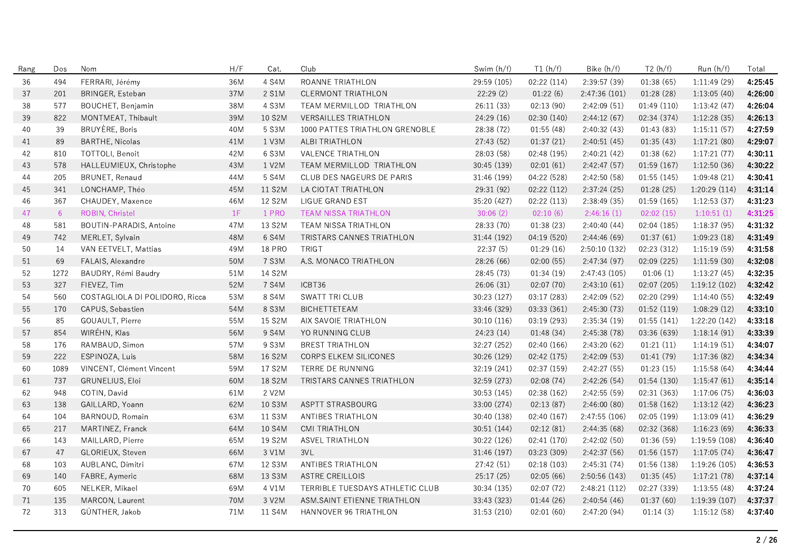| Rang | Dos  | Nom                            | H/F   | Cat.          | Club                            | Swim (h/f)  | T1(h/f)     | Bike (h/f)    | T2(h/f)     | Run (h/f)     | Total   |
|------|------|--------------------------------|-------|---------------|---------------------------------|-------------|-------------|---------------|-------------|---------------|---------|
| 36   | 494  | FERRARI, Jérémy                | 36M   | 4 S4M         | ROANNE TRIATHLON                | 29:59 (105) | 02:22(114)  | 2:39:57(39)   | 01:38(65)   | 1:11:49 (29)  | 4:25:45 |
| 37   | 201  | BRINGER, Esteban               | 37M   | 2 S1M         | CLERMONT TRIATHLON              | 22:29(2)    | 01:22(6)    | 2:47:36(101)  | 01:28(28)   | 1:13:05(40)   | 4:26:00 |
| 38   | 577  | BOUCHET, Benjamin              | 38M   | 4 S3M         | TEAM MERMILLOD TRIATHLON        | 26:11 (33)  | 02:13 (90)  | 2:42:09(51)   | 01:49(110)  | 1:13:42(47)   | 4:26:04 |
| 39   | 822  | MONTMEAT, Thibault             | 39M   | 10 S2M        | <b>VERSAILLES TRIATHLON</b>     | 24:29 (16)  | 02:30 (140) | 2:44:12(67)   | 02:34 (374) | 1:12:28(35)   | 4:26:13 |
| 40   | 39   | BRUYÈRE, Boris                 | 40M   | 5 S3M         | 1000 PATTES TRIATHLON GRENOBLE  | 28:38 (72)  | 01:55(48)   | 2:40:32(43)   | 01:43(83)   | 1:15:11(57)   | 4:27:59 |
| 41   | 89   | <b>BARTHE, Nicolas</b>         | $41M$ | 1 V3M         | ALBI TRIATHLON                  | 27:43 (52)  | 01:37(21)   | 2:40:51(45)   | 01:35(43)   | 1:17:21(80)   | 4:29:07 |
| 42   | 810  | TOTTOLI, Benoit                | 42M   | 6 S3M         | <b>VALENCE TRIATHLON</b>        | 28:03 (58)  | 02:48 (195) | 2:40:21(42)   | 01:38(62)   | 1:17:21(77)   | 4:30:11 |
| 43   | 578  | HALLEUMIEUX, Christophe        | 43M   | 1 V2M         | TEAM MERMILLOD TRIATHLON        | 30:45 (139) | 02:01(61)   | 2:42:47(57)   | 01:59(167)  | 1:12:50(36)   | 4:30:22 |
| 44   | 205  | BRUNET, Renaud                 | 44M   | 5 S4M         | CLUB DES NAGEURS DE PARIS       | 31:46 (199) | 04:22 (528) | 2:42:50 (58)  | 01:55(145)  | 1:09:48(21)   | 4:30:41 |
| 45   | 341  | LONCHAMP, Théo                 | 45M   | 11 S2M        | LA CIOTAT TRIATHLON             | 29:31 (92)  | 02:22 (112) | 2:37:24(25)   | 01:28(25)   | 1:20:29 (114) | 4:31:14 |
| 46   | 367  | CHAUDEY, Maxence               | 46M   | 12 S2M        | LIGUE GRAND EST                 | 35:20 (427) | 02:22 (113) | 2:38:49(35)   | 01:59(165)  | 1:12:53(37)   | 4:31:23 |
| 47   | 6    | ROBIN, Christel                | 1F    | 1 PRO         | TEAM NISSA TRIATHLON            | 30:06(2)    | 02:10(6)    | 2:46:16(1)    | 02:02(15)   | 1:10:51(1)    | 4:31:25 |
| 48   | 581  | BOUTIN-PARADIS, Antoine        | 47M   | 13 S2M        | <b>TEAM NISSA TRIATHLON</b>     | 28:33 (70)  | 01:38(23)   | 2:40:40(44)   | 02:04(185)  | 1:18:37(95)   | 4:31:32 |
| 49   | 742  | MERLET, Sylvain                | 48M   | 6 S4M         | TRISTARS CANNES TRIATHLON       | 31:44 (192) | 04:19 (520) | 2:44:46(69)   | 01:37(61)   | 1:09:23(18)   | 4:31:49 |
| 50   | 14   | VAN EETVELT, Mattias           | 49M   | <b>18 PRO</b> | <b>TRIGT</b>                    | 22:37(5)    | 01:29(16)   | 2:50:10 (132) | 02:23 (312) | 1:15:19(59)   | 4:31:58 |
| 51   | 69   | FALAIS, Alexandre              | 50M   | 7 S3M         | A.S. MONACO TRIATHLON           | 28:26 (66)  | 02:00(55)   | 2:47:34(97)   | 02:09(225)  | 1:11:59(30)   | 4:32:08 |
| 52   | 1272 | BAUDRY, Rémi Baudry            | 51M   | 14 S2M        |                                 | 28:45 (73)  | 01:34(19)   | 2:47:43 (105) | 01:06(1)    | 1:13:27(45)   | 4:32:35 |
| 53   | 327  | FIEVEZ, Tim                    | 52M   | 7 S4M         | ICBT36                          | 26:06(31)   | 02:07(70)   | 2:43:10(61)   | 02:07 (205) | 1:19:12(102)  | 4:32:42 |
| 54   | 560  | COSTAGLIOLA DI POLIDORO, Ricca | 53M   | 8 S4M         | <b>SWATT TRI CLUB</b>           | 30:23 (127) | 03:17 (283) | 2:42:09(52)   | 02:20 (299) | 1:14:40(55)   | 4:32:49 |
| 55   | 170  | CAPUS, Sebastien               | 54M   | 8 S3M         | <b>BICHETTETEAM</b>             | 33:46 (329) | 03:33 (361) | 2:45:30(73)   | 01:52(119)  | 1:08:29(12)   | 4:33:10 |
| 56   | 85   | GOUAULT, Pierre                | 55M   | 15 S2M        | AIX SAVOIE TRIATHLON            | 30:10 (116) | 03:19 (293) | 2:35:34 (19)  | 01:55(141)  | 1:22:20 (142) | 4:33:18 |
| 57   | 854  | WIRÉHN, Klas                   | 56M   | 9 S4M         | YO RUNNING CLUB                 | 24:23(14)   | 01:48(34)   | 2:45:38(78)   | 03:36 (639) | 1:18:14(91)   | 4:33:39 |
| 58   | 176  | RAMBAUD, Simon                 | 57M   | 9 S3M         | <b>BREST TRIATHLON</b>          | 32:27 (252) | 02:40 (166) | 2:43:20(62)   | 01:21(11)   | 1:14:19(51)   | 4:34:07 |
| 59   | 222  | ESPINOZA, Luis                 | 58M   | 16 S2M        | <b>CORPS ELKEM SILICONES</b>    | 30:26(129)  | 02:42(175)  | 2:42:09(53)   | 01:41(79)   | 1:17:36(82)   | 4:34:34 |
| 60   | 1089 | VINCENT, Clément Vincent       | 59M   | 17 S2M        | TERRE DE RUNNING                | 32:19 (241) | 02:37 (159) | 2:42:27(55)   | 01:23(15)   | 1:15:58(64)   | 4:34:44 |
| 61   | 737  | GRUNELIUS, Eloi                | 60M   | 18 S2M        | TRISTARS CANNES TRIATHLON       | 32:59 (273) | 02:08(74)   | 2:42:26(54)   | 01:54(130)  | 1:15:47(61)   | 4:35:14 |
| 62   | 948  | COTIN, David                   | 61M   | 2 V2M         |                                 | 30:53 (145) | 02:38 (162) | 2:42:55(59)   | 02:31 (363) | 1:17:06(75)   | 4:36:03 |
| 63   | 138  | GAILLARD, Yoann                | 62M   | 10 S3M        | ASPTT STRASBOURG                | 33:00 (274) | 02:13(87)   | 2:46:00(80)   | 01:58(162)  | 1:13:12(42)   | 4:36:23 |
| 64   | 104  | BARNOUD, Romain                | 63M   | 11 S3M        | ANTIBES TRIATHLON               | 30:40 (138) | 02:40 (167) | 2:47:55(106)  | 02:05(199)  | 1:13:09(41)   | 4:36:29 |
| 65   | 217  | MARTINEZ, Franck               | 64M   | 10 S4M        | <b>CMI TRIATHLON</b>            | 30:51 (144) | 02:12(81)   | 2:44:35(68)   | 02:32 (368) | 1:16:23(69)   | 4:36:33 |
| 66   | 143  | MAILLARD, Pierre               | 65M   | 19 S2M        | <b>ASVEL TRIATHLON</b>          | 30:22 (126) | 02:41 (170) | 2:42:02 (50)  | 01:36(59)   | 1:19:59 (108) | 4:36:40 |
| 67   | 47   | GLORIEUX, Steven               | 66M   | 3 V1M         | 3VL                             | 31:46 (197) | 03:23 (309) | 2:42:37(56)   | 01:56(157)  | 1:17:05(74)   | 4:36:47 |
| 68   | 103  | AUBLANC, Dimitri               | 67M   | 12 S3M        | ANTIBES TRIATHLON               | 27:42 (51)  | 02:18(103)  | 2:45:31(74)   | 01:56 (138) | 1:19:26(105)  | 4:36:53 |
| 69   | 140  | FABRE, Aymeric                 | 68M   | 13 S3M        | <b>ASTRE CREILLOIS</b>          | 25:17 (25)  | 02:05(66)   | 2:50:56 (143) | 01:35(45)   | 1:17:21(78)   | 4:37:14 |
| 70   | 605  | NELKER, Mikael                 | 69M   | 4 V1M         | TERRIBLE TUESDAYS ATHLETIC CLUB | 30:34 (135) | 02:07(72)   | 2:48:21(112)  | 02:27 (339) | 1:13:55(48)   | 4:37:24 |
| 71   | 135  | MARCON, Laurent                | 70M   | 3 V2M         | ASM.SAINT ETIENNE TRIATHLON     | 33:43 (323) | 01:44(26)   | 2:40:54(46)   | 01:37(60)   | 1:19:39(107)  | 4:37:37 |
| 72   | 313  | GÜNTHER, Jakob                 | 71M   | 11 S4M        | HANNOVER 96 TRIATHLON           | 31:53 (210) | 02:01(60)   | 2:47:20(94)   | 01:14(3)    | 1:15:12(58)   | 4:37:40 |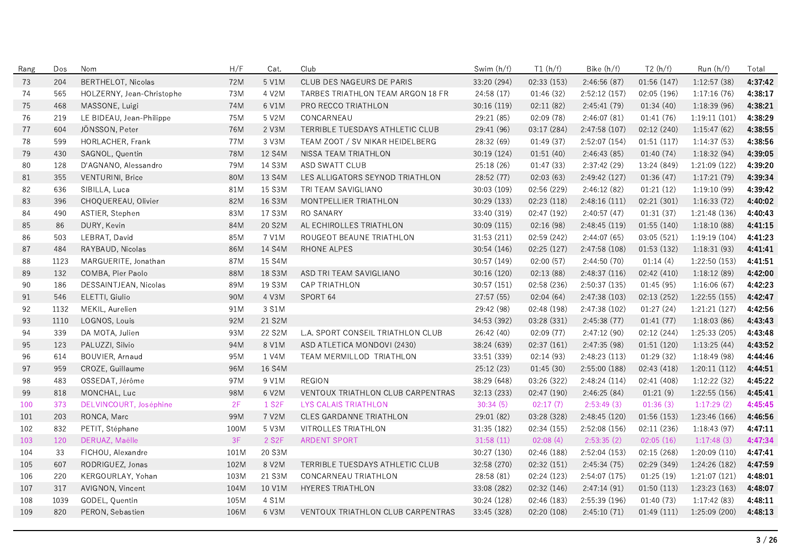| Rang | Dos  | Nom                       | H/F        | Cat.               | Club                              | Swim (h/f)  | T1(h/f)     | Bike (h/f)    | T2(h/f)     | Run (h/f)     | Total   |
|------|------|---------------------------|------------|--------------------|-----------------------------------|-------------|-------------|---------------|-------------|---------------|---------|
| 73   | 204  | <b>BERTHELOT, Nicolas</b> | <b>72M</b> | 5 V1M              | CLUB DES NAGEURS DE PARIS         | 33:20 (294) | 02:33 (153) | 2:46:56 (87)  | 01:56 (147) | 1:12:57(38)   | 4:37:42 |
| 74   | 565  | HOLZERNY, Jean-Christophe | 73M        | 4 V2M              | TARBES TRIATHLON TEAM ARGON 18 FR | 24:58(17)   | 01:46(32)   | 2:52:12(157)  | 02:05 (196) | 1:17:16(76)   | 4:38:17 |
| 75   | 468  | MASSONE, Luigi            | 74M        | 6 V1M              | PRO RECCO TRIATHLON               | 30:16 (119) | 02:11 (82)  | 2:45:41 (79)  | 01:34(40)   | 1:18:39 (96)  | 4:38:21 |
| 76   | 219  | LE BIDEAU, Jean-Philippe  | 75M        | 5 V2M              | CONCARNEAU                        | 29:21 (85)  | 02:09 (78)  | 2:46:07(81)   | 01:41(76)   | 1:19:11(101)  | 4:38:29 |
| 77   | 604  | JÖNSSON, Peter            | 76M        | 2 V3M              | TERRIBLE TUESDAYS ATHLETIC CLUB   | 29:41 (96)  | 03:17 (284) | 2:47:58 (107) | 02:12(240)  | 1:15:47(62)   | 4:38:55 |
| 78   | 599  | HORLACHER, Frank          | 77M        | 3 V3M              | TEAM ZOOT / SV NIKAR HEIDELBERG   | 28:32 (69)  | 01:49 (37)  | 2:52:07 (154) | 01:51(117)  | 1:14:37(53)   | 4:38:56 |
| 79   | 430  | SAGNOL, Quentin           | <b>78M</b> | 12 S4M             | NISSA TEAM TRIATHLON              | 30:19 (124) | 01:51(40)   | 2:46:43(85)   | 01:40(74)   | 1:18:32(94)   | 4:39:05 |
| 80   | 128  | D'AGNANO, Alessandro      | 79M        | 14 S3M             | ASD SWATT CLUB                    | 25:18 (26)  | 01:47(33)   | 2:37:42(29)   | 13:24 (849) | 1:21:09 (122) | 4:39:20 |
| 81   | 355  | VENTURINI, Brice          | 80M        | 13 S4M             | LES ALLIGATORS SEYNOD TRIATHLON   | 28:52 (77)  | 02:03(63)   | 2:49:42 (127) | 01:36(47)   | 1:17:21(79)   | 4:39:34 |
| 82   | 636  | SIBILLA, Luca             | 81M        | 15 S3M             | TRI TEAM SAVIGLIANO               | 30:03 (109) | 02:56 (229) | 2:46:12(82)   | 01:21(12)   | 1:19:10(99)   | 4:39:42 |
| 83   | 396  | CHOQUEREAU, Olivier       | 82M        | 16 S3M             | MONTPELLIER TRIATHLON             | 30:29 (133) | 02:23(118)  | 2:48:16(111)  | 02:21(301)  | 1:16:33(72)   | 4:40:02 |
| 84   | 490  | ASTIER, Stephen           | 83M        | 17 S3M             | RO SANARY                         | 33:40 (319) | 02:47 (192) | 2:40:57(47)   | 01:31(37)   | 1:21:48 (136) | 4:40:43 |
| 85   | 86   | DURY, Kevin               | 84M        | 20 S2M             | AL ECHIROLLES TRIATHLON           | 30:09(115)  | 02:16(98)   | 2:48:45 (119) | 01:55(140)  | 1:18:10(88)   | 4:41:15 |
| 86   | 503  | LEBRAT, David             | 85M        | 7 V1M              | ROUGEOT BEAUNE TRIATHLON          | 31:53 (211) | 02:59 (242) | 2:44:07(65)   | 03:05(521)  | 1:19:19(104)  | 4:41:23 |
| 87   | 484  | RAYBAUD, Nicolas          | 86M        | 14 S4M             | RHONE ALPES                       | 30:54 (146) | 02:25 (127) | 2:47:58 (108) | 01:53 (132) | 1:18:31(93)   | 4:41:41 |
| 88   | 1123 | MARGUERITE, Jonathan      | 87M        | 15 S4M             |                                   | 30:57 (149) | 02:00(57)   | 2:44:50(70)   | 01:14(4)    | 1:22:50(153)  | 4:41:51 |
| 89   | 132  | COMBA, Pier Paolo         | 88M        | 18 S3M             | ASD TRI TEAM SAVIGLIANO           | 30:16 (120) | 02:13(88)   | 2:48:37(116)  | 02:42(410)  | 1:18:12(89)   | 4:42:00 |
| 90   | 186  | DESSAINTJEAN, Nicolas     | 89M        | 19 S3M             | CAP TRIATHLON                     | 30:57 (151) | 02:58 (236) | 2:50:37(135)  | 01:45(95)   | 1:16:06(67)   | 4:42:23 |
| 91   | 546  | ELETTI, Giulio            | 90M        | 4 V3M              | SPORT 64                          | 27:57(55)   | 02:04(64)   | 2:47:38 (103) | 02:13(252)  | 1:22:55(155)  | 4:42:47 |
| 92   | 1132 | MEKIL, Aurelien           | 91M        | 3 S1M              |                                   | 29:42 (98)  | 02:48(198)  | 2:47:38 (102) | 01:27(24)   | 1:21:21 (127) | 4:42:56 |
| 93   | 1110 | LOGNOS, Louis             | 92M        | 21 S2M             |                                   | 34:53 (392) | 03:28 (331) | 2:45:38(77)   | 01:41(77)   | 1:18:03(86)   | 4:43:43 |
| 94   | 339  | DA MOTA, Julien           | 93M        | 22 S2M             | L.A. SPORT CONSEIL TRIATHLON CLUB | 26:42 (40)  | 02:09(77)   | 2:47:12(90)   | 02:12 (244) | 1:25:33 (205) | 4:43:48 |
| 95   | 123  | PALUZZI, Silvio           | 94M        | 8 V1M              | ASD ATLETICA MONDOVI (2430)       | 38:24 (639) | 02:37(161)  | 2:47:35(98)   | 01:51(120)  | 1:13:25(44)   | 4:43:52 |
| 96   | 614  | BOUVIER, Arnaud           | 95M        | 1 V4M              | TEAM MERMILLOD TRIATHLON          | 33:51 (339) | 02:14(93)   | 2:48:23(113)  | 01:29(32)   | 1:18:49(98)   | 4:44:46 |
| 97   | 959  | CROZE, Guillaume          | 96M        | 16 S4M             |                                   | 25:12 (23)  | 01:45(30)   | 2:55:00 (188) | 02:43(418)  | 1:20:11(112)  | 4:44:51 |
| 98   | 483  | OSSEDAT, Jérôme           | 97M        | 9 V1M              | <b>REGION</b>                     | 38:29 (648) | 03:26 (322) | 2:48:24(114)  | 02:41 (408) | 1:12:22(32)   | 4:45:22 |
| 99   | 818  | MONCHAL, Luc              | 98M        | 6 V2M              | VENTOUX TRIATHLON CLUB CARPENTRAS | 32:13 (233) | 02:47 (190) | 2:46:25(84)   | 01:21(9)    | 1:22:55(156)  | 4:45:41 |
| 100  | 373  | DELVINCOURT, Joséphine    | 2F         | 1 S <sub>2</sub> F | LYS CALAIS TRIATHLON              | 30:34(5)    | 02:17(7)    | 2:53:49(3)    | 01:36(3)    | 1:17:29(2)    | 4:45:45 |
| 101  | 203  | RONCA, Marc               | 99M        | 7 V2M              | <b>CLES GARDANNE TRIATHLON</b>    | 29:01 (82)  | 03:28 (328) | 2:48:45 (120) | 01:56(153)  | 1:23:46 (166) | 4:46:56 |
| 102  | 832  | PETIT, Stéphane           | 100M       | 5 V3M              | VITROLLES TRIATHLON               | 31:35 (182) | 02:34 (155) | 2:52:08 (156) | 02:11 (236) | 1:18:43(97)   | 4:47:11 |
| 103  | 120  | DERUAZ, Maëlle            | 3F         | 2 S <sub>2</sub> F | <b>ARDENT SPORT</b>               | 31:58(11)   | 02:08(4)    | 2:53:35(2)    | 02:05(16)   | 1:17:48(3)    | 4:47:34 |
| 104  | 33   | FICHOU, Alexandre         | 101M       | 20 S3M             |                                   | 30:27 (130) | 02:46 (188) | 2:52:04(153)  | 02:15(268)  | 1:20:09(110)  | 4:47:41 |
| 105  | 607  | RODRIGUEZ, Jonas          | 102M       | 8 V2M              | TERRIBLE TUESDAYS ATHLETIC CLUB   | 32:58 (270) | 02:32 (151) | 2:45:34(75)   | 02:29 (349) | 1:24:26 (182) | 4:47:59 |
| 106  | 220  | KERGOURLAY, Yohan         | 103M       | 21 S3M             | CONCARNEAU TRIATHLON              | 28:58 (81)  | 02:24 (123) | 2:54:07(175)  | 01:25(19)   | 1:21:07(121)  | 4:48:01 |
| 107  | 317  | AVIGNON, Vincent          | 104M       | 10 V1M             | <b>HYERES TRIATHLON</b>           | 33:08 (282) | 02:32 (146) | 2:47:14(91)   | 01:50(113)  | 1:23:23(163)  | 4:48:07 |
| 108  | 1039 | GODEL, Quentin            | 105M       | 4 S1M              |                                   | 30:24 (128) | 02:46 (183) | 2:55:39 (196) | 01:40(73)   | 1:17:42(83)   | 4:48:11 |
| 109  | 820  | PERON, Sebastien          | 106M       | 6 V3M              | VENTOUX TRIATHLON CLUB CARPENTRAS | 33:45 (328) | 02:20 (108) | 2:45:10(71)   | 01:49(111)  | 1:25:09 (200) | 4:48:13 |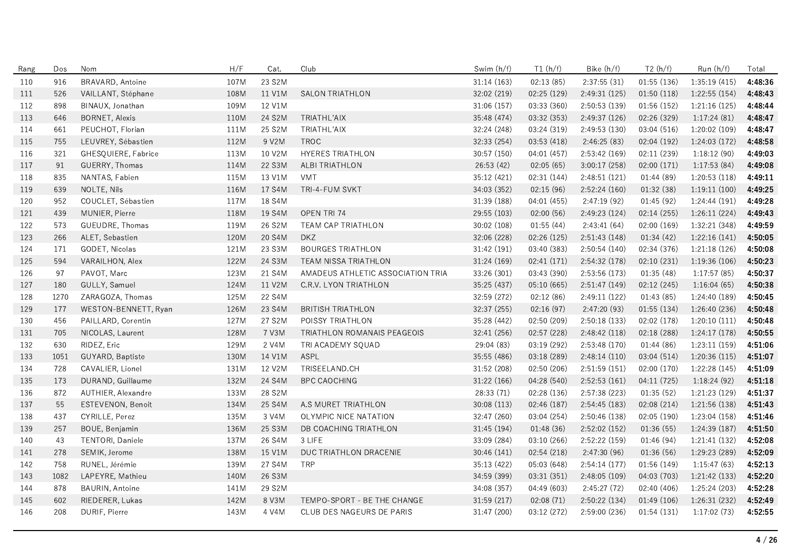| Rang | Dos  | Nom                   | H/F  | Cat.   | Club                              | Swim (h/f)  | T1(h/f)     | Bike (h/f)    | T2(h/f)     | Run (h/f)     | Total   |
|------|------|-----------------------|------|--------|-----------------------------------|-------------|-------------|---------------|-------------|---------------|---------|
| 110  | 916  | BRAVARD, Antoine      | 107M | 23 S2M |                                   | 31:14 (163) | 02:13(85)   | 2:37:55(31)   | 01:55(136)  | 1:35:19 (415) | 4:48:36 |
| 111  | 526  | VAILLANT, Stéphane    | 108M | 11 V1M | <b>SALON TRIATHLON</b>            | 32:02 (219) | 02:25 (129) | 2:49:31 (125) | 01:50(118)  | 1:22:55(154)  | 4:48:43 |
| 112  | 898  | BINAUX, Jonathan      | 109M | 12 V1M |                                   | 31:06 (157) | 03:33 (360) | 2:50:53 (139) | 01:56(152)  | 1:21:16 (125) | 4:48:44 |
| 113  | 646  | <b>BORNET, Alexis</b> | 110M | 24 S2M | TRIATHL'AIX                       | 35:48 (474) | 03:32 (353) | 2:49:37 (126) | 02:26 (329) | 1:17:24(81)   | 4:48:47 |
| 114  | 661  | PEUCHOT, Florian      | 111M | 25 S2M | TRIATHL'AIX                       | 32:24 (248) | 03:24 (319) | 2:49:53 (130) | 03:04 (516) | 1:20:02(109)  | 4:48:47 |
| 115  | 755  | LEUVREY, Sébastien    | 112M | 9 V2M  | <b>TROC</b>                       | 32:33 (254) | 03:53 (418) | 2:46:25 (83)  | 02:04 (192) | 1:24:03 (172) | 4:48:58 |
| 116  | 321  | GHESQUIERE, Fabrice   | 113M | 10 V2M | <b>HYERES TRIATHLON</b>           | 30:57 (150) | 04:01 (457) | 2:53:42 (169) | 02:11 (239) | 1:18:12(90)   | 4:49:03 |
| 117  | 91   | GUERRY, Thomas        | 114M | 22 S3M | ALBI TRIATHLON                    | 26:53 (42)  | 02:05(65)   | 3:00:17(258)  | 02:00(171)  | 1:17:53(84)   | 4:49:08 |
| 118  | 835  | NANTAS, Fabien        | 115M | 13 V1M | <b>VMT</b>                        | 35:12 (421) | 02:31 (144) | 2:48:51(121)  | 01:44 (89)  | 1:20:53 (118) | 4:49:11 |
| 119  | 639  | NOLTE, Nils           | 116M | 17 S4M | TRI-4-FUM SVKT                    | 34:03 (352) | 02:15 (96)  | 2:52:24 (160) | 01:32(38)   | 1:19:11(100)  | 4:49:25 |
| 120  | 952  | COUCLET, Sébastien    | 117M | 18 S4M |                                   | 31:39 (188) | 04:01 (455) | 2:47:19(92)   | 01:45(92)   | 1:24:44(191)  | 4:49:28 |
| 121  | 439  | MUNIER, Pierre        | 118M | 19 S4M | OPEN TRI 74                       | 29:55 (103) | 02:00(56)   | 2:49:23 (124) | 02:14(255)  | 1:26:11(224)  | 4:49:43 |
| 122  | 573  | GUEUDRE, Thomas       | 119M | 26 S2M | TEAM CAP TRIATHLON                | 30:02 (108) | 01:55(44)   | 2:43:41(64)   | 02:00(169)  | 1:32:21 (348) | 4:49:59 |
| 123  | 266  | ALET, Sebastien       | 120M | 20 S4M | <b>DKZ</b>                        | 32:06 (228) | 02:26(125)  | 2:51:43(148)  | 01:34(42)   | 1:22:16(141)  | 4:50:05 |
| 124  | 171  | GODET, Nicolas        | 121M | 23 S3M | <b>BOURGES TRIATHLON</b>          | 31:42 (191) | 03:40 (383) | 2:50:54 (140) | 02:34 (376) | 1:21:18(126)  | 4:50:08 |
| 125  | 594  | VARAILHON, Alex       | 122M | 24 S3M | <b>TEAM NISSA TRIATHLON</b>       | 31:24 (169) | 02:41(171)  | 2:54:32 (178) | 02:10(231)  | 1:19:36(106)  | 4:50:23 |
| 126  | 97   | PAVOT, Marc           | 123M | 21 S4M | AMADEUS ATHLETIC ASSOCIATION TRIA | 33:26 (301) | 03:43 (390) | 2:53:56 (173) | 01:35(48)   | 1:17:57(85)   | 4:50:37 |
| 127  | 180  | GULLY, Samuel         | 124M | 11 V2M | C.R.V. LYON TRIATHLON             | 35:25 (437) | 05:10 (665) | 2:51:47 (149) | 02:12(245)  | 1:16:04(65)   | 4:50:38 |
| 128  | 1270 | ZARAGOZA, Thomas      | 125M | 22 S4M |                                   | 32:59 (272) | 02:12(86)   | 2:49:11(122)  | 01:43(85)   | 1:24:40 (189) | 4:50:45 |
| 129  | 177  | WESTON-BENNETT, Ryan  | 126M | 23 S4M | <b>BRITISH TRIATHLON</b>          | 32:37 (255) | 02:16(97)   | 2:47:20 (93)  | 01:55(134)  | 1:26:40 (236) | 4:50:48 |
| 130  | 456  | PAILLARD, Corentin    | 127M | 27 S2M | POISSY TRIATHLON                  | 35:28 (442) | 02:50 (209) | 2:50:18(133)  | 02:02 (178) | 1:20:10(111)  | 4:50:48 |
| 131  | 705  | NICOLAS, Laurent      | 128M | 7 V3M  | TRIATHLON ROMANAIS PEAGEOIS       | 32:41 (256) | 02:57(228)  | 2:48:42(118)  | 02:18(288)  | 1:24:17(178)  | 4:50:55 |
| 132  | 630  | RIDEZ, Eric           | 129M | 2 V4M  | TRI ACADEMY SQUAD                 | 29:04 (83)  | 03:19 (292) | 2:53:48 (170) | 01:44(86)   | 1:23:11(159)  | 4:51:06 |
| 133  | 1051 | GUYARD, Baptiste      | 130M | 14 V1M | ASPL                              | 35:55 (486) | 03:18 (289) | 2:48:14(110)  | 03:04 (514) | 1:20:36(115)  | 4:51:07 |
| 134  | 728  | CAVALIER, Lionel      | 131M | 12 V2M | TRISEELAND.CH                     | 31:52 (208) | 02:50 (206) | 2:51:59(151)  | 02:00 (170) | 1:22:28 (145) | 4:51:09 |
| 135  | 173  | DURAND, Guillaume     | 132M | 24 S4M | <b>BPC CAOCHING</b>               | 31:22 (166) | 04:28 (540) | 2:52:53(161)  | 04:11 (725) | 1:18:24(92)   | 4:51:18 |
| 136  | 872  | AUTHIER, Alexandre    | 133M | 28 S2M |                                   | 28:33 (71)  | 02:28 (136) | 2:57:38 (223) | 01:35(52)   | 1:21:23 (129) | 4:51:37 |
| 137  | 55   | ESTEVENON, Benoit     | 134M | 25 S4M | A.S MURET TRIATHLON               | 30:08 (113) | 02:46 (187) | 2:54:45 (183) | 02:08 (214) | 1:21:56 (138) | 4:51:43 |
| 138  | 437  | CYRILLE, Perez        | 135M | 3 V4M  | OLYMPIC NICE NATATION             | 32:47 (260) | 03:04 (254) | 2:50:46 (138) | 02:05 (190) | 1:23:04 (158) | 4:51:46 |
| 139  | 257  | BOUE, Benjamin        | 136M | 25 S3M | DB COACHING TRIATHLON             | 31:45 (194) | 01:48(36)   | 2:52:02 (152) | 01:36(55)   | 1:24:39(187)  | 4:51:50 |
| 140  | 43   | TENTORI, Daniele      | 137M | 26 S4M | 3 LIFE                            | 33:09 (284) | 03:10 (266) | 2:52:22 (159) | 01:46(94)   | 1:21:41 (132) | 4:52:08 |
| 141  | 278  | SEMIK, Jerome         | 138M | 15 V1M | DUC TRIATHLON DRACENIE            | 30:46 (141) | 02:54 (218) | 2:47:30(96)   | 01:36(56)   | 1:29:23 (289) | 4:52:09 |
| 142  | 758  | RUNEL, Jérémie        | 139M | 27 S4M | <b>TRP</b>                        | 35:13 (422) | 05:03 (648) | 2:54:14(177)  | 01:56 (149) | 1:15:47(63)   | 4:52:13 |
| 143  | 1082 | LAPEYRE, Mathieu      | 140M | 26 S3M |                                   | 34:59 (399) | 03:31 (351) | 2:48:05 (109) | 04:03 (703) | 1:21:42 (133) | 4:52:20 |
| 144  | 878  | BAURIN, Antoine       | 141M | 29 S2M |                                   | 34:08 (357) | 04:49 (603) | 2:45:27(72)   | 02:40(406)  | 1:25:24 (203) | 4:52:28 |
| 145  | 602  | RIEDERER, Lukas       | 142M | 8 V3M  | TEMPO-SPORT - BE THE CHANGE       | 31:59 (217) | 02:08(71)   | 2:50:22 (134) | 01:49(106)  | 1:26:31 (232) | 4:52:49 |
| 146  | 208  | DURIF, Pierre         | 143M | 4 V4M  | CLUB DES NAGEURS DE PARIS         | 31:47 (200) | 03:12 (272) | 2:59:00 (236) | 01:54(131)  | 1:17:02(73)   | 4:52:55 |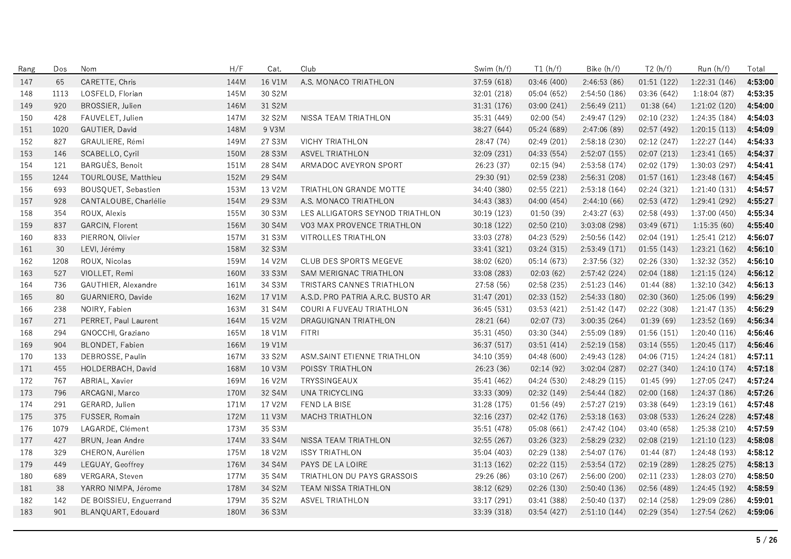| Rang | Dos  | Nom                     | H/F  | Cat.   | Club                              | Swim (h/f)  | T1(h/f)     | Bike (h/f)    | T2(h/f)     | Run (h/f)     | Total   |
|------|------|-------------------------|------|--------|-----------------------------------|-------------|-------------|---------------|-------------|---------------|---------|
| 147  | 65   | CARETTE, Chris          | 144M | 16 V1M | A.S. MONACO TRIATHLON             | 37:59 (618) | 03:46 (400) | 2:46:53 (86)  | 01:51 (122) | 1:22:31 (146) | 4:53:00 |
| 148  | 1113 | LOSFELD, Florian        | 145M | 30 S2M |                                   | 32:01 (218) | 05:04 (652) | 2:54:50 (186) | 03:36 (642) | 1:18:04(87)   | 4:53:35 |
| 149  | 920  | BROSSIER, Julien        | 146M | 31 S2M |                                   | 31:31 (176) | 03:00 (241) | 2:56:49 (211) | 01:38(64)   | 1:21:02 (120) | 4:54:00 |
| 150  | 428  | FAUVELET, Julien        | 147M | 32 S2M | NISSA TEAM TRIATHLON              | 35:31 (449) | 02:00 (54)  | 2:49:47 (129) | 02:10 (232) | 1:24:35 (184) | 4:54:03 |
| 151  | 1020 | GAUTIER, David          | 148M | 9 V3M  |                                   | 38:27 (644) | 05:24 (689) | 2:47:06(89)   | 02:57 (492) | 1:20:15(113)  | 4:54:09 |
| 152  | 827  | GRAULIERE, Rémi         | 149M | 27 S3M | <b>VICHY TRIATHLON</b>            | 28:47 (74)  | 02:49 (201) | 2:58:18 (230) | 02:12 (247) | 1:22:27(144)  | 4:54:33 |
| 153  | 146  | SCABELLO, Cyril         | 150M | 28 S3M | <b>ASVEL TRIATHLON</b>            | 32:09 (231) | 04:33 (554) | 2:52:07 (155) | 02:07(213)  | 1:23:41(165)  | 4:54:37 |
| 154  | 121  | BARGUÈS, Benoit         | 151M | 28 S4M | ARMADOC AVEYRON SPORT             | 26:23 (37)  | 02:15 (94)  | 2:53:58 (174) | 02:02 (179) | 1:30:03 (297) | 4:54:41 |
| 155  | 1244 | TOURLOUSE, Matthieu     | 152M | 29 S4M |                                   | 29:30 (91)  | 02:59 (238) | 2:56:31 (208) | 01:57(161)  | 1:23:48 (167) | 4:54:45 |
| 156  | 693  | BOUSQUET, Sebastien     | 153M | 13 V2M | TRIATHLON GRANDE MOTTE            | 34:40 (380) | 02:55(221)  | 2:53:18(164)  | 02:24 (321) | 1:21:40(131)  | 4:54:57 |
| 157  | 928  | CANTALOUBE, Charlélie   | 154M | 29 S3M | A.S. MONACO TRIATHLON             | 34:43 (383) | 04:00 (454) | 2:44:10(66)   | 02:53 (472) | 1:29:41 (292) | 4:55:27 |
| 158  | 354  | ROUX, Alexis            | 155M | 30 S3M | LES ALLIGATORS SEYNOD TRIATHLON   | 30:19(123)  | 01:50(39)   | 2:43:27(63)   | 02:58 (493) | 1:37:00 (450) | 4:55:34 |
| 159  | 837  | GARCIN, Florent         | 156M | 30 S4M | VO3 MAX PROVENCE TRIATHLON        | 30:18 (122) | 02:50(210)  | 3:03:08 (298) | 03:49 (671) | 1:15:35(60)   | 4:55:40 |
| 160  | 833  | PIERRON, Olivier        | 157M | 31 S3M | VITROLLES TRIATHLON               | 33:03 (278) | 04:23 (529) | 2:50:56 (142) | 02:04 (191) | 1:25:41 (212) | 4:56:07 |
| 161  | 30   | LEVI, Jérémy            | 158M | 32 S3M |                                   | 33:41 (321) | 03:24 (315) | 2:53:49 (171) | 01:55(143)  | 1:23:21(162)  | 4:56:10 |
| 162  | 1208 | ROUX, Nicolas           | 159M | 14 V2M | CLUB DES SPORTS MEGEVE            | 38:02 (620) | 05:14 (673) | 2:37:56 (32)  | 02:26 (330) | 1:32:32 (352) | 4:56:10 |
| 163  | 527  | VIOLLET, Remi           | 160M | 33 S3M | <b>SAM MERIGNAC TRIATHLON</b>     | 33:08 (283) | 02:03(62)   | 2:57:42 (224) | 02:04 (188) | 1:21:15(124)  | 4:56:12 |
| 164  | 736  | GAUTHIER, Alexandre     | 161M | 34 S3M | TRISTARS CANNES TRIATHLON         | 27:58 (56)  | 02:58 (235) | 2:51:23(146)  | 01:44(88)   | 1:32:10(342)  | 4:56:13 |
| 165  | 80   | GUARNIERO, Davide       | 162M | 17 V1M | A.S.D. PRO PATRIA A.R.C. BUSTO AR | 31:47 (201) | 02:33 (152) | 2:54:33 (180) | 02:30(360)  | 1:25:06 (199) | 4:56:29 |
| 166  | 238  | NOIRY, Fabien           | 163M | 31 S4M | COURI A FUVEAU TRIATHLON          | 36:45 (531) | 03:53 (421) | 2:51:42(147)  | 02:22 (308) | 1:21:47(135)  | 4:56:29 |
| 167  | 271  | PERRET, Paul Laurent    | 164M | 15 V2M | DRAGUIGNAN TRIATHLON              | 28:21 (64)  | 02:07(73)   | 3:00:35(264)  | 01:39(69)   | 1:23:52 (169) | 4:56:34 |
| 168  | 294  | GNOCCHI, Graziano       | 165M | 18 V1M | FITRI                             | 35:31 (450) | 03:30 (344) | 2:55:09 (189) | 01:56(151)  | 1:20:40(116)  | 4:56:46 |
| 169  | 904  | BLONDET, Fabien         | 166M | 19 V1M |                                   | 36:37 (517) | 03:51(414)  | 2:52:19(158)  | 03:14(555)  | 1:20:45(117)  | 4:56:46 |
| 170  | 133  | DEBROSSE, Paulin        | 167M | 33 S2M | ASM.SAINT ETIENNE TRIATHLON       | 34:10 (359) | 04:48(600)  | 2:49:43 (128) | 04:06 (715) | 1:24:24(181)  | 4:57:11 |
| 171  | 455  | HOLDERBACH, David       | 168M | 10 V3M | POISSY TRIATHLON                  | 26:23 (36)  | 02:14(92)   | 3:02:04(287)  | 02:27 (340) | 1:24:10(174)  | 4:57:18 |
| 172  | 767  | ABRIAL, Xavier          | 169M | 16 V2M | TRYSSINGEAUX                      | 35:41 (462) | 04:24 (530) | 2:48:29 (115) | 01:45(99)   | 1:27:05 (247) | 4:57:24 |
| 173  | 796  | ARCAGNI, Marco          | 170M | 32 S4M | UNA TRICYCLING                    | 33:33 (309) | 02:32 (149) | 2:54:44 (182) | 02:00(168)  | 1:24:37 (186) | 4:57:26 |
| 174  | 291  | GERARD, Julien          | 171M | 17 V2M | FEND LA BISE                      | 31:28 (175) | 01:56(49)   | 2:57:27 (219) | 03:38 (649) | 1:23:19(161)  | 4:57:48 |
| 175  | 375  | FUSSER, Romain          | 172M | 11 V3M | MACH3 TRIATHLON                   | 32:16 (237) | 02:42 (176) | 2:53:18(163)  | 03:08 (533) | 1:26:24 (228) | 4:57:48 |
| 176  | 1079 | LAGARDE, Clément        | 173M | 35 S3M |                                   | 35:51 (478) | 05:08(661)  | 2:47:42(104)  | 03:40 (658) | 1:25:38 (210) | 4:57:59 |
| 177  | 427  | BRUN, Jean Andre        | 174M | 33 S4M | NISSA TEAM TRIATHLON              | 32:55 (267) | 03:26 (323) | 2:58:29 (232) | 02:08 (219) | 1:21:10(123)  | 4:58:08 |
| 178  | 329  | CHERON, Aurélien        | 175M | 18 V2M | <b>ISSY TRIATHLON</b>             | 35:04 (403) | 02:29 (138) | 2:54:07(176)  | 01:44(87)   | 1:24:48 (193) | 4:58:12 |
| 179  | 449  | LEGUAY, Geoffrey        | 176M | 34 S4M | PAYS DE LA LOIRE                  | 31:13 (162) | 02:22 (115) | 2:53:54 (172) | 02:19(289)  | 1:28:25 (275) | 4:58:13 |
| 180  | 689  | VERGARA, Steven         | 177M | 35 S4M | TRIATHLON DU PAYS GRASSOIS        | 29:26 (86)  | 03:10 (267) | 2:56:00 (200) | 02:11 (233) | 1:28:03 (270) | 4:58:50 |
| 181  | 38   | YARRO NIMPA, Jérome     | 178M | 34 S2M | TEAM NISSA TRIATHLON              | 38:12 (629) | 02:26 (130) | 2:50:40 (136) | 02:56 (489) | 1:24:45 (192) | 4:58:59 |
| 182  | 142  | DE BOISSIEU, Enguerrand | 179M | 35 S2M | <b>ASVEL TRIATHLON</b>            | 33:17 (291) | 03:41 (388) | 2:50:40(137)  | 02:14 (258) | 1:29:09 (286) | 4:59:01 |
| 183  | 901  | BLANQUART, Edouard      | 180M | 36 S3M |                                   | 33:39 (318) | 03:54 (427) | 2:51:10(144)  | 02:29 (354) | 1:27:54 (262) | 4:59:06 |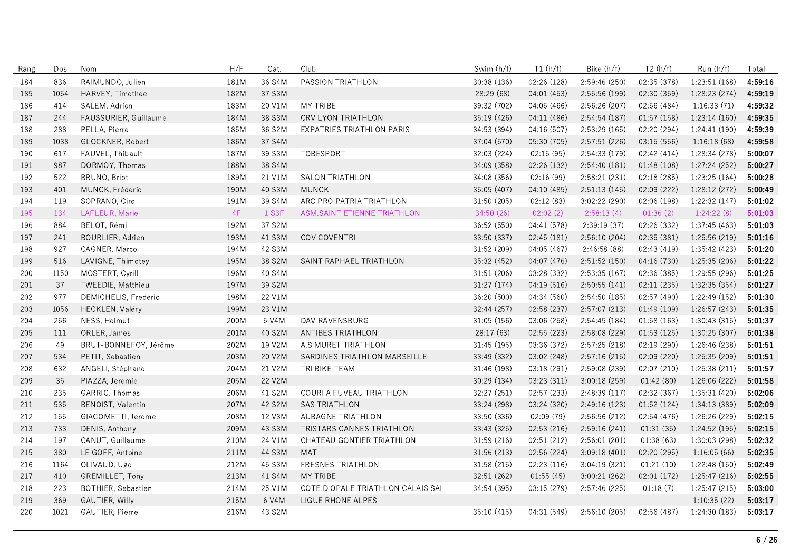| Rang | Dos  | Nom                       | H/F  | Cat.   | Club                               | Swim (h/f)  | T1(h/f)     | Bike (h/f)    | T2(h/f)     | Run (h/f)     | Total   |
|------|------|---------------------------|------|--------|------------------------------------|-------------|-------------|---------------|-------------|---------------|---------|
| 184  | 836  | RAIMUNDO, Julien          | 181M | 36 S4M | PASSION TRIATHLON                  | 30:38 (136) | 02:26 (128) | 2:59:46(250)  | 02:35 (378) | 1:23:51(168)  | 4:59:16 |
| 185  | 1054 | HARVEY, Timothée          | 182M | 37 S3M |                                    | 28:29 (68)  | 04:01 (453) | 2:55:56 (199) | 02:30 (359) | 1:28:23 (274) | 4:59:19 |
| 186  | 414  | SALEM, Adrien             | 183M | 20 V1M | MY TRIBE                           | 39:32 (702) | 04:05 (466) | 2:56:26 (207) | 02:56 (484) | 1:16:33(71)   | 4:59:32 |
| 187  | 244  | FAUSSURIER, Guillaume     | 184M | 38 S3M | CRV LYON TRIATHLON                 | 35:19 (426) | 04:11 (486) | 2:54:54 (187) | 01:57(158)  | 1:23:14 (160) | 4:59:35 |
| 188  | 288  | PELLA, Pierre             | 185M | 36 S2M | EXPATRIES TRIATHLON PARIS          | 34:53 (394) | 04:16 (507) | 2:53:29 (165) | 02:20 (294) | 1:24:41(190)  | 4:59:39 |
| 189  | 1038 | GLÖCKNER, Robert          | 186M | 37 S4M |                                    | 37:04 (570) | 05:30 (705) | 2:57:51(226)  | 03:15 (556) | 1:16:18(68)   | 4:59:58 |
| 190  | 617  | FAUVEL, Thibault          | 187M | 39 S3M | TOBESPORT                          | 32:03 (224) | 02:15 (95)  | 2:54:33 (179) | 02:42 (414) | 1:28:34 (278) | 5:00:07 |
| 191  | 987  | DORMOY, Thomas            | 188M | 38 S4M |                                    | 34:09 (358) | 02:26 (132) | 2:54:40 (181) | 01:48 (108) | 1:27:24 (252) | 5:00:27 |
| 192  | 522  | BRUNO, Briot              | 189M | 21 V1M | <b>SALON TRIATHLON</b>             | 34:08 (356) | 02:16 (99)  | 2:58:21 (231) | 02:18 (285) | 1:23:25 (164) | 5:00:28 |
| 193  | 401  | MUNCK, Frédéric           | 190M | 40 S3M | <b>MUNCK</b>                       | 35:05 (407) | 04:10 (485) | 2:51:13(145)  | 02:09(222)  | 1:28:12(272)  | 5:00:49 |
| 194  | 119  | SOPRANO, Ciro             | 191M | 39 S4M | ARC PRO PATRIA TRIATHLON           | 31:50 (205) | 02:12(83)   | 3:02:22 (290) | 02:06 (198) | 1:22:32(147)  | 5:01:02 |
| 195  | 134  | LAFLEUR, Marie            | 4F   | 1 S3F  | <b>ASM.SAINT ETIENNE TRIATHLON</b> | 34:50(26)   | 02:02(2)    | 2:58:13(4)    | 01:36(2)    | 1:24:22(8)    | 5:01:03 |
| 196  | 884  | BELOT, Rémi               | 192M | 37 S2M |                                    | 36:52 (550) | 04:41 (578) | 2:39:19(37)   | 02:26 (332) | 1:37:45 (463) | 5:01:03 |
| 197  | 241  | BOURLIER, Adrien          | 193M | 41 S3M | COV COVENTRI                       | 33:50 (337) | 02:45 (181) | 2:56:10 (204) | 02:35 (381) | 1:25:56 (219) | 5:01:16 |
| 198  | 927  | CAGNER, Marco             | 194M | 42 S3M |                                    | 31:52 (209) | 04:05 (467) | 2:46:58 (88)  | 02:43(419)  | 1:35:42(423)  | 5:01:20 |
| 199  | 516  | LAVIGNE, Thimotey         | 195M | 38 S2M | SAINT RAPHAEL TRIATHLON            | 35:32 (452) | 04:07 (476) | 2:51:52(150)  | 04:16 (730) | 1:25:35(206)  | 5:01:22 |
| 200  | 1150 | MOSTERT, Cyrill           | 196M | 40 S4M |                                    | 31:51 (206) | 03:28 (332) | 2:53:35(167)  | 02:36 (385) | 1:29:55 (296) | 5:01:25 |
| 201  | 37   | TWEEDIE, Matthieu         | 197M | 39 S2M |                                    | 31:27 (174) | 04:19(516)  | 2:50:55(141)  | 02:11(235)  | 1:32:35(354)  | 5:01:27 |
| 202  | 977  | DEMICHELIS, Frederic      | 198M | 22 V1M |                                    | 36:20 (500) | 04:34 (560) | 2:54:50 (185) | 02:57 (490) | 1:22:49 (152) | 5:01:30 |
| 203  | 1056 | HECKLEN, Valéry           | 199M | 23 V1M |                                    | 32:44 (257) | 02:58 (237) | 2:57:07 (213) | 01:49(109)  | 1:26:57(243)  | 5:01:35 |
| 204  | 256  | NESS, Helmut              | 200M | 5 V4M  | DAV RAVENSBURG                     | 31:05(156)  | 03:06 (258) | 2:54:45 (184) | 01:58(163)  | 1:30:43(315)  | 5:01:37 |
| 205  | 111  | ORLER, James              | 201M | 40 S2M | ANTIBES TRIATHLON                  | 28:17 (63)  | 02:55 (223) | 2:58:08 (229) | 01:53(125)  | 1:30:25 (307) | 5:01:38 |
| 206  | 49   | BRUT-BONNEFOY, Jérôme     | 202M | 19 V2M | A.S MURET TRIATHLON                | 31:45 (195) | 03:36 (372) | 2:57:25 (218) | 02:19 (290) | 1:26:46 (238) | 5:01:51 |
| 207  | 534  | PETIT, Sebastien          | 203M | 20 V2M | SARDINES TRIATHLON MARSEILLE       | 33:49 (332) | 03:02 (248) | 2:57:16 (215) | 02:09 (220) | 1:25:35 (209) | 5:01:51 |
| 208  | 632  | ANGELI, Stéphane          | 204M | 21 V2M | TRI BIKE TEAM                      | 31:46 (198) | 03:18(291)  | 2:59:08 (239) | 02:07(210)  | 1:25:38 (211) | 5:01:57 |
| 209  | 35   | PIAZZA, Jeremie           | 205M | 22 V2M |                                    | 30:29 (134) | 03:23 (311) | 3:00:18(259)  | 01:42(80)   | 1:26:06(222)  | 5:01:58 |
| 210  | 235  | GARRIC, Thomas            | 206M | 41 S2M | COURI A FUVEAU TRIATHLON           | 32:27 (251) | 02:57 (233) | 2:48:39 (117) | 02:32 (367) | 1:35:31 (420) | 5:02:06 |
| 211  | 535  | <b>BENOIST, Valentin</b>  | 207M | 42 S2M | <b>SAS TRIATHLON</b>               | 33:24 (298) | 03:24 (320) | 2:49:16 (123) | 01:52(124)  | 1:34:13 (389) | 5:02:09 |
| 212  | 155  | GIACOMETTI, Jerome        | 208M | 12 V3M | <b>AUBAGNE TRIATHLON</b>           | 33:50 (336) | 02:09 (79)  | 2:56:56(212)  | 02:54 (476) | 1:26:26 (229) | 5:02:15 |
| 213  | 733  | DENIS, Anthony            | 209M | 43 S3M | TRISTARS CANNES TRIATHLON          | 33:43 (325) | 02:53(216)  | 2:59:16(241)  | 01:31(35)   | 1:24:52(195)  | 5:02:15 |
| 214  | 197  | CANUT, Guillaume          | 210M | 24 V1M | CHATEAU GONTIER TRIATHLON          | 31:59 (216) | 02:51 (212) | 2:56:01(201)  | 01:38(63)   | 1:30:03 (298) | 5:02:32 |
| 215  | 380  | LE GOFF, Antoine          | 211M | 44 S3M | MAT                                | 31:56 (213) | 02:56 (224) | 3:09:18(401)  | 02:20 (295) | 1:16:05(66)   | 5:02:35 |
| 216  | 1164 | OLIVAUD, Ugo              | 212M | 45 S3M | <b>FRESNES TRIATHLON</b>           | 31:58 (215) | 02:23(116)  | 3:04:19(321)  | 01:21(10)   | 1:22:48 (150) | 5:02:49 |
| 217  | 410  | GREMILLET, Tony           | 213M | 41 S4M | MY TRIBE                           | 32:51 (262) | 01:55(45)   | 3:00:21(262)  | 02:01 (172) | 1:25:47 (216) | 5:02:55 |
| 218  | 223  | <b>BOTHIER, Sebastien</b> | 214M | 25 V1M | COTE D OPALE TRIATHLON CALAIS SAI  | 34:54 (395) | 03:15 (279) | 2:57:46(225)  | 01:18(7)    | 1:25:47 (215) | 5:03:00 |
| 219  | 369  | GAUTIER, Willy            | 215M | 6 V4M  | LIGUE RHONE ALPES                  |             |             |               |             | 1:10:35(22)   | 5:03:17 |
| 220  | 1021 | <b>GAUTIER, Pierre</b>    | 216M | 43 S2M |                                    | 35:10(415)  | 04:31 (549) | 2:56:10(205)  | 02:56 (487) | 1:24:30(183)  | 5:03:17 |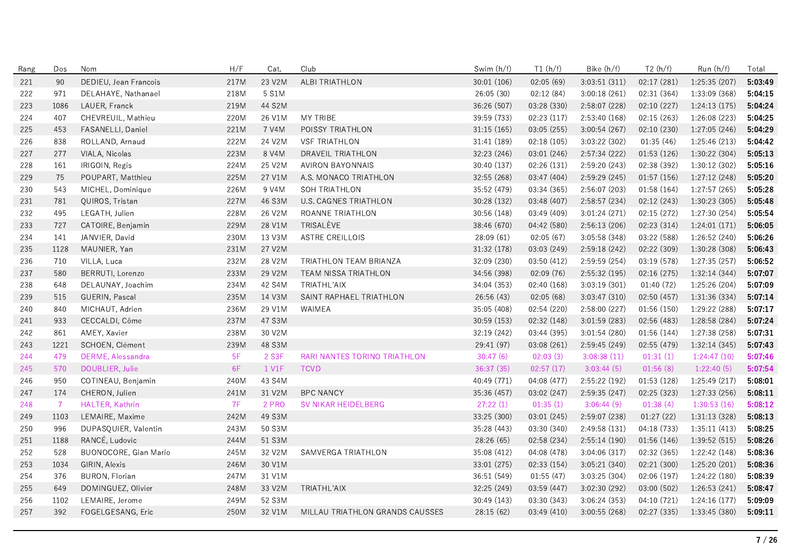| Rang | Dos            | Nom                          | H/F  | Cat.   | Club                            | Swim (h/f)  | T1(h/f)     | Bike (h/f)    | T2(h/f)     | Run (h/f)     | Total   |
|------|----------------|------------------------------|------|--------|---------------------------------|-------------|-------------|---------------|-------------|---------------|---------|
| 221  | 90             | DEDIEU, Jean Francois        | 217M | 23 V2M | ALBI TRIATHLON                  | 30:01 (106) | 02:05(69)   | 3:03:51(311)  | 02:17(281)  | 1:25:35 (207) | 5:03:49 |
| 222  | 971            | DELAHAYE, Nathanael          | 218M | 5 S1M  |                                 | 26:05 (30)  | 02:12(84)   | 3:00:18(261)  | 02:31 (364) | 1:33:09 (368) | 5:04:15 |
| 223  | 1086           | LAUER, Franck                | 219M | 44 S2M |                                 | 36.26 (507) | 03:28 (330) | 2:58:07(228)  | 02:10(227)  | 1:24:13(175)  | 5:04:24 |
| 224  | 407            | CHEVREUIL, Mathieu           | 220M | 26 V1M | MY TRIBE                        | 39:59 (733) | 02:23 (117) | 2:53:40 (168) | 02:15 (263) | 1:26:08 (223) | 5:04:25 |
| 225  | 453            | FASANELLI, Daniel            | 221M | 7 V4M  | POISSY TRIATHLON                | 31.15 (165) | 03:05 (255) | 3:00:54 (267) | 02:10 (230) | 1:27:05 (246) | 5:04:29 |
| 226  | 838            | ROLLAND, Arnaud              | 222M | 24 V2M | <b>VSF TRIATHLON</b>            | 31:41 (189) | 02:18(105)  | 3:03:22(302)  | 01:35(46)   | 1:25:46(213)  | 5:04:42 |
| 227  | 277            | VIALA, Nicolas               | 223M | 8 V4M  | DRAVEIL TRIATHLON               | 32:23 (246) | 03:01 (246) | 2:57:34 (222) | 01:53(126)  | 1:30:22 (304) | 5:05:13 |
| 228  | 161            | IRIGOIN, Regis               | 224M | 25 V2M | <b>AVIRON BAYONNAIS</b>         | 30:40 (137) | 02:26 (131) | 2:59:20 (243) | 02:38 (392) | 1:30:12 (302) | 5:05:16 |
| 229  | 75             | POUPART, Matthieu            | 225M | 27 V1M | A.S. MONACO TRIATHLON           | 32:55 (268) | 03:47 (404) | 2:59:29(245)  | 01:57(156)  | 1:27:12(248)  | 5:05:20 |
| 230  | 543            | MICHEL, Dominique            | 226M | 9 V4M  | SOH TRIATHLON                   | 35:52 (479) | 03:34 (365) | 2:56:07 (203) | 01:58 (164) | 1:27:57(265)  | 5:05:28 |
| 231  | 781            | QUIROS, Tristan              | 227M | 46 S3M | U.S. CAGNES TRIATHLON           | 30:28 (132) | 03:48 (407) | 2:58:57 (234) | 02:12 (243) | 1:30:23 (305) | 5:05:48 |
| 232  | 495            | LEGATH, Julien               | 228M | 26 V2M | ROANNE TRIATHLON                | 30:56 (148) | 03:49 (409) | 3:01:24(271)  | 02:15(272)  | 1:27:30 (254) | 5:05:54 |
| 233  | 727            | CATOIRE, Benjamin            | 229M | 28 V1M | TRISALÈVE                       | 38:46 (670) | 04:42 (580) | 2:56:13(206)  | 02:23(314)  | 1:24:01(171)  | 5:06:05 |
| 234  | 141            | JANVIER, David               | 230M | 13 V3M | <b>ASTRE CREILLOIS</b>          | 28:09 (61)  | 02:05(67)   | 3:05:58 (348) | 03:22 (588) | 1:26:52 (240) | 5:06:26 |
| 235  | 1128           | MAUNIER, Yan                 | 231M | 27 V2M |                                 | 31:32 (178) | 03:03 (249) | 2:59:18(242)  | 02:22 (309) | 1:30:28 (308) | 5:06:43 |
| 236  | 710            | VILLA, Luca                  | 232M | 28 V2M | TRIATHLON TEAM BRIANZA          | 32:09 (230) | 03:50 (412) | 2:59:59 (254) | 03:19 (578) | 1:27:35(257)  | 5:06:52 |
| 237  | 580            | BERRUTI, Lorenzo             | 233M | 29 V2M | TEAM NISSA TRIATHLON            | 34:56 (398) | 02:09 (76)  | 2:55:32 (195) | 02:16 (275) | 1:32:14 (344) | 5:07:07 |
| 238  | 648            | DELAUNAY, Joachim            | 234M | 42 S4M | TRIATHL'AIX                     | 34:04 (353) | 02:40 (168) | 3:03:19(301)  | 01:40(72)   | 1:25:26 (204) | 5:07:09 |
| 239  | 515            | GUERIN, Pascal               | 235M | 14 V3M | SAINT RAPHAEL TRIATHLON         | 26:56(43)   | 02:05(68)   | 3:03:47(310)  | 02:50(457)  | 1:31:36 (334) | 5:07:14 |
| 240  | 840            | MICHAUT, Adrien              | 236M | 29 V1M | WAIMEA                          | 35:05 (408) | 02:54 (220) | 2:58:00 (227) | 01:56 (150) | 1:29:22 (288) | 5:07:17 |
| 241  | 933            | CECCALDI, Côme               | 237M | 47 S3M |                                 | 30:59(153)  | 02:32 (148) | 3:01:59(283)  | 02:56 (483) | 1:28:58(284)  | 5:07:24 |
| 242  | 861            | AMEY, Xavier                 | 238M | 30 V2M |                                 | 32:19 (242) | 03:44 (395) | 3:01:54(280)  | 01:56(144)  | 1:27:38 (258) | 5:07:31 |
| 243  | 1221           | SCHOEN, Clément              | 239M | 48 S3M |                                 | 29:41 (97)  | 03:08 (261) | 2:59:45 (249) | 02:55 (479) | 1:32:14 (345) | 5:07:43 |
| 244  | 479            | DERME, Alessandra            | 5F   | 2 S3F  | RARI NANTES TORINO TRIATHLON    | 30:47(6)    | 02:03(3)    | 3:08:38(11)   | 01:31(1)    | 1:24:47(10)   | 5:07:46 |
| 245  | 570            | DOUBLIER, Julie              | 6F   | 1 V1F  | <b>TCVD</b>                     | 36:37 (35)  | 02:57(17)   | 3:03:44(5)    | 01:56(8)    | 1:22:40(5)    | 5:07:54 |
| 246  | 950            | COTINEAU, Benjamin           | 240M | 43 S4M |                                 | 40:49 (771) | 04:08 (477) | 2:55:22 (192) | 01:53(128)  | 1:25:49(217)  | 5:08:01 |
| 247  | 174            | CHERON, Julien               | 241M | 31 V2M | <b>BPC NANCY</b>                | 35:36 (457) | 03:02 (247) | 2:59:35 (247) | 02:25 (323) | 1:27:33 (256) | 5:08:11 |
| 248  | $\overline{7}$ | HALTER, Kathrin              | 7F   | 2 PRO  | SV NIKAR HEIDELBERG             | 27:22(1)    | 01:35(1)    | 3:06:44(9)    | 01:38(4)    | 1:30:53(16)   | 5:08:12 |
| 249  | 1103           | LEMAIRE, Maxime              | 242M | 49 S3M |                                 | 33:25 (300) | 03:01 (245) | 2:59:07 (238) | 01:27(22)   | 1:31:13(328)  | 5:08:13 |
| 250  | 996            | DUPASQUIER, Valentin         | 243M | 50 S3M |                                 | 35:28 (443) | 03:30 (340) | 2:49:58(131)  | 04:18 (733) | 1:35:11(413)  | 5:08:25 |
| 251  | 1188           | RANCÉ, Ludovic               | 244M | 51 S3M |                                 | 28:26 (65)  | 02:58 (234) | 2:55:14(190)  | 01:56(146)  | 1:39:52 (515) | 5:08:26 |
| 252  | 528            | <b>BUONOCORE, Gian Mario</b> | 245M | 32 V2M | SAMVERGA TRIATHLON              | 35:08 (412) | 04:08 (478) | 3:04:06(317)  | 02:32(365)  | 1:22:42 (148) | 5:08:36 |
| 253  | 1034           | GIRIN, Alexis                | 246M | 30 V1M |                                 | 33:01 (275) | 02:33 (154) | 3:05:21 (340) | 02:21 (300) | 1:25:20 (201) | 5:08:36 |
| 254  | 376            | <b>BURON, Florian</b>        | 247M | 31 V1M |                                 | 36:51 (549) | 01:55(47)   | 3:03:25 (304) | 02:06 (197) | 1:24:22 (180) | 5:08:39 |
| 255  | 649            | DOMINGUEZ, Olivier           | 248M | 33 V2M | TRIATHL'AIX                     | 32:25 (249) | 03:59(447)  | 3:02:30(292)  | 03:00 (502) | 1:26:53(241)  | 5:08:47 |
| 256  | 1102           | LEMAIRE, Jerome              | 249M | 52 S3M |                                 | 30:49 (143) | 03:30 (343) | 3:06:24(353)  | 04:10 (721) | 1:24:16(177)  | 5:09:09 |
| 257  | 392            | FOGELGESANG, Eric            | 250M | 32 V1M | MILLAU TRIATHLON GRANDS CAUSSES | 28:15 (62)  | 03:49(410)  | 3:00:55(268)  | 02:27(335)  | 1:33:45 (380) | 5:09:11 |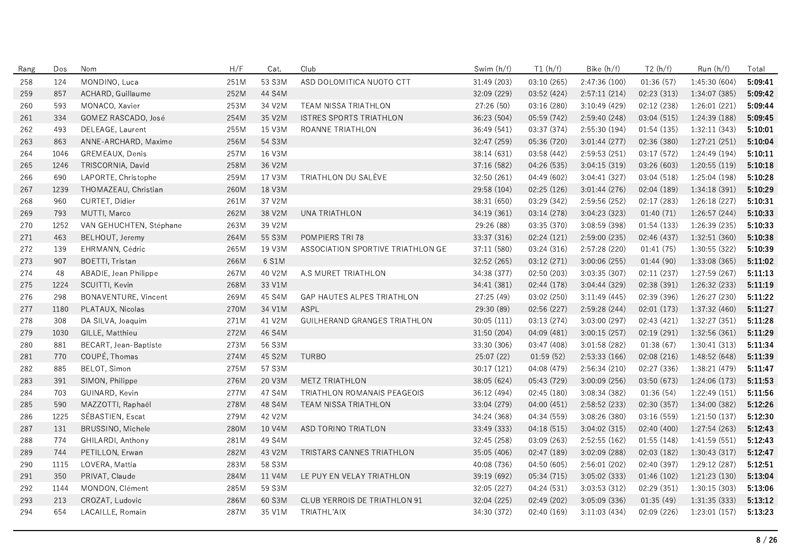| Rang | Dos  | Nom                     | H/F  | Cat.   | Club                              | Swim (h/f)  | T1(h/f)     | Bike (h/f)    | T2(h/f)     | Run(h/f)      | Total   |
|------|------|-------------------------|------|--------|-----------------------------------|-------------|-------------|---------------|-------------|---------------|---------|
| 258  | 124  | MONDINO, Luca           | 251M | 53 S3M | ASD DOLOMITICA NUOTO CTT          | 31:49 (203) | 03:10 (265) | 2:47:36 (100) | 01:36(57)   | 1:45:30 (604) | 5:09:41 |
| 259  | 857  | ACHARD, Guillaume       | 252M | 44 S4M |                                   | 32.09 (229) | 03:52 (424) | 2:57:11(214)  | 02:23 (313) | 1:34:07 (385) | 5:09:42 |
| 260  | 593  | MONACO, Xavier          | 253M | 34 V2M | TEAM NISSA TRIATHLON              | 27:26 (50)  | 03:16 (280) | 3:10:49 (429) | 02:12 (238) | 1:26:01(221)  | 5:09:44 |
| 261  | 334  | GOMEZ RASCADO, José     | 254M | 35 V2M | ISTRES SPORTS TRIATHLON           | 36:23 (504) | 05:59 (742) | 2:59:40 (248) | 03:04 (515) | 1:24:39 (188) | 5:09:45 |
| 262  | 493  | DELEAGE, Laurent        | 255M | 15 V3M | ROANNE TRIATHLON                  | 36:49 (541) | 03:37 (374) | 2:55:30 (194) | 01:54(135)  | 1:32:11(343)  | 5:10:01 |
| 263  | 863  | ANNE-ARCHARD, Maxime    | 256M | 54 S3M |                                   | 32:47 (259) | 05:36 (720) | 3:01:44 (277) | 02:36 (380) | 1:27:21(251)  | 5:10:04 |
| 264  | 1046 | GREMEAUX, Denis         | 257M | 16 V3M |                                   | 38:14 (631) | 03:58 (442) | 2:59:53(251)  | 03:17 (572) | 1:24:49 (194) | 5:10:11 |
| 265  | 1246 | TRISCORNIA, David       | 258M | 36 V2M |                                   | 37:16 (582) | 04:26 (535) | 3:04:15(319)  | 03:26 (603) | 1:20:55(119)  | 5:10:18 |
| 266  | 690  | LAPORTE, Christophe     | 259M | 17 V3M | TRIATHLON DU SALÈVE               | 32:50 (261) | 04:49 (602) | 3:04:41 (327) | 03:04 (518) | 1:25:04 (198) | 5:10:28 |
| 267  | 1239 | THOMAZEAU, Christian    | 260M | 18 V3M |                                   | 29:58 (104) | 02:25 (126) | 3:01:44(276)  | 02:04(189)  | 1:34:18(391)  | 5:10:29 |
| 268  | 960  | CURTET, Didier          | 261M | 37 V2M |                                   | 38:31 (650) | 03:29 (342) | 2:59:56 (252) | 02:17 (283) | 1:26:18(227)  | 5:10:31 |
| 269  | 793  | MUTTI, Marco            | 262M | 38 V2M | UNA TRIATHLON                     | 34:19 (361) | 03:14 (278) | 3:04:23(323)  | 01:40(71)   | 1:26:57(244)  | 5:10:33 |
| 270  | 1252 | VAN GEHUCHTEN, Stéphane | 263M | 39 V2M |                                   | 29:26 (88)  | 03:35 (370) | 3:08:59(398)  | 01:54 (133) | 1:26:39 (235) | 5:10:33 |
| 271  | 463  | BELHOUT, Jeremy         | 264M | 55 S3M | POMPIERS TRI 78                   | 33:37 (316) | 02:24 (121) | 2:59:00 (235) | 02:46 (437) | 1:32:51 (360) | 5:10:38 |
| 272  | 139  | EHRMANN, Cédric         | 265M | 19 V3M | ASSOCIATION SPORTIVE TRIATHLON GE | 37:11 (580) | 03:24 (316) | 2:57:28 (220) | 01:41(75)   | 1:30:55(322)  | 5:10:39 |
| 273  | 907  | <b>BOETTI, Tristan</b>  | 266M | 6 S1M  |                                   | 32:52 (265) | 03:12 (271) | 3:00:06(255)  | 01:44(90)   | 1:33:08 (365) | 5:11:02 |
| 274  | 48   | ABADIE, Jean Philippe   | 267M | 40 V2M | A.S MURET TRIATHLON               | 34:38 (377) | 02:50 (203) | 3:03:35(307)  | 02:11 (237) | 1:27:59 (267) | 5:11:13 |
| 275  | 1224 | SCUITTI, Kevin          | 268M | 33 V1M |                                   | 34:41 (381) | 02:44 (178) | 3:04:44 (329) | 02:38 (391) | 1:26:32(233)  | 5:11:19 |
| 276  | 298  | BONAVENTURE, Vincent    | 269M | 45 S4M | GAP HAUTES ALPES TRIATHLON        | 27:25 (49)  | 03:02 (250) | 3:11:49(445)  | 02:39 (396) | 1:26:27 (230) | 5:11:22 |
| 277  | 1180 | PLATAUX, Nicolas        | 270M | 34 V1M | ASPL                              | 29:30 (89)  | 02:56 (227) | 2:59:28 (244) | 02:01(173)  | 1:37:32 (460) | 5:11:27 |
| 278  | 308  | DA SILVA, Joaquim       | 271M | 41 V2M | GUILHERAND GRANGES TRIATHLON      | 30:05(111)  | 03:13 (274) | 3:03:00 (297) | 02:43 (421) | 1:32:27(351)  | 5:11:28 |
| 279  | 1030 | GILLE, Matthieu         | 272M | 46 S4M |                                   | 31:50 (204) | 04:09 (481) | 3:00:15(257)  | 02:19 (291) | 1:32:56 (361) | 5:11:29 |
| 280  | 881  | BECART, Jean-Baptiste   | 273M | 56 S3M |                                   | 33:30 (306) | 03:47 (408) | 3:01:58(282)  | 01:38(67)   | 1:30:41(313)  | 5:11:34 |
| 281  | 770  | COUPÉ, Thomas           | 274M | 45 S2M | <b>TURBO</b>                      | 25:07 (22)  | 01:59(52)   | 2:53:33(166)  | 02:08(216)  | 1:48:52 (648) | 5:11:39 |
| 282  | 885  | BELOT, Simon            | 275M | 57 S3M |                                   | 30:17(121)  | 04:08 (479) | 2:56:34(210)  | 02:27 (336) | 1:38:21 (479) | 5:11:47 |
| 283  | 391  | SIMON, Philippe         | 276M | 20 V3M | <b>METZ TRIATHLON</b>             | 38:05 (624) | 05:43 (729) | 3:00:09(256)  | 03:50 (673) | 1:24:06 (173) | 5:11:53 |
| 284  | 703  | GUINARD, Kevin          | 277M | 47 S4M | TRIATHLON ROMANAIS PEAGEOIS       | 36:12 (494) | 02:45 (180) | 3:08:34(382)  | 01:36(54)   | 1:22:49 (151) | 5:11:56 |
| 285  | 590  | MAZZOTTI, Raphaël       | 278M | 48 S4M | TEAM NISSA TRIATHLON              | 33:04 (279) | 04:00(451)  | 2:58:52 (233) | 02:30 (357) | 1:34:00 (382) | 5:12:26 |
| 286  | 1225 | SÉBASTIEN, Escat        | 279M | 42 V2M |                                   | 34:24 (368) | 04:34 (559) | 3:08:26 (380) | 03:16 (559) | 1:21:50 (137) | 5:12:30 |
| 287  | 131  | BRUSSINO, Michele       | 280M | 10 V4M | ASD TORINO TRIATLON               | 33:49 (333) | 04:18 (515) | 3:04:02 (315) | 02:40 (400) | 1:27:54 (263) | 5:12:43 |
| 288  | 774  | GHILARDI, Anthony       | 281M | 49 S4M |                                   | 32:45 (258) | 03:09 (263) | 2:52:55 (162) | 01:55(148)  | 1:41:59(551)  | 5:12:43 |
| 289  | 744  | PETILLON, Erwan         | 282M | 43 V2M | TRISTARS CANNES TRIATHLON         | 35:05 (406) | 02:47 (189) | 3:02:09(288)  | 02:03(182)  | 1:30:43(317)  | 5:12:47 |
| 290  | 1115 | LOVERA, Mattia          | 283M | 58 S3M |                                   | 40:08 (736) | 04:50 (605) | 2:56:01(202)  | 02:40 (397) | 1:29:12 (287) | 5:12:51 |
| 291  | 350  | PRIVAT, Claude          | 284M | 11 V4M | LE PUY EN VELAY TRIATHLON         | 39:19 (692) | 05:34 (715) | 3:05:02 (333) | 01:46 (102) | 1:21:23 (130) | 5:13:04 |
| 292  | 1144 | MONDON, Clément         | 285M | 59 S3M |                                   | 32:05 (227) | 04:24 (531) | 3:03:53(312)  | 02:29 (351) | 1:30:15(303)  | 5:13:06 |
| 293  | 213  | CROZAT, Ludovic         | 286M | 60 S3M | CLUB YERROIS DE TRIATHLON 91      | 32:04 (225) | 02:49 (202) | 3:05:09(336)  | 01:35(49)   | 1:31:35(333)  | 5:13:12 |
| 294  | 654  | LACAILLE, Romain        | 287M | 35 V1M | TRIATHL'AIX                       | 34:30 (372) | 02:40 (169) | 3:11:03(434)  | 02:09(226)  | 1:23:01(157)  | 5:13:23 |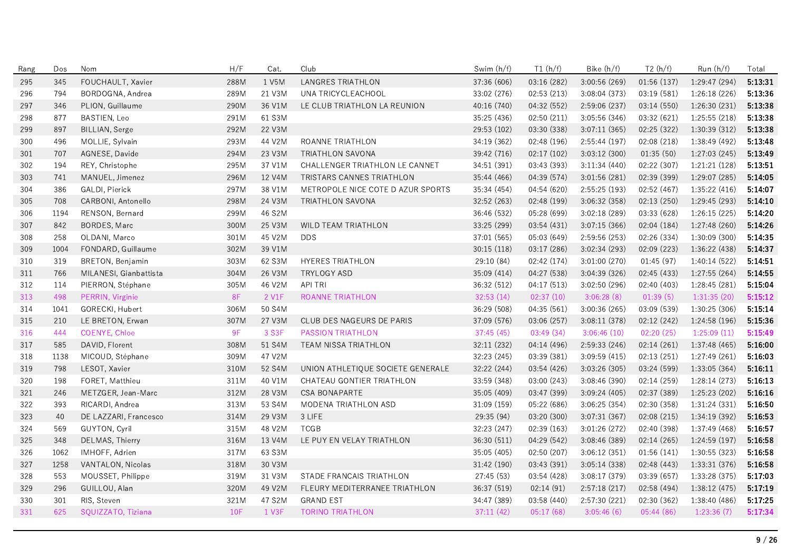| Rang | Dos  | Nom                    | H/F  | Cat.   | Club                                  | Swim (h/f)  | T1(h/f)     | Bike (h/f)    | T2(h/f)     | Run (h/f)     | Total   |
|------|------|------------------------|------|--------|---------------------------------------|-------------|-------------|---------------|-------------|---------------|---------|
| 295  | 345  | FOUCHAULT, Xavier      | 288M | 1 V5M  | <b>LANGRES TRIATHLON</b>              | 37:36 (606) | 03:16 (282) | 3:00:56 (269) | 01:56(137)  | 1:29:47 (294) | 5:13:31 |
| 296  | 794  | BORDOGNA, Andrea       | 289M | 21 V3M | UNA TRICYCLEACHOOL                    | 33:02 (276) | 02:53(213)  | 3:08:04 (373) | 03:19 (581) | 1:26:18 (226) | 5:13:36 |
| 297  | 346  | PLION, Guillaume       | 290M | 36 V1M | LE CLUB TRIATHLON LA REUNION          | 40:16 (740) | 04:32 (552) | 2:59:06 (237) | 03:14 (550) | 1:26:30 (231) | 5:13:38 |
| 298  | 877  | BASTIEN, Leo           | 291M | 61 S3M |                                       | 35:25 (436) | 02:50 (211) | 3:05:56 (346) | 03:32 (621) | 1:25:55 (218) | 5:13:38 |
| 299  | 897  | BILLIAN, Serge         | 292M | 22 V3M |                                       | 29:53 (102) | 03:30 (338) | 3:07:11(365)  | 02:25 (322) | 1:30:39 (312) | 5:13:38 |
| 300  | 496  | MOLLIE, Sylvain        | 293M | 44 V2M | ROANNE TRIATHLON                      | 34:19 (362) | 02:48 (196) | 2:55:44 (197) | 02:08 (218) | 1:38:49 (492) | 5:13:48 |
| 301  | 707  | AGNESE, Davide         | 294M | 23 V3M | <b>TRIATHLON SAVONA</b>               | 39:42 (716) | 02:17(102)  | 3:03:12(300)  | 01:35(50)   | 1:27:03(245)  | 5:13:49 |
| 302  | 194  | REY, Christophe        | 295M | 37 V1M | <b>CHALLENGER TRIATHLON LE CANNET</b> | 34:51 (391) | 03:43 (393) | 3:11:34(440)  | 02:22 (307) | 1:21:21(128)  | 5:13:51 |
| 303  | 741  | MANUEL, Jimenez        | 296M | 12 V4M | TRISTARS CANNES TRIATHLON             | 35:44 (466) | 04:39 (574) | 3:01:56 (281) | 02:39 (399) | 1:29:07 (285) | 5:14:05 |
| 304  | 386  | GALDI, Pierick         | 297M | 38 V1M | METROPOLE NICE COTE D AZUR SPORTS     | 35:34 (454) | 04:54 (620) | 2:55:25 (193) | 02:52(467)  | 1:35:22(416)  | 5:14:07 |
| 305  | 708  | CARBONI, Antonello     | 298M | 24 V3M | <b>TRIATHLON SAVONA</b>               | 32:52 (263) | 02:48 (199) | 3:06:32 (358) | 02:13(250)  | 1:29:45 (293) | 5:14:10 |
| 306  | 1194 | RENSON, Bernard        | 299M | 46 S2M |                                       | 36:46 (532) | 05:28 (699) | 3:02:18(289)  | 03:33 (628) | 1:26:15(225)  | 5:14:20 |
| 307  | 842  | BORDES, Marc           | 300M | 25 V3M | WILD TEAM TRIATHLON                   | 33:25 (299) | 03:54 (431) | 3:07:15(366)  | 02:04(184)  | 1:27:48 (260) | 5:14:26 |
| 308  | 258  | OLDANI, Marco          | 301M | 45 V2M | <b>DDS</b>                            | 37:01 (565) | 05:03 (649) | 2:59:56(253)  | 02:26 (334) | 1:30:09(300)  | 5:14:35 |
| 309  | 1004 | FONDARD, Guillaume     | 302M | 39 V1M |                                       | 30:15(118)  | 03:17 (286) | 3:02:34(293)  | 02:09(223)  | 1:36:22(438)  | 5:14:37 |
| 310  | 319  | BRETON, Benjamin       | 303M | 62 S3M | <b>HYERES TRIATHLON</b>               | 29:10 (84)  | 02:42 (174) | 3:01:00 (270) | 01:45(97)   | 1:40:14(522)  | 5:14:51 |
| 311  | 766  | MILANESI, Gianbattista | 304M | 26 V3M | TRYLOGY ASD                           | 35:09 (414) | 04:27 (538) | 3:04:39 (326) | 02:45 (433) | 1:27:55 (264) | 5:14:55 |
| 312  | 114  | PIERRON, Stéphane      | 305M | 46 V2M | <b>API TRI</b>                        | 36:32 (512) | 04:17 (513) | 3:02:50 (296) | 02:40 (403) | 1:28:45(281)  | 5:15:04 |
| 313  | 498  | PERRIN, Virginie       | 8F   | 2 V1F  | ROANNE TRIATHLON                      | 32:53(14)   | 02:37(10)   | 3:06:28(8)    | 01:39(5)    | 1:31:35(20)   | 5:15:12 |
| 314  | 1041 | GORECKI, Hubert        | 306M | 50 S4M |                                       | 36:29 (508) | 04:35 (561) | 3:00:36(265)  | 03:09 (539) | 1:30:25(306)  | 5:15:14 |
| 315  | 210  | LE BRETON, Erwan       | 307M | 27 V3M | CLUB DES NAGEURS DE PARIS             | 37:09 (576) | 03:06 (257) | 3:08:11(378)  | 02:12 (242) | 1:24:58 (196) | 5:15:36 |
| 316  | 444  | COENYE, Chloe          | 9F   | 3 S3F  | <b>PASSION TRIATHLON</b>              | 37:45(45)   | 03:49 (34)  | 3:06:46(10)   | 02:20(25)   | 1:25:09(11)   | 5:15:49 |
| 317  | 585  | DAVID, Florent         | 308M | 51 S4M | <b>TEAM NISSA TRIATHLON</b>           | 32:11 (232) | 04:14 (496) | 2:59:33 (246) | 02:14(261)  | 1:37:48 (465) | 5:16:00 |
| 318  | 1138 | MICOUD, Stéphane       | 309M | 47 V2M |                                       | 32:23 (245) | 03:39 (381) | 3:09:59(415)  | 02:13(251)  | 1:27:49 (261) | 5:16:03 |
| 319  | 798  | LESOT, Xavier          | 310M | 52 S4M | UNION ATHLETIQUE SOCIETE GENERALE     | 32:22 (244) | 03:54 (426) | 3:03:26(305)  | 03:24 (599) | 1:33:05(364)  | 5:16:11 |
| 320  | 198  | FORET, Matthieu        | 311M | 40 V1M | CHATEAU GONTIER TRIATHLON             | 33:59 (348) | 03:00 (243) | 3:08:46 (390) | 02:14 (259) | 1:28:14(273)  | 5:16:13 |
| 321  | 246  | METZGER, Jean-Marc     | 312M | 28 V3M | <b>CSA BONAPARTE</b>                  | 35:05 (409) | 03:47 (399) | 3:09:24(405)  | 02:37 (389) | 1:25:23 (202) | 5:16:16 |
| 322  | 393  | RICARDI, Andrea        | 313M | 53 S4M | MODENA TRIATHLON ASD                  | 31:09 (159) | 05:22 (686) | 3:06:25(354)  | 02:30 (358) | 1:31:24 (331) | 5:16:50 |
| 323  | 40   | DE LAZZARI, Francesco  | 314M | 29 V3M | 3 LIFE                                | 29:35 (94)  | 03:20 (300) | 3:07:31 (367) | 02:08 (215) | 1:34:19 (392) | 5:16:53 |
| 324  | 569  | GUYTON, Cyril          | 315M | 48 V2M | <b>TCGB</b>                           | 32:23 (247) | 02:39 (163) | 3:01:26 (272) | 02:40 (398) | 1:37:49 (468) | 5:16:57 |
| 325  | 348  | DELMAS, Thierry        | 316M | 13 V4M | LE PUY EN VELAY TRIATHLON             | 36:30 (511) | 04:29 (542) | 3:08:46 (389) | 02:14(265)  | 1:24:59(197)  | 5:16:58 |
| 326  | 1062 | IMHOFF, Adrien         | 317M | 63 S3M |                                       | 35:05 (405) | 02:50 (207) | 3:06:12(351)  | 01:56(141)  | 1:30:55 (323) | 5:16:58 |
| 327  | 1258 | VANTALON, Nicolas      | 318M | 30 V3M |                                       | 31:42 (190) | 03:43 (391) | 3:05:14(338)  | 02:48 (443) | 1:33:31 (376) | 5:16:58 |
| 328  | 553  | MOUSSET, Philippe      | 319M | 31 V3M | STADE FRANCAIS TRIATHLON              | 27:45 (53)  | 03:54 (428) | 3:08:17 (379) | 03:39 (657) | 1:33:28 (375) | 5:17:03 |
| 329  | 296  | GUILLOU, Alan          | 320M | 49 V2M | FLEURY MEDITERRANEE TRIATHLON         | 36:37 (519) | 02:14(91)   | 2:57:18(217)  | 02:58 (494) | 1:38:12 (475) | 5:17:19 |
| 330  | 301  | RIS, Steven            | 321M | 47 S2M | <b>GRAND EST</b>                      | 34:47 (389) | 03:58 (440) | 2:57:30 (221) | 02:30 (362) | 1:38:40 (486) | 5:17:25 |
| 331  | 625  | SQUIZZATO, Tiziana     | 10F  | 1 V3F  | <b>TORINO TRIATHLON</b>               | 37:11(42)   | 05:17(68)   | 3:05:46(6)    | 05:44(86)   | 1:23:36(7)    | 5:17:34 |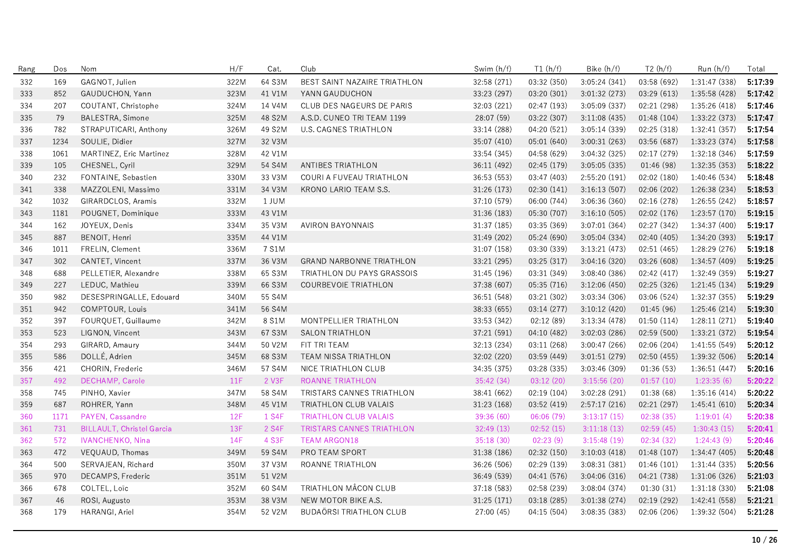| Rang | Dos  | Nom                              | H/F        | Cat.   | Club                            | Swim (h/f)  | T1(h/f)     | Bike (h/f)    | T2(h/f)     | Run (h/f)     | Total   |
|------|------|----------------------------------|------------|--------|---------------------------------|-------------|-------------|---------------|-------------|---------------|---------|
| 332  | 169  | GAGNOT, Julien                   | 322M       | 64 S3M | BEST SAINT NAZAIRE TRIATHLON    | 32.58 (271) | 03:32 (350) | 3:05:24(341)  | 03:58 (692) | 1:31:47 (338) | 5:17:39 |
| 333  | 852  | GAUDUCHON, Yann                  | 323M       | 41 V1M | YANN GAUDUCHON                  | 33.23 (297) | 03:20 (301) | 3:01:32 (273) | 03:29 (613) | 1:35:58 (428) | 5:17:42 |
| 334  | 207  | COUTANT, Christophe              | 324M       | 14 V4M | CLUB DES NAGEURS DE PARIS       | 32:03 (221) | 02:47 (193) | 3:05:09 (337) | 02:21 (298) | 1:35:26 (418) | 5:17:46 |
| 335  | 79   | BALESTRA, Simone                 | 325M       | 48 S2M | A.S.D. CUNEO TRI TEAM 1199      | 28:07 (59)  | 03:22 (307) | 3:11:08(435)  | 01:48 (104) | 1:33:22 (373) | 5:17:47 |
| 336  | 782  | STRAPUTICARI, Anthony            | 326M       | 49 S2M | U.S. CAGNES TRIATHLON           | 33:14 (288) | 04:20 (521) | 3:05:14 (339) | 02:25 (318) | 1:32:41 (357) | 5:17:54 |
| 337  | 1234 | SOULIE, Didier                   | 327M       | 32 V3M |                                 | 35:07 (410) | 05:01 (640) | 3:00:31(263)  | 03:56 (687) | 1:33:23 (374) | 5:17:58 |
| 338  | 1061 | MARTINEZ, Eric Martinez          | 328M       | 42 V1M |                                 | 33:54 (345) | 04:58 (629) | 3:04:32 (325) | 02:17 (279) | 1:32:18 (346) | 5:17:59 |
| 339  | 105  | CHESNEL, Cyril                   | 329M       | 54 S4M | ANTIBES TRIATHLON               | 36:11 (492) | 02:45 (179) | 3:05:05 (335) | 01:46 (98)  | 1:32:35 (353) | 5:18:22 |
| 340  | 232  | FONTAINE, Sebastien              | 330M       | 33 V3M | COURI A FUVEAU TRIATHLON        | 36:53 (553) | 03:47 (403) | 2:55:20(191)  | 02:02(180)  | 1:40:46 (534) | 5:18:48 |
| 341  | 338  | MAZZOLENI, Massimo               | 331M       | 34 V3M | KRONO LARIO TEAM S.S.           | 31:26 (173) | 02:30 (141) | 3:16:13(507)  | 02:06 (202) | 1:26:38 (234) | 5:18:53 |
| 342  | 1032 | GIRARDCLOS, Aramis               | 332M       | 1 JUM  |                                 | 37:10 (579) | 06:00 (744) | 3:06:36 (360) | 02:16 (278) | 1:26:55 (242) | 5:18:57 |
| 343  | 1181 | POUGNET, Dominique               | 333M       | 43 V1M |                                 | 31:36 (183) | 05:30 (707) | 3:16:10(505)  | 02:02 (176) | 1:23:57(170)  | 5:19:15 |
| 344  | 162  | JOYEUX, Denis                    | 334M       | 35 V3M | <b>AVIRON BAYONNAIS</b>         | 31:37 (185) | 03:35(369)  | 3:07:01(364)  | 02:27 (342) | 1:34:37 (400) | 5:19:17 |
| 345  | 887  | BENOIT, Henri                    | 335M       | 44 V1M |                                 | 31:49 (202) | 05:24 (690) | 3:05:04 (334) | 02:40 (405) | 1:34:20 (393) | 5:19:17 |
| 346  | 1011 | FRELIN, Clement                  | 336M       | 7 S1M  |                                 | 31:07 (158) | 03:30 (339) | 3:13:21(473)  | 02:51(465)  | 1:28:29 (276) | 5:19:18 |
| 347  | 302  | CANTET, Vincent                  | 337M       | 36 V3M | <b>GRAND NARBONNE TRIATHLON</b> | 33:21 (295) | 03:25 (317) | 3:04:16 (320) | 03:26 (608) | 1:34:57 (409) | 5:19:25 |
| 348  | 688  | PELLETIER, Alexandre             | 338M       | 65 S3M | TRIATHLON DU PAYS GRASSOIS      | 31:45 (196) | 03:31 (349) | 3:08:40 (386) | 02:42 (417) | 1:32:49 (359) | 5:19:27 |
| 349  | 227  | LEDUC, Mathieu                   | 339M       | 66 S3M | COURBEVOIE TRIATHLON            | 37:38 (607) | 05:35 (716) | 3:12:06(450)  | 02:25 (326) | 1:21:45(134)  | 5:19:29 |
| 350  | 982  | DESESPRINGALLE, Edouard          | 340M       | 55 S4M |                                 | 36:51 (548) | 03:21 (302) | 3:03:34(306)  | 03:06 (524) | 1:32:37(355)  | 5:19:29 |
| 351  | 942  | <b>COMPTOUR, Louis</b>           | 341M       | 56 S4M |                                 | 38:33 (655) | 03:14 (277) | 3:10:12(420)  | 01:45 (96)  | 1:25:46 (214) | 5:19:30 |
| 352  | 397  | FOURQUET, Guillaume              | 342M       | 8 S1M  | MONTPELLIER TRIATHLON           | 33:53 (342) | 02:12(89)   | 3:13:34(478)  | 01:50(114)  | 1:28:11(271)  | 5:19:40 |
| 353  | 523  | LIGNON, Vincent                  | 343M       | 67 S3M | <b>SALON TRIATHLON</b>          | 37:21 (591) | 04:10 (482) | 3:02:03(286)  | 02:59(500)  | 1:33:21 (372) | 5:19:54 |
| 354  | 293  | GIRARD, Amaury                   | 344M       | 50 V2M | FIT TRI TEAM                    | 32:13 (234) | 03:11 (268) | 3:00:47 (266) | 02:06 (204) | 1:41:55 (549) | 5:20:12 |
| 355  | 586  | DOLLÉ, Adrien                    | 345M       | 68 S3M | <b>TEAM NISSA TRIATHLON</b>     | 32:02 (220) | 03:59 (449) | 3:01:51(279)  | 02:50(455)  | 1:39:32 (506) | 5:20:14 |
| 356  | 421  | CHORIN, Frederic                 | 346M       | 57 S4M | NICE TRIATHLON CLUB             | 34:35 (375) | 03:28 (335) | 3:03:46 (309) | 01:36(53)   | 1:36:51(447)  | 5:20:16 |
| 357  | 492  | DECHAMP, Carole                  | 11F        | 2 V3F  | ROANNE TRIATHLON                | 35:42 (34)  | 03:12(20)   | 3:15:56(20)   | 01:57(10)   | 1:23:35(6)    | 5:20:22 |
| 358  | 745  | PINHO, Xavier                    | 347M       | 58 S4M | TRISTARS CANNES TRIATHLON       | 38:41 (662) | 02:19(104)  | 3:02:28(291)  | 01:38(68)   | 1:35:16(414)  | 5:20:22 |
| 359  | 687  | ROHRER, Yann                     | 348M       | 45 V1M | TRIATHLON CLUB VALAIS           | 31:23 (168) | 03:52 (419) | 2:57:17 (216) | 02:21(297)  | 1:45:41(610)  | 5:20:34 |
| 360  | 1171 | PAYEN, Cassandre                 | 12F        | 1 S4F  | <b>TRIATHLON CLUB VALAIS</b>    | 39:36 (60)  | 06:06(79)   | 3:13:17(15)   | 02:38(35)   | 1:19:01(4)    | 5:20:38 |
| 361  | 731  | <b>BILLAULT, Christel Garcia</b> | 13F        | 2 S4F  | TRISTARS CANNES TRIATHLON       | 32:49 (13)  | 02:52(15)   | 3:11:18(13)   | 02:59(45)   | 1:30:43(15)   | 5:20:41 |
| 362  | 572  | IVANCHENKO, Nina                 | <b>14F</b> | 4 S3F  | <b>TEAM ARGON18</b>             | 35:18 (30)  | 02:23(9)    | 3:15:48(19)   | 02:34(32)   | 1:24:43(9)    | 5:20:46 |
| 363  | 472  | VEQUAUD, Thomas                  | 349M       | 59 S4M | <b>PRO TEAM SPORT</b>           | 31:38 (186) | 02:32 (150) | 3:10:03(418)  | 01:48(107)  | 1:34:47 (405) | 5:20:48 |
| 364  | 500  | SERVAJEAN, Richard               | 350M       | 37 V3M | ROANNE TRIATHLON                | 36:26 (506) | 02:29 (139) | 3:08:31 (381) | 01:46(101)  | 1:31:44 (335) | 5:20:56 |
| 365  | 970  | DECAMPS, Frederic                | 351M       | 51 V2M |                                 | 36:49 (539) | 04:41 (576) | 3:04:06 (316) | 04:21 (738) | 1:31:06 (326) | 5:21:03 |
| 366  | 678  | COLTEL, Loïc                     | 352M       | 60 S4M | TRIATHLON MÂCON CLUB            | 37:18 (583) | 02:58 (239) | 3:08:04(374)  | 01:30(31)   | 1:31:18(330)  | 5:21:08 |
| 367  | 46   | ROSI, Augusto                    | 353M       | 38 V3M | NEW MOTOR BIKE A.S.             | 31:25 (171) | 03:18 (285) | 3:01:38 (274) | 02:19(292)  | 1:42:41 (558) | 5:21:21 |
| 368  | 179  | HARANGI, Ariel                   | 354M       | 52 V2M | BUDAÖRSI TRIATHLON CLUB         | 27:00(45)   | 04:15(504)  | 3:08:35(383)  | 02:06(206)  | 1:39:32 (504) | 5:21:28 |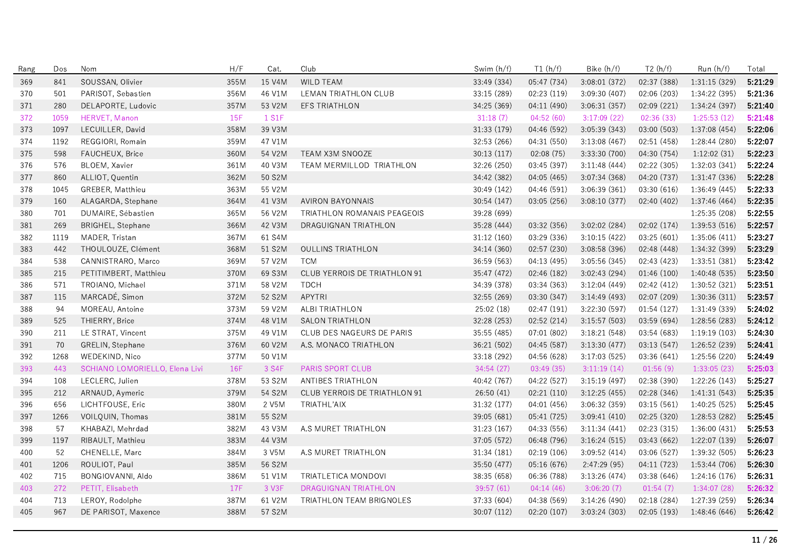| Rang | Dos  | Nom                                   | H/F  | Cat.   | Club                                | Swim (h/f)  | T1(h/f)     | Bike (h/f)    | T2(h/f)     | Run (h/f)     | Total   |
|------|------|---------------------------------------|------|--------|-------------------------------------|-------------|-------------|---------------|-------------|---------------|---------|
| 369  | 841  | SOUSSAN, Olivier                      | 355M | 15 V4M | <b>WILD TEAM</b>                    | 33:49 (334) | 05:47 (734) | 3:08:01 (372) | 02:37 (388) | 1:31:15 (329) | 5:21:29 |
| 370  | 501  | PARISOT, Sebastien                    | 356M | 46 V1M | LEMAN TRIATHLON CLUB                | 33:15 (289) | 02:23 (119) | 3:09:30 (407) | 02:06 (203) | 1:34:22 (395) | 5:21:36 |
| 371  | 280  | DELAPORTE, Ludovic                    | 357M | 53 V2M | <b>EFS TRIATHLON</b>                | 34:25 (369) | 04:11 (490) | 3:06:31(357)  | 02:09(221)  | 1:34:24 (397) | 5:21:40 |
| 372  | 1059 | HERVET, Manon                         | 15F  | 1 S1F  |                                     | 31:18(7)    | 04:52(60)   | 3:17:09(22)   | 02:36(33)   | 1:25:53(12)   | 5:21:48 |
| 373  | 1097 | LECUILLER, David                      | 358M | 39 V3M |                                     | 31:33 (179) | 04:46 (592) | 3:05:39 (343) | 03:00 (503) | 1:37:08 (454) | 5:22:06 |
| 374  | 1192 | REGGIORI, Romain                      | 359M | 47 V1M |                                     | 32:53 (266) | 04:31 (550) | 3:13:08(467)  | 02:51 (458) | 1:28:44 (280) | 5:22:07 |
| 375  | 598  | FAUCHEUX, Brice                       | 360M | 54 V2M | TEAM X3M SNOOZE                     | 30:13 (117) | 02:08 (75)  | 3:33:30 (700) | 04:30 (754) | 1:12:02(31)   | 5:22:23 |
| 376  | 576  | <b>BLOEM, Xavier</b>                  | 361M | 40 V3M | TEAM MERMILLOD TRIATHLON            | 32:26 (250) | 03:45 (397) | 3:11:48(444)  | 02:22 (305) | 1:32:03(341)  | 5:22:24 |
| 377  | 860  | ALLIOT, Quentin                       | 362M | 50 S2M |                                     | 34:42 (382) | 04:05 (465) | 3:07:34 (368) | 04:20 (737) | 1:31:47 (336) | 5:22:28 |
| 378  | 1045 | GREBER, Matthieu                      | 363M | 55 V2M |                                     | 30:49 (142) | 04:46 (591) | 3:06:39 (361) | 03:30 (616) | 1:36:49 (445) | 5:22:33 |
| 379  | 160  | ALAGARDA, Stephane                    | 364M | 41 V3M | <b>AVIRON BAYONNAIS</b>             | 30:54(147)  | 03:05(256)  | 3:08:10(377)  | 02:40(402)  | 1:37:46(464)  | 5:22:35 |
| 380  | 701  | DUMAIRE, Sébastien                    | 365M | 56 V2M | TRIATHLON ROMANAIS PEAGEOIS         | 39:28 (699) |             |               |             | 1:25:35 (208) | 5:22:55 |
| 381  | 269  | BRIGHEL, Stephane                     | 366M | 42 V3M | DRAGUIGNAN TRIATHLON                | 35:28 (444) | 03:32 (356) | 3:02:02 (284) | 02:02 (174) | 1:39:53 (516) | 5:22:57 |
| 382  | 1119 | MADER, Tristan                        | 367M | 61 S4M |                                     | 31:12(160)  | 03:29 (336) | 3:10:15(422)  | 03:25(601)  | 1:35:06(411)  | 5:23:27 |
| 383  | 442  | THOULOUZE, Clément                    | 368M | 51 S2M | <b>OULLINS TRIATHLON</b>            | 34:14 (360) | 02:57 (230) | 3:08:58(396)  | 02:48 (448) | 1:34:32 (399) | 5:23:29 |
| 384  | 538  | CANNISTRARO, Marco                    | 369M | 57 V2M | <b>TCM</b>                          | 36:59 (563) | 04:13 (495) | 3:05:56 (345) | 02:43 (423) | 1:33:51(381)  | 5:23:42 |
| 385  | 215  | PETITIMBERT, Matthieu                 | 370M | 69 S3M | CLUB YERROIS DE TRIATHLON 91        | 35:47 (472) | 02:46 (182) | 3:02:43(294)  | 01:46(100)  | 1:40:48 (535) | 5:23:50 |
| 386  | 571  | TROIANO, Michael                      | 371M | 58 V2M | <b>TDCH</b>                         | 34:39 (378) | 03:34 (363) | 3:12:04(449)  | 02:42 (412) | 1:30:52 (321) | 5:23:51 |
| 387  | 115  | MARCADÉ, Simon                        | 372M | 52 S2M | <b>APYTRI</b>                       | 32:55 (269) | 03:30 (347) | 3:14:49(493)  | 02:07 (209) | 1:30:36(311)  | 5:23:57 |
| 388  | 94   | MOREAU, Antoine                       | 373M | 59 V2M | ALBI TRIATHLON                      | 25:02 (18)  | 02:47(191)  | 3:22:30 (597) | 01:54(127)  | 1:31:49 (339) | 5:24:02 |
| 389  | 525  | THIERRY, Brice                        | 374M | 48 V1M | <b>SALON TRIATHLON</b>              | 32:28 (253) | 02:52 (214) | 3:15:57(503)  | 03:59(694)  | 1:28:56(283)  | 5:24:12 |
| 390  | 211  | LE STRAT, Vincent                     | 375M | 49 V1M | CLUB DES NAGEURS DE PARIS           | 35:55 (485) | 07:01(802)  | 3:18:21(548)  | 03:54 (683) | 1:19:19(103)  | 5:24:30 |
| 391  | 70   | <b>GRELIN, Stephane</b>               | 376M | 60 V2M | A.S. MONACO TRIATHLON               | 36:21 (502) | 04:45 (587) | 3:13:30(477)  | 03:13 (547) | 1:26:52 (239) | 5:24:41 |
| 392  | 1268 | WEDEKIND, Nico                        | 377M | 50 V1M |                                     | 33:18 (292) | 04:56 (628) | 3:17:03(525)  | 03:36 (641) | 1:25:56 (220) | 5:24:49 |
| 393  | 443  | <b>SCHIANO LOMORIELLO, Elena Livi</b> | 16F  | 3 S4F  | <b>PARIS SPORT CLUB</b>             | 34:54(27)   | 03:49(35)   | 3:11:19(14)   | 01:56(9)    | 1:33:05(23)   | 5:25:03 |
| 394  | 108  | LECLERC, Julien                       | 378M | 53 S2M | ANTIBES TRIATHLON                   | 40:42 (767) | 04:22 (527) | 3:15:19(497)  | 02:38 (390) | 1:22:26 (143) | 5:25:27 |
| 395  | 212  | ARNAUD, Aymeric                       | 379M | 54 S2M | <b>CLUB YERROIS DE TRIATHLON 91</b> | 26:50(41)   | 02:21(110)  | 3:12:25(455)  | 02:28(346)  | 1:41:31(543)  | 5:25:35 |
| 396  | 656  | LICHTFOUSE, Eric                      | 380M | 2 V5M  | TRIATHL'AIX                         | 31:32 (177) | 04:01 (456) | 3:06:32 (359) | 03:15(561)  | 1:40:25 (525) | 5:25:45 |
| 397  | 1266 | VOILQUIN, Thomas                      | 381M | 55 S2M |                                     | 39:05 (681) | 05:41 (725) | 3:09:41(410)  | 02:25 (320) | 1:28:53 (282) | 5:25:45 |
| 398  | 57   | KHABAZI, Mehrdad                      | 382M | 43 V3M | A.S MURET TRIATHLON                 | 31:23 (167) | 04:33 (556) | 3:11:34(441)  | 02:23 (315) | 1:36:00 (431) | 5:25:53 |
| 399  | 1197 | RIBAULT, Mathieu                      | 383M | 44 V3M |                                     | 37:05 (572) | 06:48 (796) | 3:16:24(515)  | 03:43 (662) | 1:22:07 (139) | 5:26:07 |
| 400  | 52   | CHENELLE, Marc                        | 384M | 3 V5M  | A.S MURET TRIATHLON                 | 31:34 (181) | 02:19 (106) | 3:09:52(414)  | 03:06 (527) | 1:39:32 (505) | 5:26:23 |
| 401  | 1206 | ROULIOT, Paul                         | 385M | 56 S2M |                                     | 35:50 (477) | 05:16 (676) | 2:47:29(95)   | 04:11 (723) | 1:53:44 (706) | 5:26:30 |
| 402  | 715  | BONGIOVANNI, Aldo                     | 386M | 51 V1M | TRIATLETICA MONDOVI                 | 38:35 (658) | 06:36 (788) | 3:13:26 (474) | 03:38 (646) | 1:24:16 (176) | 5:26:31 |
| 403  | 272  | PETIT, Elisabeth                      | 17F  | 3 V3F  | <b>DRAGUIGNAN TRIATHLON</b>         | 39:57 (61)  | 04:14(46)   | 3:06:20(7)    | 01:54(7)    | 1:34:07(28)   | 5:26:32 |
| 404  | 713  | LEROY, Rodolphe                       | 387M | 61 V2M | TRIATHLON TEAM BRIGNOLES            | 37:33 (604) | 04:38 (569) | 3:14:26(490)  | 02:18 (284) | 1:27:39 (259) | 5:26:34 |
| 405  | 967  | DE PARISOT, Maxence                   | 388M | 57 S2M |                                     | 30:07 (112) | 02:20(107)  | 3:03:24 (303) | 02:05(193)  | 1:48:46 (646) | 5:26:42 |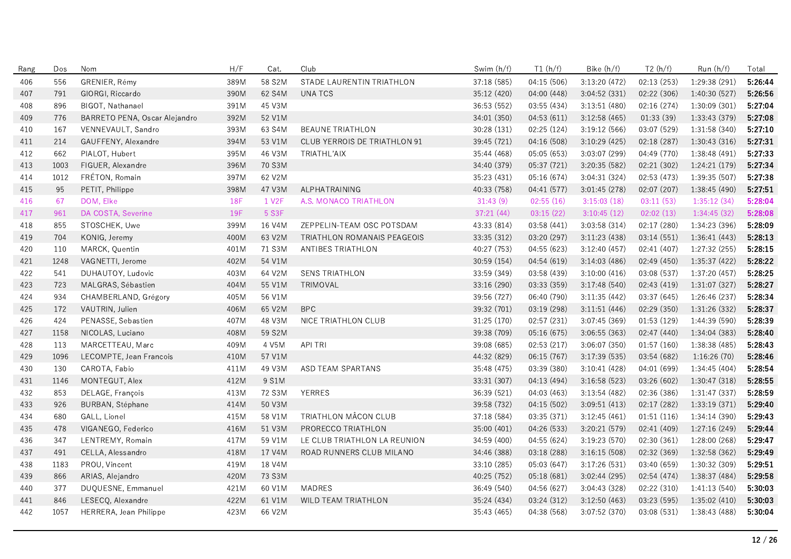| Rang | Dos  | Nom                           | H/F        | Cat.   | Club                                | Swim (h/f)  | T1(h/f)     | Bike (h/f)    | T2(h/f)     | Run (h/f)     | Total   |
|------|------|-------------------------------|------------|--------|-------------------------------------|-------------|-------------|---------------|-------------|---------------|---------|
| 406  | 556  | GRENIER, Rémy                 | 389M       | 58 S2M | STADE LAURENTIN TRIATHLON           | 37:18 (585) | 04:15 (506) | 3:13:20 (472) | 02:13 (253) | 1:29:38 (291) | 5:26:44 |
| 407  | 791  | GIORGI, Riccardo              | 390M       | 62 S4M | UNA TCS                             | 35:12 (420) | 04:00 (448) | 3:04:52 (331) | 02:22 (306) | 1:40:30 (527) | 5:26:56 |
| 408  | 896  | BIGOT, Nathanael              | 391M       | 45 V3M |                                     | 36:53 (552) | 03:55 (434) | 3:13:51(480)  | 02:16 (274) | 1:30:09(301)  | 5:27:04 |
| 409  | 776  | BARRETO PENA, Oscar Alejandro | 392M       | 52 V1M |                                     | 34:01 (350) | 04:53 (611) | 3:12:58(465)  | 01:33(39)   | 1:33:43 (379) | 5:27:08 |
| 410  | 167  | VENNEVAULT, Sandro            | 393M       | 63 S4M | <b>BEAUNE TRIATHLON</b>             | 30:28 (131) | 02:25(124)  | 3:19:12(566)  | 03:07 (529) | 1:31:58 (340) | 5:27:10 |
| 411  | 214  | GAUFFENY, Alexandre           | 394M       | 53 V1M | <b>CLUB YERROIS DE TRIATHLON 91</b> | 39:45 (721) | 04:16 (508) | 3:10:29 (425) | 02:18 (287) | 1:30:43 (316) | 5:27:31 |
| 412  | 662  | PIALOT, Hubert                | 395M       | 46 V3M | TRIATHL'AIX                         | 35:44 (468) | 05:05 (653) | 3:03:07 (299) | 04:49 (770) | 1:38:48 (491) | 5:27:33 |
| 413  | 1003 | FIGUER, Alexandre             | 396M       | 70 S3M |                                     | 34:40 (379) | 05:37 (721) | 3:20:35 (582) | 02:21 (302) | 1:24:21 (179) | 5:27:34 |
| 414  | 1012 | FRÉTON, Romain                | 397M       | 62 V2M |                                     | 35:23 (431) | 05:16 (674) | 3:04:31 (324) | 02:53 (473) | 1:39:35 (507) | 5:27:38 |
| 415  | 95   | PETIT, Philippe               | 398M       | 47 V3M | ALPHATRAINING                       | 40:33 (758) | 04:41 (577) | 3:01:45 (278) | 02:07 (207) | 1:38:45 (490) | 5:27:51 |
| 416  | 67   | DOM, Elke                     | <b>18F</b> | 1 V2F  | A.S. MONACO TRIATHLON               | 31:43(9)    | 02:55(16)   | 3:15:03(18)   | 03:11(53)   | 1:35:12(34)   | 5:28:04 |
| 417  | 961  | DA COSTA, Severine            | 19F        | 5 S3F  |                                     | 37:21(44)   | 03:15(22)   | 3:10:45(12)   | 02:02(13)   | 1:34:45(32)   | 5:28:08 |
| 418  | 855  | STOSCHEK, Uwe                 | 399M       | 16 V4M | ZEPPELIN-TEAM OSC POTSDAM           | 43:33 (814) | 03:58 (441) | 3:03:58(314)  | 02:17(280)  | 1:34:23 (396) | 5:28:09 |
| 419  | 704  | KONIG, Jeremy                 | 400M       | 63 V2M | TRIATHLON ROMANAIS PEAGEOIS         | 33:35 (312) | 03:20 (297) | 3:11:23(438)  | 03:14(551)  | 1:36:41(443)  | 5:28:13 |
| 420  | 110  | MARCK, Quentin                | 401M       | 71 S3M | ANTIBES TRIATHLON                   | 40:27 (753) | 04:55 (623) | 3:12:40 (457) | 02:41 (407) | 1:27:32 (255) | 5:28:15 |
| 421  | 1248 | VAGNETTI, Jerome              | 402M       | 54 V1M |                                     | 30:59 (154) | 04:54 (619) | 3:14:03(486)  | 02:49 (450) | 1:35:37(422)  | 5:28:22 |
| 422  | 541  | DUHAUTOY, Ludovic             | 403M       | 64 V2M | <b>SENS TRIATHLON</b>               | 33:59 (349) | 03:58 (439) | 3:10:00(416)  | 03:08 (537) | 1:37:20 (457) | 5:28:25 |
| 423  | 723  | MALGRAS, Sébastien            | 404M       | 55 V1M | TRIMOVAL                            | 33:16 (290) | 03:33(359)  | 3:17:48(540)  | 02:43 (419) | 1:31:07 (327) | 5:28:27 |
| 424  | 934  | CHAMBERLAND, Grégory          | 405M       | 56 V1M |                                     | 39:56 (727) | 06:40 (790) | 3:11:35(442)  | 03:37 (645) | 1:26:46 (237) | 5:28:34 |
| 425  | 172  | VAUTRIN, Julien               | 406M       | 65 V2M | <b>BPC</b>                          | 39:32 (701) | 03:19 (298) | 3:11:51(446)  | 02:29 (350) | 1:31:26 (332) | 5:28:37 |
| 426  | 424  | PENASSE, Sebastien            | 407M       | 48 V3M | NICE TRIATHLON CLUB                 | 31:25 (170) | 02:57 (231) | 3:07:45 (369) | 01:53 (129) | 1:44:39 (590) | 5:28:39 |
| 427  | 1158 | NICOLAS, Luciano              | 408M       | 59 S2M |                                     | 39:38 (709) | 05:16 (675) | 3:06:55(363)  | 02:47 (440) | 1:34:04(383)  | 5:28:40 |
| 428  | 113  | MARCETTEAU, Marc              | 409M       | 4 V5M  | <b>API TRI</b>                      | 39:08 (685) | 02:53(217)  | 3:06:07 (350) | 01:57(160)  | 1:38:38 (485) | 5:28:43 |
| 429  | 1096 | LECOMPTE, Jean Francois       | 410M       | 57 V1M |                                     | 44:32 (829) | 06:15(767)  | 3:17:39(535)  | 03:54 (682) | 1:16:26(70)   | 5:28:46 |
| 430  | 130  | CAROTA, Fabio                 | 411M       | 49 V3M | ASD TEAM SPARTANS                   | 35:48 (475) | 03:39 (380) | 3:10:41(428)  | 04:01 (699) | 1:34:45 (404) | 5:28:54 |
| 431  | 1146 | MONTEGUT, Alex                | 412M       | 9 S1M  |                                     | 33:31 (307) | 04:13 (494) | 3:16:58(523)  | 03:26 (602) | 1:30:47 (318) | 5:28:55 |
| 432  | 853  | DELAGE, François              | 413M       | 72 S3M | <b>YERRES</b>                       | 36:39 (521) | 04:03 (463) | 3:13:54(482)  | 02:36 (386) | 1:31:47 (337) | 5:28:59 |
| 433  | 926  | BURBAN, Stéphane              | 414M       | 50 V3M |                                     | 39:58 (732) | 04:15 (502) | 3:09:51(413)  | 02:17 (282) | 1:33:19 (371) | 5:29:40 |
| 434  | 680  | GALL, Lionel                  | 415M       | 58 V1M | TRIATHLON MÂCON CLUB                | 37:18 (584) | 03:35 (371) | 3:12:45(461)  | 01:51(116)  | 1:34:14 (390) | 5:29:43 |
| 435  | 478  | VIGANEGO, Federico            | 416M       | 51 V3M | PRORECCO TRIATHLON                  | 35:00 (401) | 04:26 (533) | 3:20:21 (579) | 02:41 (409) | 1:27:16 (249) | 5:29:44 |
| 436  | 347  | LENTREMY, Romain              | 417M       | 59 V1M | LE CLUB TRIATHLON LA REUNION        | 34:59 (400) | 04:55 (624) | 3:19:23 (570) | 02:30 (361) | 1:28:00 (268) | 5:29:47 |
| 437  | 491  | CELLA, Alessandro             | 418M       | 17 V4M | ROAD RUNNERS CLUB MILANO            | 34:46 (388) | 03:18 (288) | 3:16:15(508)  | 02:32 (369) | 1:32:58 (362) | 5:29:49 |
| 438  | 1183 | PROU, Vincent                 | 419M       | 18 V4M |                                     | 33:10 (285) | 05:03 (647) | 3:17:26(531)  | 03:40 (659) | 1:30:32 (309) | 5:29:51 |
| 439  | 866  | ARIAS, Alejandro              | 420M       | 73 S3M |                                     | 40:25 (752) | 05:18 (681) | 3:02:44 (295) | 02:54 (474) | 1:38:37 (484) | 5:29:58 |
| 440  | 377  | DUQUESNE, Emmanuel            | 421M       | 60 V1M | <b>MADRES</b>                       | 36:49 (540) | 04:56 (627) | 3:04:43(328)  | 02:22 (310) | 1:41:13(540)  | 5:30:03 |
| 441  | 846  | LESECQ, Alexandre             | 422M       | 61 V1M | WILD TEAM TRIATHLON                 | 35:24 (434) | 03:24 (312) | 3:12:50(463)  | 03:23 (595) | 1:35:02(410)  | 5:30:03 |
| 442  | 1057 | HERRERA, Jean Philippe        | 423M       | 66 V2M |                                     | 35:43 (465) | 04:38 (568) | 3:07:52 (370) | 03:08 (531) | 1:38:43 (488) | 5:30:04 |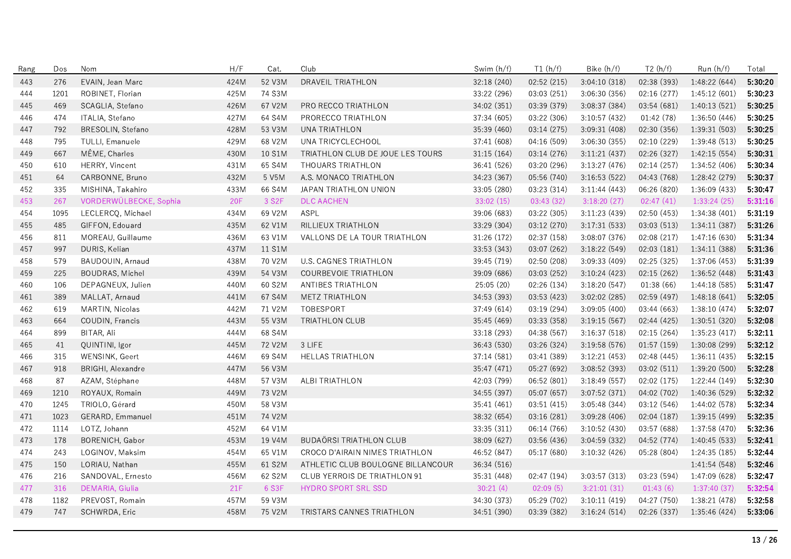| Rang | Dos  | Nom                    | H/F        | Cat.   | Club                                | Swim (h/f)  | T1(h/f)     | Bike (h/f)    | T2(h/f)     | Run (h/f)     | Total   |
|------|------|------------------------|------------|--------|-------------------------------------|-------------|-------------|---------------|-------------|---------------|---------|
| 443  | 276  | EVAIN, Jean Marc       | 424M       | 52 V3M | DRAVEIL TRIATHLON                   | 32:18 (240) | 02:52 (215) | 3:04:10 (318) | 02:38 (393) | 1:48:22(644)  | 5:30:20 |
| 444  | 1201 | ROBINET, Florian       | 425M       | 74 S3M |                                     | 33:22 (296) | 03:03 (251) | 3:06:30 (356) | 02:16 (277) | 1:45:12 (601) | 5:30:23 |
| 445  | 469  | SCAGLIA, Stefano       | 426M       | 67 V2M | PRO RECCO TRIATHLON                 | 34:02 (351) | 03:39 (379) | 3:08:37 (384) | 03:54 (681) | 1:40:13(521)  | 5:30:25 |
| 446  | 474  | ITALIA, Stefano        | 427M       | 64 S4M | PRORECCO TRIATHLON                  | 37:34 (605) | 03:22 (306) | 3:10:57 (432) | 01:42 (78)  | 1:36:50 (446) | 5:30:25 |
| 447  | 792  | BRESOLIN, Stefano      | 428M       | 53 V3M | UNA TRIATHLON                       | 35:39 (460) | 03:14 (275) | 3:09:31 (408) | 02:30 (356) | 1:39:31 (503) | 5:30:25 |
| 448  | 795  | TULLI, Emanuele        | 429M       | 68 V2M | UNA TRICYCLECHOOL                   | 37:41 (608) | 04:16 (509) | 3:06:30(355)  | 02:10 (229) | 1:39:48 (513) | 5:30:25 |
| 449  | 667  | MÊME, Charles          | 430M       | 10 S1M | TRIATHLON CLUB DE JOUE LES TOURS    | 31:15 (164) | 03:14 (276) | 3:11:21(437)  | 02:26 (327) | 1:42:15(554)  | 5:30:31 |
| 450  | 610  | HERRY, Vincent         | 431M       | 65 S4M | THOUARS TRIATHLON                   | 36:41 (526) | 03:20 (296) | 3:13:27 (476) | 02:14 (257) | 1:34:52 (406) | 5:30:34 |
| 451  | 64   | CARBONNE, Bruno        | 432M       | 5 V5M  | A.S. MONACO TRIATHLON               | 34:23 (367) | 05:56 (740) | 3:16:53(522)  | 04:43 (768) | 1:28:42 (279) | 5:30:37 |
| 452  | 335  | MISHINA, Takahiro      | 433M       | 66 S4M | JAPAN TRIATHLON UNION               | 33:05 (280) | 03:23 (314) | 3:11:44(443)  | 06:26 (820) | 1:36:09 (433) | 5:30:47 |
| 453  | 267  | VORDERWÜLBECKE, Sophia | <b>20F</b> | 3 S2F  | <b>DLC AACHEN</b>                   | 33:02 (15)  | 03:43(32)   | 3:18:20(27)   | 02:47(41)   | 1:33:24(25)   | 5:31:16 |
| 454  | 1095 | LECLERCQ, Michael      | 434M       | 69 V2M | ASPL                                | 39:06 (683) | 03:22 (305) | 3:11:23(439)  | 02:50(453)  | 1:34:38(401)  | 5:31:19 |
| 455  | 485  | GIFFON, Edouard        | 435M       | 62 V1M | RILLIEUX TRIATHLON                  | 33:29 (304) | 03:12 (270) | 3:17:31(533)  | 03:03(513)  | 1:34:11(387)  | 5:31:26 |
| 456  | 811  | MOREAU, Guillaume      | 436M       | 63 V1M | VALLONS DE LA TOUR TRIATHLON        | 31:26 (172) | 02:37 (158) | 3:08:07 (376) | 02:08 (217) | 1:47:16 (630) | 5:31:34 |
| 457  | 997  | DURIS, Kelian          | 437M       | 11 S1M |                                     | 33:53 (343) | 03:07 (262) | 3:18:22 (549) | 02:03(181)  | 1:34:11 (388) | 5:31:36 |
| 458  | 579  | BAUDOUIN, Arnaud       | 438M       | 70 V2M | <b>U.S. CAGNES TRIATHLON</b>        | 39:45 (719) | 02:50 (208) | 3:09:33(409)  | 02:25 (325) | 1:37:06 (453) | 5:31:39 |
| 459  | 225  | <b>BOUDRAS, Michel</b> | 439M       | 54 V3M | COURBEVOIE TRIATHLON                | 39:09 (686) | 03:03 (252) | 3:10:24(423)  | 02:15(262)  | 1:36:52(448)  | 5:31:43 |
| 460  | 106  | DEPAGNEUX, Julien      | 440M       | 60 S2M | ANTIBES TRIATHLON                   | 25:05 (20)  | 02:26 (134) | 3:18:20(547)  | 01:38(66)   | 1:44:18 (585) | 5:31:47 |
| 461  | 389  | MALLAT, Arnaud         | 441M       | 67 S4M | METZ TRIATHLON                      | 34:53 (393) | 03:53 (423) | 3:02:02(285)  | 02:59(497)  | 1:48:18(641)  | 5:32:05 |
| 462  | 619  | MARTIN, Nicolas        | 442M       | 71 V2M | TOBESPORT                           | 37:49 (614) | 03:19 (294) | 3:09:05(400)  | 03:44 (663) | 1:38:10(474)  | 5:32:07 |
| 463  | 664  | COUDIN, Francis        | 443M       | 55 V3M | <b>TRIATHLON CLUB</b>               | 35:45 (469) | 03:33 (358) | 3:19:15(567)  | 02:44(425)  | 1:30:51 (320) | 5:32:08 |
| 464  | 899  | BITAR, Ali             | 444M       | 68 S4M |                                     | 33:18 (293) | 04:38 (567) | 3:16:37(518)  | 02:15(264)  | 1:35:23(417)  | 5:32:11 |
| 465  | 41   | QUINTINI, Igor         | 445M       | 72 V2M | 3 LIFE                              | 36:43 (530) | 03:26 (324) | 3:19:58(576)  | 01:57(159)  | 1:30:08 (299) | 5:32:12 |
| 466  | 315  | WENSINK, Geert         | 446M       | 69 S4M | <b>HELLAS TRIATHLON</b>             | 37:14 (581) | 03:41 (389) | 3:12:21(453)  | 02:48 (445) | 1:36:11(435)  | 5:32:15 |
| 467  | 918  | BRIGHI, Alexandre      | 447M       | 56 V3M |                                     | 35:47 (471) | 05:27 (692) | 3:08:52(393)  | 03:02 (511) | 1:39:20 (500) | 5:32:28 |
| 468  | 87   | AZAM, Stéphane         | 448M       | 57 V3M | ALBI TRIATHLON                      | 42:03 (799) | 06:52 (801) | 3:18:49(557)  | 02:02 (175) | 1:22:44 (149) | 5:32:30 |
| 469  | 1210 | ROYAUX, Romain         | 449M       | 73 V2M |                                     | 34:55 (397) | 05:07 (657) | 3:07:52 (371) | 04:02 (702) | 1:40:36 (529) | 5:32:32 |
| 470  | 1245 | TRIOLO, Gérard         | 450M       | 58 V3M |                                     | 35:41 (461) | 03:51(415)  | 3:05:48(344)  | 03:12 (546) | 1:44:02 (578) | 5:32:34 |
| 471  | 1023 | GERARD, Emmanuel       | 451M       | 74 V2M |                                     | 38:32 (654) | 03:16 (281) | 3:09:28 (406) | 02:04(187)  | 1:39:15 (499) | 5:32:35 |
| 472  | 1114 | LOTZ, Johann           | 452M       | 64 V1M |                                     | 33:35 (311) | 06:14 (766) | 3:10:52(430)  | 03:57 (688) | 1:37:58 (470) | 5:32:36 |
| 473  | 178  | BORENICH, Gabor        | 453M       | 19 V4M | <b>BUDAÖRSI TRIATHLON CLUB</b>      | 38:09 (627) | 03:56 (436) | 3:04:59 (332) | 04:52 (774) | 1:40:45 (533) | 5:32:41 |
| 474  | 243  | LOGINOV, Maksim        | 454M       | 65 V1M | CROCO D'AIRAIN NIMES TRIATHLON      | 46:52 (847) | 05:17 (680) | 3:10:32(426)  | 05:28 (804) | 1:24:35 (185) | 5:32:44 |
| 475  | 150  | LORIAU, Nathan         | 455M       | 61 S2M | ATHLETIC CLUB BOULOGNE BILLANCOUR   | 36:34 (516) |             |               |             | 1:41:54 (548) | 5:32:46 |
| 476  | 216  | SANDOVAL, Ernesto      | 456M       | 62 S2M | <b>CLUB YERROIS DE TRIATHLON 91</b> | 35:31 (448) | 02:47 (194) | 3:03:57(313)  | 03:23 (594) | 1:47:09 (628) | 5:32:47 |
| 477  | 316  | DEMARIA, Giulia        | 21F        | 6 S3F  | HYDRO SPORT SRL SSD                 | 30:21(4)    | 02:09(5)    | 3:21:01(31)   | 01:43(6)    | 1:37:40(37)   | 5:32:54 |
| 478  | 1182 | PREVOST, Romain        | 457M       | 59 V3M |                                     | 34:30 (373) | 05:29 (702) | 3:10:11(419)  | 04:27 (750) | 1:38:21 (478) | 5:32:58 |
| 479  | 747  | SCHWRDA, Eric          | 458M       | 75 V2M | TRISTARS CANNES TRIATHLON           | 34:51 (390) | 03:39 (382) | 3:16:24(514)  | 02:26 (337) | 1:35:46 (424) | 5:33:06 |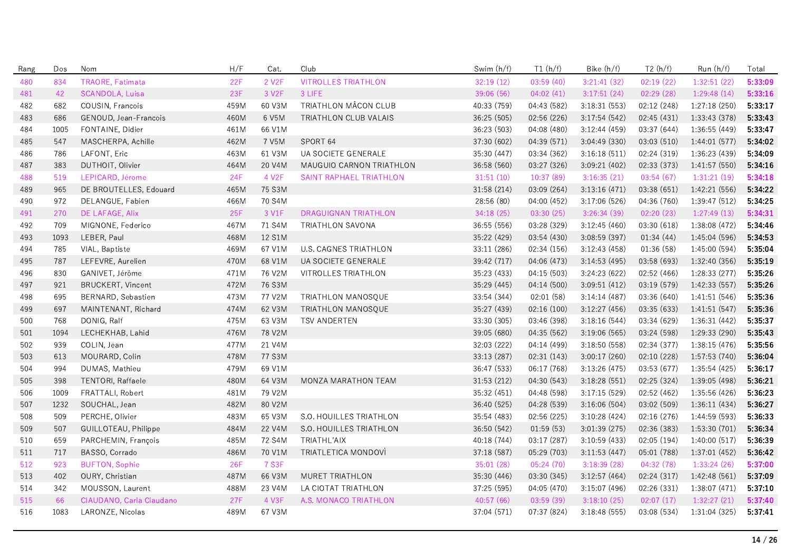| Rang | Dos  | Nom                      | H/F        | Cat.               | Club                         | Swim (h/f)  | T1(h/f)     | Bike (h/f)    | T2(h/f)     | Run (h/f)     | Total   |
|------|------|--------------------------|------------|--------------------|------------------------------|-------------|-------------|---------------|-------------|---------------|---------|
| 480  | 834  | TRAORE, Fatimata         | 22F        | 2 V <sub>2</sub> F | <b>VITROLLES TRIATHLON</b>   | 32:19(12)   | 03:59(40)   | 3:21:41(32)   | 02:19(22)   | 1:32:51(22)   | 5:33:09 |
| 481  | 42   | <b>SCANDOLA, Luisa</b>   | 23F        | 3 V2F              | 3 LIFE                       | 39:06 (56)  | 04:02(41)   | 3:17:51(24)   | 02:29(28)   | 1:29:48(14)   | 5:33:16 |
| 482  | 682  | COUSIN, Francois         | 459M       | 60 V3M             | TRIATHLON MÂCON CLUB         | 40:33 (759) | 04:43 (582) | 3:18:31(553)  | 02:12 (248) | 1:27:18(250)  | 5:33:17 |
| 483  | 686  | GENOUD, Jean-Francois    | 460M       | 6 V5M              | TRIATHLON CLUB VALAIS        | 36:25 (505) | 02:56 (226) | 3:17:54 (542) | 02:45 (431) | 1:33:43 (378) | 5:33:43 |
| 484  | 1005 | FONTAINE, Didier         | 461M       | 66 V1M             |                              | 36:23 (503) | 04:08 (480) | 3:12:44 (459) | 03:37 (644) | 1:36:55 (449) | 5:33:47 |
| 485  | 547  | MASCHERPA, Achille       | 462M       | 7 V5M              | SPORT 64                     | 37:30 (602) | 04:39 (571) | 3:04:49 (330) | 03:03 (510) | 1:44:01(577)  | 5:34:02 |
| 486  | 786  | LAFONT, Eric             | 463M       | 61 V3M             | UA SOCIETE GENERALE          | 35:30 (447) | 03:34 (362) | 3:16:18(511)  | 02:24 (319) | 1:36:23 (439) | 5:34:09 |
| 487  | 383  | DUTHOIT, Olivier         | 464M       | 20 V4M             | MAUGUIO CARNON TRIATHLON     | 36:58 (560) | 03:27 (326) | 3:09:21 (402) | 02:33 (373) | 1:41:57 (550) | 5:34:16 |
| 488  | 519  | LEPICARD, Jérome         | 24F        | 4 V <sub>2</sub> F | SAINT RAPHAEL TRIATHLON      | 31:51(10)   | 10:37(89)   | 3:16:35(21)   | 03:54(67)   | 1:31:21(19)   | 5:34:18 |
| 489  | 965  | DE BROUTELLES, Edouard   | 465M       | 75 S3M             |                              | 31:58 (214) | 03:09 (264) | 3:13:16(471)  | 03:38 (651) | 1:42:21 (556) | 5:34:22 |
| 490  | 972  | DELANGUE, Fabien         | 466M       | 70 S4M             |                              | 28:56 (80)  | 04:00 (452) | 3:17:06 (526) | 04:36 (760) | 1:39:47 (512) | 5:34:25 |
| 491  | 270  | DE LAFAGE, Alix          | 25F        | 3 V1F              | <b>DRAGUIGNAN TRIATHLON</b>  | 34:18(25)   | 03:30(25)   | 3:26:34(39)   | 02:20(23)   | 1:27:49(13)   | 5:34:31 |
| 492  | 709  | MIGNONE, Federico        | 467M       | 71 S4M             | <b>TRIATHLON SAVONA</b>      | 36:55 (556) | 03:28 (329) | 3:12:45(460)  | 03:30 (618) | 1:38:08 (472) | 5:34:46 |
| 493  | 1093 | LEBER, Paul              | 468M       | 12 S1M             |                              | 35:22 (429) | 03:54 (430) | 3:08:59 (397) | 01:34(44)   | 1:45:04 (596) | 5:34:53 |
| 494  | 785  | VIAL, Baptiste           | 469M       | 67 V1M             | <b>U.S. CAGNES TRIATHLON</b> | 33:11 (286) | 02:34 (156) | 3:12:43(458)  | 01:36(58)   | 1:45:00 (594) | 5:35:04 |
| 495  | 787  | LEFEVRE, Aurelien        | 470M       | 68 V1M             | UA SOCIETE GENERALE          | 39:42 (717) | 04:06 (473) | 3:14:53 (495) | 03:58 (693) | 1:32:40 (356) | 5:35:19 |
| 496  | 830  | GANIVET, Jérôme          | 471M       | 76 V2M             | VITROLLES TRIATHLON          | 35:23 (433) | 04:15 (503) | 3:24:23 (622) | 02:52 (466) | 1:28:33 (277) | 5:35:26 |
| 497  | 921  | <b>BRUCKERT, Vincent</b> | 472M       | 76 S3M             |                              | 35:29 (445) | 04:14 (500) | 3:09:51(412)  | 03:19 (579) | 1:42:33 (557) | 5:35:26 |
| 498  | 695  | BERNARD, Sebastien       | 473M       | 77 V2M             | TRIATHLON MANOSQUE           | 33:54 (344) | 02:01(58)   | 3:14:14(487)  | 03:36 (640) | 1:41:51(546)  | 5:35:36 |
| 499  | 697  | MAINTENANT, Richard      | 474M       | 62 V3M             | TRIATHLON MANOSQUE           | 35:27 (439) | 02:16 (100) | 3:12:27(456)  | 03:35 (633) | 1:41:51(547)  | 5:35:36 |
| 500  | 768  | DONIG, Ralf              | 475M       | 63 V3M             | <b>TSV ANDERTEN</b>          | 33:30 (305) | 03:46 (398) | 3:18:16(544)  | 03:34 (629) | 1:36:31(442)  | 5:35:37 |
| 501  | 1094 | LECHEKHAB, Lahid         | 476M       | 78 V2M             |                              | 39:05 (680) | 04:35 (562) | 3:19:06 (565) | 03:24 (598) | 1:29:33 (290) | 5:35:43 |
| 502  | 939  | COLIN, Jean              | 477M       | 21 V4M             |                              | 32:03 (222) | 04:14 (499) | 3:18:50(558)  | 02:34 (377) | 1:38:15 (476) | 5:35:56 |
| 503  | 613  | MOURARD, Colin           | 478M       | 77 S3M             |                              | 33:13 (287) | 02:31(143)  | 3:00:17(260)  | 02:10 (228) | 1:57:53 (740) | 5:36:04 |
| 504  | 994  | DUMAS, Mathieu           | 479M       | 69 V1M             |                              | 36:47 (533) | 06:17 (768) | 3:13:26(475)  | 03:53 (677) | 1:35:54 (425) | 5:36:17 |
| 505  | 398  | TENTORI, Raffaele        | 480M       | 64 V3M             | MONZA MARATHON TEAM          | 31:53 (212) | 04:30 (543) | 3:18:28(551)  | 02:25 (324) | 1:39:05 (498) | 5:36:21 |
| 506  | 1009 | FRATTALI, Robert         | 481M       | 79 V2M             |                              | 35:32 (451) | 04:48 (598) | 3:17:15(529)  | 02:52 (462) | 1:35:56 (426) | 5:36:23 |
| 507  | 1232 | SOUCHAL, Jean            | 482M       | 80 V2M             |                              | 36:40 (525) | 04:28 (539) | 3:16:06 (504) | 03:02 (509) | 1:36:11(434)  | 5:36:27 |
| 508  | 509  | PERCHE, Olivier          | 483M       | 65 V3M             | S.O. HOUILLES TRIATHLON      | 35:54 (483) | 02:56 (225) | 3:10:28(424)  | 02:16 (276) | 1:44:59 (593) | 5:36:33 |
| 509  | 507  | GUILLOTEAU, Philippe     | 484M       | 22 V4M             | S.O. HOUILLES TRIATHLON      | 36:50 (542) | 01:59(53)   | 3:01:39(275)  | 02:36 (383) | 1:53:30(701)  | 5:36:34 |
| 510  | 659  | PARCHEMIN, François      | 485M       | 72 S4M             | TRIATHL'AIX                  | 40:18 (744) | 03:17(287)  | 3:10:59(433)  | 02:05(194)  | 1:40:00(517)  | 5:36:39 |
| 511  | 717  | BASSO, Corrado           | 486M       | 70 V1M             | TRIATLETICA MONDOVÌ          | 37:18 (587) | 05:29 (703) | 3:11:53(447)  | 05:01 (788) | 1:37:01 (452) | 5:36:42 |
| 512  | 923  | <b>BUFTON, Sophie</b>    | <b>26F</b> | 7 S3F              |                              | 35:01 (28)  | 05:24(70)   | 3:18:39(28)   | 04:32 (78)  | 1:33:24(26)   | 5:37:00 |
| 513  | 402  | OURY, Christian          | 487M       | 66 V3M             | <b>MURET TRIATHLON</b>       | 35:30 (446) | 03:30 (345) | 3:12:57(464)  | 02:24 (317) | 1:42:48 (561) | 5:37:09 |
| 514  | 342  | MOUSSON, Laurent         | 488M       | 23 V4M             | LA CIOTAT TRIATHLON          | 37:25 (595) | 04:05 (470) | 3:15:07(496)  | 02:26 (331) | 1:38:07(471)  | 5:37:10 |
| 515  | 66   | CIAUDANO, Carla Ciaudano | 27F        | 4 V3F              | A.S. MONACO TRIATHLON        | 40:57 (66)  | 03:59(39)   | 3:18:10(25)   | 02:07(17)   | 1:32:27(21)   | 5:37:40 |
| 516  | 1083 | LARONZE, Nicolas         | 489M       | 67 V3M             |                              | 37:04 (571) | 07:37 (824) | 3:18:48(555)  | 03:08 (534) | 1:31:04 (325) | 5:37:41 |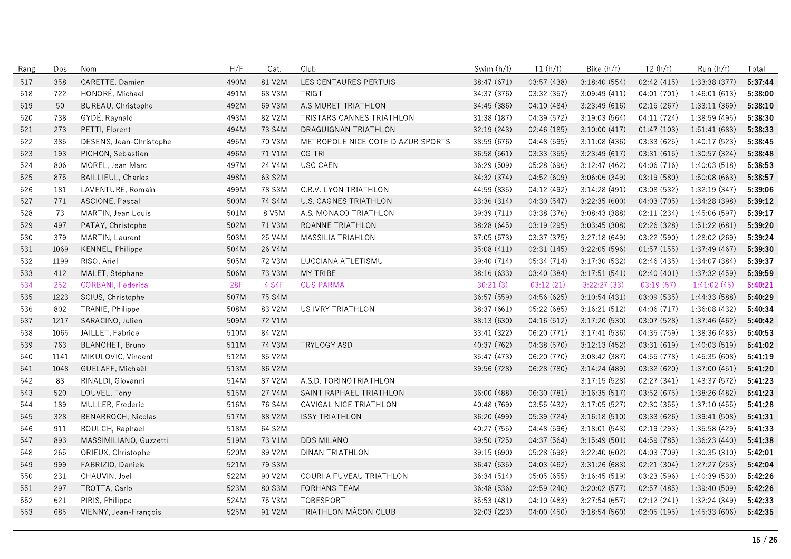| Rang | Dos  | Nom                       | H/F  | Cat.   | Club                              | Swim (h/f)  | T1(h/f)     | Bike (h/f)    | T2(h/f)     | Run (h/f)     | Total   |
|------|------|---------------------------|------|--------|-----------------------------------|-------------|-------------|---------------|-------------|---------------|---------|
| 517  | 358  | CARETTE, Damien           | 490M | 81 V2M | LES CENTAURES PERTUIS             | 38:47 (671) | 03:57 (438) | 3:18:40 (554) | 02:42 (415) | 1:33:38 (377) | 5:37:44 |
| 518  | 722  | HONORÉ, Michael           | 491M | 68 V3M | <b>TRIGT</b>                      | 34:37 (376) | 03:32 (357) | 3:09:49(411)  | 04:01 (701) | 1:46:01(613)  | 5:38:00 |
| 519  | 50   | BUREAU, Christophe        | 492M | 69 V3M | A.S MURET TRIATHLON               | 34:45 (386) | 04:10 (484) | 3:23:49 (616) | 02:15 (267) | 1:33:11 (369) | 5:38:10 |
| 520  | 738  | GYDÉ, Raynald             | 493M | 82 V2M | TRISTARS CANNES TRIATHLON         | 31:38 (187) | 04:39 (572) | 3:19:03(564)  | 04:11 (724) | 1:38:59 (495) | 5:38:30 |
| 521  | 273  | PETTI, Florent            | 494M | 73 S4M | DRAGUIGNAN TRIATHLON              | 32.19 (243) | 02:46 (185) | 3:10:00(417)  | 01:47(103)  | 1:51:41(683)  | 5:38:33 |
| 522  | 385  | DESENS, Jean-Christophe   | 495M | 70 V3M | METROPOLE NICE COTE D AZUR SPORTS | 38:59 (676) | 04:48 (595) | 3:11:08(436)  | 03:33 (625) | 1:40:17 (523) | 5:38:45 |
| 523  | 193  | PICHON, Sebastien         | 496M | 71 V1M | CG TRI                            | 36:58 (561) | 03:33(355)  | 3:23:49(617)  | 03:31(615)  | 1:30:57(324)  | 5:38:48 |
| 524  | 806  | MOREL, Jean Marc          | 497M | 24 V4M | <b>USC CAEN</b>                   | 36:29 (509) | 05:28 (696) | 3:12:47 (462) | 04:06 (716) | 1:40:03(518)  | 5:38:53 |
| 525  | 875  | <b>BAILLIEUL, Charles</b> | 498M | 63 S2M |                                   | 34:32 (374) | 04:52 (609) | 3:06:06 (349) | 03:19 (580) | 1:50:08 (663) | 5:38:57 |
| 526  | 181  | LAVENTURE, Romain         | 499M | 78 S3M | C.R.V. LYON TRIATHLON             | 44:59 (835) | 04:12 (492) | 3:14:28(491)  | 03:08 (532) | 1:32:19(347)  | 5:39:06 |
| 527  | 771  | ASCIONE, Pascal           | 500M | 74 S4M | <b>U.S. CAGNES TRIATHLON</b>      | 33:36 (314) | 04:30 (547) | 3:22:35(600)  | 04:03 (705) | 1:34:28 (398) | 5:39:12 |
| 528  | 73   | MARTIN, Jean Louis        | 501M | 8 V5M  | A.S. MONACO TRIATHLON             | 39:39 (711) | 03:38 (376) | 3:08:43 (388) | 02:11(234)  | 1:45:06 (597) | 5:39:17 |
| 529  | 497  | PATAY, Christophe         | 502M | 71 V3M | ROANNE TRIATHLON                  | 38:28 (645) | 03:19 (295) | 3:03:45 (308) | 02:26 (328) | 1:51:22(681)  | 5:39:20 |
| 530  | 379  | MARTIN, Laurent           | 503M | 25 V4M | MASSILIA TRIAHLON                 | 37:05 (573) | 03:37 (375) | 3:27:18 (649) | 03:22 (590) | 1:28:02 (269) | 5:39:24 |
| 531  | 1069 | KENNEL, Philippe          | 504M | 26 V4M |                                   | 35:08 (411) | 02:31(145)  | 3:22:05(596)  | 01:57(155)  | 1:37:49 (467) | 5:39:30 |
| 532  | 1199 | RISO, Ariel               | 505M | 72 V3M | LUCCIANA ATLETISMU                | 39:40 (714) | 05:34 (714) | 3:17:30 (532) | 02:46 (435) | 1:34:07 (384) | 5:39:37 |
| 533  | 412  | MALET, Stéphane           | 506M | 73 V3M | MY TRIBE                          | 38:16 (633) | 03:40 (384) | 3:17:51(541)  | 02:40 (401) | 1:37:32 (459) | 5:39:59 |
| 534  | 252  | CORBANI, Federica         | 28F  | 4 S4F  | <b>CUS PARMA</b>                  | 30:21(3)    | 03:12(21)   | 3:22:27(33)   | 03:19(57)   | 1:41:02(45)   | 5:40:21 |
| 535  | 1223 | SCIUS, Christophe         | 507M | 75 S4M |                                   | 36:57 (559) | 04:56 (625) | 3:10:54(431)  | 03:09 (535) | 1:44:33 (588) | 5:40:29 |
| 536  | 802  | TRANIE, Philippe          | 508M | 83 V2M | US IVRY TRIATHLON                 | 38:37 (661) | 05:22 (685) | 3:16:21(512)  | 04:06 (717) | 1:36:08(432)  | 5:40:34 |
| 537  | 1217 | SARACINO, Julien          | 509M | 72 V1M |                                   | 38:13 (630) | 04:16 (512) | 3:17:20 (530) | 03:07 (528) | 1:37:46 (462) | 5:40:42 |
| 538  | 1065 | JAILLET, Fabrice          | 510M | 84 V2M |                                   | 33:41 (322) | 06:20 (771) | 3:17:41(536)  | 04:35 (759) | 1:38:36 (483) | 5:40:53 |
| 539  | 763  | BLANCHET, Bruno           | 511M | 74 V3M | <b>TRYLOGY ASD</b>                | 40:37 (762) | 04:38 (570) | 3:12:13(452)  | 03:31 (619) | 1:40:03(519)  | 5:41:02 |
| 540  | 1141 | MIKULOVIC, Vincent        | 512M | 85 V2M |                                   | 35:47 (473) | 06:20 (770) | 3:08:42(387)  | 04:55 (778) | 1:45:35 (608) | 5:41:19 |
| 541  | 1048 | GUELAFF, Michaël          | 513M | 86 V2M |                                   | 39:56 (728) | 06:28 (780) | 3:14:24(489)  | 03:32 (620) | 1:37:00(451)  | 5:41:20 |
| 542  | 83   | RINALDI, Giovanni         | 514M | 87 V2M | A.S.D. TORINOTRIATHLON            |             |             | 3:17:15(528)  | 02:27 (341) | 1:43:37 (572) | 5:41:23 |
| 543  | 520  | LOUVEL, Tony              | 515M | 27 V4M | SAINT RAPHAEL TRIATHLON           | 36:00 (488) | 06:30 (781) | 3:16:35(517)  | 03:52 (675) | 1:38:26 (482) | 5:41:23 |
| 544  | 189  | MULLER, Frederic          | 516M | 76 S4M | CAVIGAL NICE TRIATHLON            | 40:48 (769) | 03:55 (432) | 3:17:05(527)  | 02:30 (355) | 1:37:10(455)  | 5:41:28 |
| 545  | 328  | BENARROCH, Nicolas        | 517M | 88 V2M | <b>ISSY TRIATHLON</b>             | 36:20 (499) | 05:39 (724) | 3:16:18(510)  | 03:33 (626) | 1:39:41 (508) | 5:41:31 |
| 546  | 911  | <b>BOULCH, Raphael</b>    | 518M | 64 S2M |                                   | 40:27 (755) | 04:48 (596) | 3:18:01(543)  | 02:19 (293) | 1:35:58 (429) | 5:41:33 |
| 547  | 893  | MASSIMILIANO, Guzzetti    | 519M | 73 V1M | <b>DDS MILANO</b>                 | 39:50 (725) | 04:37 (564) | 3:15:49(501)  | 04:59 (785) | 1:36:23 (440) | 5:41:38 |
| 548  | 265  | ORIEUX, Christophe        | 520M | 89 V2M | <b>DINAN TRIATHLON</b>            | 39:15 (690) | 05:28 (698) | 3:22:40(602)  | 04:03 (709) | 1:30:35 (310) | 5:42:01 |
| 549  | 999  | FABRIZIO, Daniele         | 521M | 79 S3M |                                   | 36:47 (535) | 04:03 (462) | 3:31:26 (683) | 02:21 (304) | 1:27:27 (253) | 5:42:04 |
| 550  | 231  | CHAUVIN, Joel             | 522M | 90 V2M | COURI A FUVEAU TRIATHLON          | 36:34 (514) | 05:05 (655) | 3:16:45(519)  | 03:23 (596) | 1:40:39 (530) | 5:42:26 |
| 551  | 297  | TROTTA, Carlo             | 523M | 80 S3M | <b>FORHANS TEAM</b>               | 36:48 (536) | 02:59 (240) | 3:20:02(577)  | 02:57 (485) | 1:39:40 (509) | 5:42:26 |
| 552  | 621  | PIRIS, Philippe           | 524M | 75 V3M | TOBESPORT                         | 35:53 (481) | 04:10 (483) | 3:27:54(657)  | 02:12 (241) | 1:32:24 (349) | 5:42:33 |
| 553  | 685  | VIENNY, Jean-François     | 525M | 91 V2M | TRIATHLON MÂCON CLUB              | 32:03 (223) | 04:00(450)  | 3:18:54(560)  | 02:05(195)  | 1:45:33(606)  | 5:42:35 |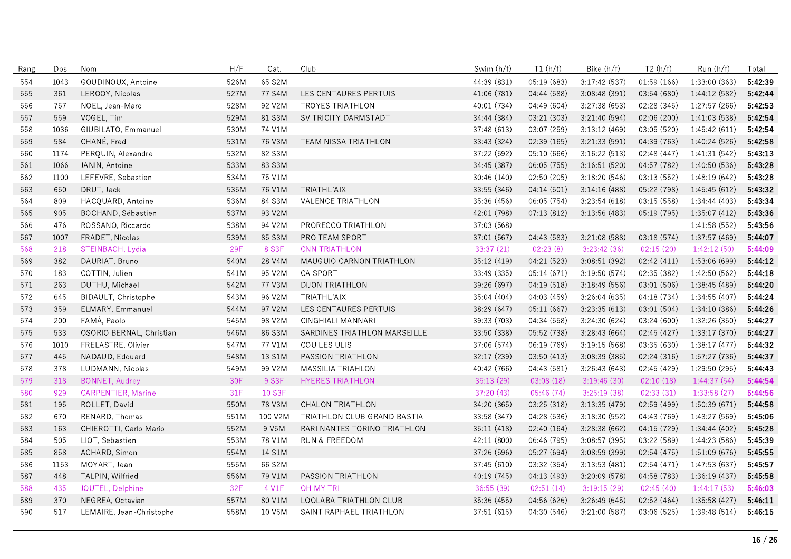| Rang | Dos  | Nom                       | H/F        | Cat.    | Club                         | Swim (h/f)  | T1(h/f)     | Bike (h/f)    | T2(h/f)     | Run (h/f)     | Total   |
|------|------|---------------------------|------------|---------|------------------------------|-------------|-------------|---------------|-------------|---------------|---------|
| 554  | 1043 | GOUDINOUX, Antoine        | 526M       | 65 S2M  |                              | 44:39 (831) | 05:19 (683) | 3:17:42(537)  | 01:59(166)  | 1:33:00(363)  | 5:42:39 |
| 555  | 361  | LEROOY, Nicolas           | 527M       | 77 S4M  | LES CENTAURES PERTUIS        | 41.06 (781) | 04:44 (588) | 3:08:48 (391) | 03:54 (680) | 1:44:12 (582) | 5:42:44 |
| 556  | 757  | NOEL, Jean-Marc           | 528M       | 92 V2M  | <b>TROYES TRIATHLON</b>      | 40:01 (734) | 04:49 (604) | 3:27:38 (653) | 02:28 (345) | 1:27:57 (266) | 5:42:53 |
| 557  | 559  | VOGEL, Tim                | 529M       | 81 S3M  | SV TRICITY DARMSTADT         | 34:44 (384) | 03:21 (303) | 3:21:40 (594) | 02:06 (200) | 1:41:03 (538) | 5:42:54 |
| 558  | 1036 | GIUBILATO, Emmanuel       | 530M       | 74 V1M  |                              | 37:48 (613) | 03:07 (259) | 3:13:12(469)  | 03:05 (520) | 1:45:42(611)  | 5:42:54 |
| 559  | 584  | CHANÉ, Fred               | 531M       | 76 V3M  | <b>TEAM NISSA TRIATHLON</b>  | 33:43 (324) | 02:39(165)  | 3:21:33(591)  | 04:39 (763) | 1:40:24 (526) | 5:42:58 |
| 560  | 1174 | PERQUIN, Alexandre        | 532M       | 82 S3M  |                              | 37:22 (592) | 05:10 (666) | 3:16:22(513)  | 02:48 (447) | 1:41:31 (542) | 5:43:13 |
| 561  | 1066 | JANIN, Antoine            | 533M       | 83 S3M  |                              | 34:45 (387) | 06:05 (755) | 3:16:51(520)  | 04:57 (782) | 1:40:50 (536) | 5:43:28 |
| 562  | 1100 | LEFEVRE, Sebastien        | 534M       | 75 V1M  |                              | 30:46 (140) | 02:50(205)  | 3:18:20(546)  | 03:13 (552) | 1:48:19(642)  | 5:43:28 |
| 563  | 650  | DRUT, Jack                | 535M       | 76 V1M  | TRIATHL'AIX                  | 33:55 (346) | 04:14 (501) | 3:14:16(488)  | 05:22 (798) | 1:45:45 (612) | 5:43:32 |
| 564  | 809  | HACQUARD, Antoine         | 536M       | 84 S3M  | VALENCE TRIATHLON            | 35:36 (456) | 06:05 (754) | 3:23:54 (618) | 03:15 (558) | 1:34:44 (403) | 5:43:34 |
| 565  | 905  | BOCHAND, Sébastien        | 537M       | 93 V2M  |                              | 42:01 (798) | 07:13(812)  | 3:13:56(483)  | 05:19 (795) | 1:35:07(412)  | 5:43:36 |
| 566  | 476  | ROSSANO, Riccardo         | 538M       | 94 V2M  | PRORECCO TRIATHLON           | 37:03 (568) |             |               |             | 1:41:58(552)  | 5:43:56 |
| 567  | 1007 | FRADET, Nicolas           | 539M       | 85 S3M  | PRO TEAM SPORT               | 37:01 (567) | 04:43 (583) | 3:21:08 (588) | 03:18 (574) | 1:37:57 (469) | 5:44:07 |
| 568  | 218  | STEINBACH, Lydia          | <b>29F</b> | 8 S3F   | <b>CNN TRIATHLON</b>         | 33:37(21)   | 02:23(8)    | 3:23:42(36)   | 02:15(20)   | 1:42:12(50)   | 5:44:09 |
| 569  | 382  | DAURIAT, Bruno            | 540M       | 28 V4M  | MAUGUIO CARNON TRIATHLON     | 35:12 (419) | 04:21 (523) | 3:08:51 (392) | 02:42 (411) | 1:53:06 (699) | 5:44:12 |
| 570  | 183  | COTTIN, Julien            | 541M       | 95 V2M  | <b>CA SPORT</b>              | 33:49 (335) | 05:14 (671) | 3:19:50(574)  | 02:35 (382) | 1:42:50 (562) | 5:44:18 |
| 571  | 263  | DUTHU, Michael            | 542M       | 77 V3M  | DIJON TRIATHLON              | 39:26 (697) | 04:19 (518) | 3:18:49(556)  | 03:01 (506) | 1:38:45 (489) | 5:44:20 |
| 572  | 645  | BIDAULT, Christophe       | 543M       | 96 V2M  | TRIATHL'AIX                  | 35:04 (404) | 04:03 (459) | 3:26:04(635)  | 04:18 (734) | 1:34:55 (407) | 5:44:24 |
| 573  | 359  | ELMARY, Emmanuel          | 544M       | 97 V2M  | LES CENTAURES PERTUIS        | 38:29 (647) | 05:11 (667) | 3:23:35(613)  | 03:01 (504) | 1:34:10 (386) | 5:44:26 |
| 574  | 200  | FAMÀ, Paolo               | 545M       | 98 V2M  | CINGHIALI MANNARI            | 39:33 (703) | 04:34 (558) | 3:24:30 (624) | 03:24 (600) | 1:32:26 (350) | 5:44:27 |
| 575  | 533  | OSORIO BERNAL, Christian  | 546M       | 86 S3M  | SARDINES TRIATHLON MARSEILLE | 33:50 (338) | 05:52 (738) | 3:28:43 (664) | 02:45 (427) | 1:33:17 (370) | 5:44:27 |
| 576  | 1010 | FRELASTRE, Olivier        | 547M       | 77 V1M  | COU LES ULIS                 | 37:06 (574) | 06:19 (769) | 3:19:15(568)  | 03:35 (630) | 1:38:17 (477) | 5:44:32 |
| 577  | 445  | NADAUD, Edouard           | 548M       | 13 S1M  | PASSION TRIATHLON            | 32:17 (239) | 03:50 (413) | 3:08:39(385)  | 02:24 (316) | 1:57:27 (736) | 5:44:37 |
| 578  | 378  | LUDMANN, Nicolas          | 549M       | 99 V2M  | MASSILIA TRIAHLON            | 40:42 (766) | 04:43 (581) | 3:26:43(643)  | 02:45 (429) | 1:29:50 (295) | 5:44:43 |
| 579  | 318  | <b>BONNET, Audrey</b>     | 30F        | 9 S3F   | <b>HYERES TRIATHLON</b>      | 35:13 (29)  | 03:08(18)   | 3:19:46(30)   | 02:10(18)   | 1:44:37(54)   | 5:44:54 |
| 580  | 929  | <b>CARPENTIER, Marine</b> | 31F        | 10 S3F  |                              | 37:20(43)   | 05:46(74)   | 3:25:19(38)   | 02:33(31)   | 1:33:58(27)   | 5:44:56 |
| 581  | 195  | ROLLET, David             | 550M       | 78 V3M  | CHALON TRIATHLON             | 34:20 (365) | 03:25 (318) | 3:13:35 (479) | 02:59 (499) | 1:50:39 (671) | 5:44:58 |
| 582  | 670  | RENARD, Thomas            | 551M       | 100 V2M | TRIATHLON CLUB GRAND BASTIA  | 33:58 (347) | 04:28 (536) | 3:18:30(552)  | 04:43 (769) | 1:43:27 (569) | 5:45:06 |
| 583  | 163  | CHIEROTTI, Carlo Mario    | 552M       | 9 V5M   | RARI NANTES TORINO TRIATHLON | 35:11 (418) | 02:40 (164) | 3:28:38(662)  | 04:15 (729) | 1:34:44 (402) | 5:45:28 |
| 584  | 505  | LIOT, Sebastien           | 553M       | 78 V1M  | <b>RUN &amp; FREEDOM</b>     | 42:11 (800) | 06:46 (795) | 3:08:57(395)  | 03:22 (589) | 1:44:23 (586) | 5:45:39 |
| 585  | 858  | ACHARD, Simon             | 554M       | 14 S1M  |                              | 37:26 (596) | 05:27 (694) | 3:08:59 (399) | 02:54 (475) | 1:51:09 (676) | 5:45:55 |
| 586  | 1153 | MOYART, Jean              | 555M       | 66 S2M  |                              | 37:45 (610) | 03:32 (354) | 3:13:53(481)  | 02:54 (471) | 1:47:53 (637) | 5:45:57 |
| 587  | 448  | TALPIN, Wilfried          | 556M       | 79 V1M  | PASSION TRIATHLON            | 40:19 (745) | 04:13 (493) | 3:20:09 (578) | 04:58 (783) | 1:36:19 (437) | 5:45:58 |
| 588  | 435  | JOUTEL, Delphine          | 32F        | 4 V1F   | <b>OH MY TRI</b>             | 36:55 (39)  | 02:51(14)   | 3:19:15(29)   | 02:45(40)   | 1:44:17(53)   | 5:46:03 |
| 589  | 370  | NEGREA, Octavian          | 557M       | 80 V1M  | LOOLABA TRIATHLON CLUB       | 35:36 (455) | 04:56 (626) | 3:26:49(645)  | 02:52 (464) | 1:35:58(427)  | 5:46:11 |
| 590  | 517  | LEMAIRE, Jean-Christophe  | 558M       | 10 V5M  | SAINT RAPHAEL TRIATHLON      | 37:51 (615) | 04:30 (546) | 3:21:00(587)  | 03:06 (525) | 1:39:48 (514) | 5:46:15 |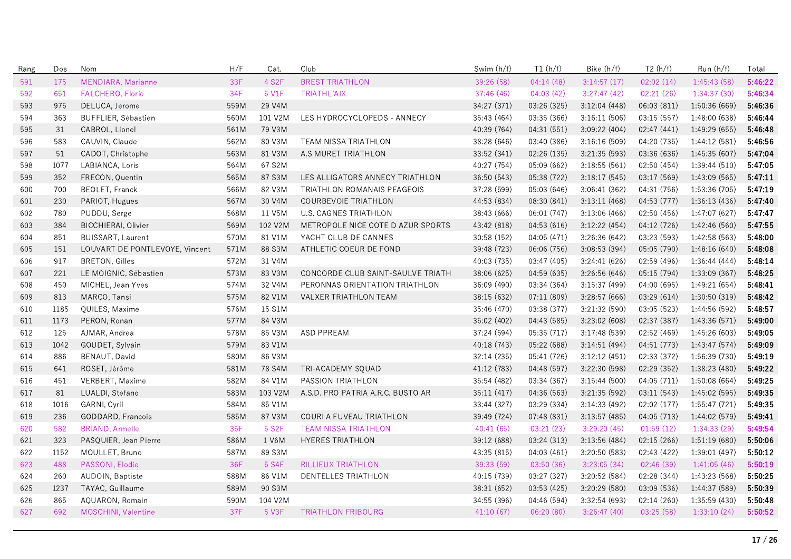| Rang | Dos  | Nom                            | H/F  | Cat.    | Club                               | Swim (h/f)  | T1(h/f)     | Bike (h/f)    | T2(h/f)     | Run (h/f)     | Total   |
|------|------|--------------------------------|------|---------|------------------------------------|-------------|-------------|---------------|-------------|---------------|---------|
| 591  | 175  | MENDIARA, Marianne             | 33F  | 4 S2F   | <b>BREST TRIATHLON</b>             | 39:26 (58)  | 04:14(48)   | 3:14:57(17)   | 02:02(14)   | 1:45:43 (58)  | 5:46:22 |
| 592  | 651  | FALCHERO, Florie               | 34F  | 5 V1F   | <b>TRIATHL'AIX</b>                 | 37:46 (46)  | 04:03(42)   | 3:27:47(42)   | 02:21(26)   | 1:34:37(30)   | 5:46:34 |
| 593  | 975  | DELUCA, Jerome                 | 559M | 29 V4M  |                                    | 34:27 (371) | 03:26 (325) | 3:12:04(448)  | 06:03 (811) | 1:50:36 (669) | 5:46:36 |
| 594  | 363  | BUFFLIER, Sébastien            | 560M | 101 V2M | LES HYDROCYCLOPEDS - ANNECY        | 35:43 (464) | 03:35 (366) | 3:16:11(506)  | 03:15 (557) | 1:48:00 (638) | 5:46:44 |
| 595  | 31   | CABROL, Lionel                 | 561M | 79 V3M  |                                    | 40.39 (764) | 04:31 (551) | 3:09:22(404)  | 02:47 (441) | 1:49:29 (655) | 5:46:48 |
| 596  | 583  | CAUVIN, Claude                 | 562M | 80 V3M  | TEAM NISSA TRIATHLON               | 38.28 (646) | 03:40 (386) | 3:16:16(509)  | 04:20 (735) | 1:44:12 (581) | 5:46:56 |
| 597  | 51   | CADOT, Christophe              | 563M | 81 V3M  | A.S MURET TRIATHLON                | 33:52 (341) | 02:26 (135) | 3:21:35 (593) | 03:36 (636) | 1:45:35 (607) | 5:47:04 |
| 598  | 1077 | LABIANCA, Loris                | 564M | 67 S2M  |                                    | 40:27 (754) | 05:09 (662) | 3:18:55(561)  | 02:50(454)  | 1:39:44(510)  | 5:47:05 |
| 599  | 352  | FRECON, Quentin                | 565M | 87 S3M  | LES ALLIGATORS ANNECY TRIATHLON    | 36:50 (543) | 05:38 (722) | 3:18:17(545)  | 03:17 (569) | 1:43:09 (565) | 5:47:11 |
| 600  | 700  | <b>BEOLET, Franck</b>          | 566M | 82 V3M  | <b>TRIATHLON ROMANAIS PEAGEOIS</b> | 37:28 (599) | 05:03 (646) | 3:06:41 (362) | 04:31 (756) | 1:53:36 (705) | 5:47:19 |
| 601  | 230  | PARIOT, Hugues                 | 567M | 30 V4M  | COURBEVOIE TRIATHLON               | 44:53 (834) | 08:30 (841) | 3:13:11(468)  | 04:53 (777) | 1:36:13(436)  | 5:47:40 |
| 602  | 780  | PUDDU, Serge                   | 568M | 11 V5M  | <b>U.S. CAGNES TRIATHLON</b>       | 38:43 (666) | 06:01 (747) | 3:13:06(466)  | 02:50(456)  | 1:47:07 (627) | 5:47:47 |
| 603  | 384  | <b>BICCHIERAI, Olivier</b>     | 569M | 102 V2M | METROPOLE NICE COTE D AZUR SPORTS  | 43:42 (818) | 04:53(616)  | 3:12:22(454)  | 04:12 (726) | 1:42:46 (560) | 5:47:55 |
| 604  | 851  | <b>BUISSART, Laurent</b>       | 570M | 81 V1M  | YACHT CLUB DE CANNES               | 30:58 (152) | 04:05 (471) | 3:26:36 (642) | 03:23 (593) | 1:42:58 (563) | 5:48:00 |
| 605  | 151  | LOUVART DE PONTLEVOYE, Vincent | 571M | 88 S3M  | ATHLETIC COEUR DE FOND             | 39:48 (723) | 06:06 (756) | 3:08:53 (394) | 05:05 (790) | 1:48:16 (640) | 5:48:08 |
| 606  | 917  | <b>BRETON, Gilles</b>          | 572M | 31 V4M  |                                    | 40:03 (735) | 03:47 (405) | 3:24:41(626)  | 02:59 (496) | 1:36:44(444)  | 5:48:14 |
| 607  | 221  | LE MOIGNIC, Sébastien          | 573M | 83 V3M  | CONCORDE CLUB SAINT-SAULVE TRIATH  | 38:06 (625) | 04:59 (635) | 3:26:56 (646) | 05:15(794)  | 1:33:09 (367) | 5:48:25 |
| 608  | 450  | MICHEL, Jean Yves              | 574M | 32 V4M  | PERONNAS ORIENTATION TRIATHLON     | 36:09 (490) | 03:34 (364) | 3:15:37(499)  | 04:00 (695) | 1:49:21 (654) | 5:48:41 |
| 609  | 813  | MARCO, Tansi                   | 575M | 82 V1M  | VALXER TRIATHLON TEAM              | 38:15 (632) | 07:11(809)  | 3:28:57(666)  | 03:29(614)  | 1:30:50(319)  | 5:48:42 |
| 610  | 1185 | QUILES, Maxime                 | 576M | 15 S1M  |                                    | 35:46 (470) | 03:38 (377) | 3:21:32(590)  | 03:05 (523) | 1:44:56 (592) | 5:48:57 |
| 611  | 1173 | PERON, Ronan                   | 577M | 84 V3M  |                                    | 35:02 (402) | 04:43 (585) | 3:23:02 (608) | 02:37 (387) | 1:43:36 (571) | 5:49:00 |
| 612  | 125  | AJMAR, Andrea                  | 578M | 85 V3M  | ASD PPREAM                         | 37:24 (594) | 05:35 (717) | 3:17:48(539)  | 02:52 (469) | 1:45:26 (603) | 5:49:05 |
| 613  | 1042 | GOUDET, Sylvain                | 579M | 83 V1M  |                                    | 40:18 (743) | 05:22 (688) | 3:14:51(494)  | 04:51 (773) | 1:43:47 (574) | 5:49:09 |
| 614  | 886  | BENAUT, David                  | 580M | 86 V3M  |                                    | 32:14 (235) | 05:41 (726) | 3:12:12(451)  | 02:33 (372) | 1:56:39 (730) | 5:49:19 |
| 615  | 641  | ROSET, Jérôme                  | 581M | 78 S4M  | TRI-ACADEMY SQUAD                  | 41:12 (783) | 04:48 (597) | 3:22:30 (598) | 02:29 (352) | 1:38:23 (480) | 5:49:22 |
| 616  | 451  | VERBERT, Maxime                | 582M | 84 V1M  | PASSION TRIATHLON                  | 35:54 (482) | 03:34 (367) | 3:15:44(500)  | 04:05 (711) | 1:50:08(664)  | 5:49:25 |
| 617  | 81   | LUALDI, Stefano                | 583M | 103 V2M | A.S.D. PRO PATRIA A.R.C. BUSTO AR  | 35:11 (417) | 04:36 (563) | 3:21:35 (592) | 03:11 (543) | 1:45:02 (595) | 5:49:35 |
| 618  | 1016 | GARNI, Cyril                   | 584M | 85 V1M  |                                    | 33:44 (327) | 03:29 (334) | 3:14:33 (492) | 02:02 (177) | 1:55:47 (721) | 5:49:35 |
| 619  | 236  | GODDARD, Francois              | 585M | 87 V3M  | COURI A FUVEAU TRIATHLON           | 39:49 (724) | 07:48 (831) | 3:13:57(485)  | 04:05 (713) | 1:44:02 (579) | 5:49:41 |
| 620  | 582  | <b>BRIAND, Armelle</b>         | 35F  | 5 S2F   | <b>TEAM NISSA TRIATHLON</b>        | 40:41(65)   | 03:21(23)   | 3:29:20(45)   | 01:59(12)   | 1:34:33(29)   | 5:49:54 |
| 621  | 323  | PASQUIER, Jean Pierre          | 586M | 1 V6M   | <b>HYERES TRIATHLON</b>            | 39:12 (688) | 03:24 (313) | 3:13:56(484)  | 02:15(266)  | 1:51:19(680)  | 5:50:06 |
| 622  | 1152 | MOULLET, Bruno                 | 587M | 89 S3M  |                                    | 43:35 (815) | 04:03(461)  | 3:20:50(583)  | 02:43 (422) | 1:39:01 (497) | 5:50:12 |
| 623  | 488  | PASSONI, Elodie                | 36F  | 5 S4F   | <b>RILLIEUX TRIATHLON</b>          | 39:33 (59)  | 03:50(36)   | 3:23:05(34)   | 02:46(39)   | 1:41:05(46)   | 5:50:19 |
| 624  | 260  | AUDOIN, Baptiste               | 588M | 86 V1M  | DENTELLES TRIATHLON                | 40:15 (739) | 03:27 (327) | 3:20:52 (584) | 02:28 (344) | 1:43:23 (568) | 5:50:25 |
| 625  | 1237 | TAYAC, Guillaume               | 589M | 90 S3M  |                                    | 38:31 (652) | 03:53(425)  | 3:20:29(580)  | 03:09 (536) | 1:44:37 (589) | 5:50:39 |
| 626  | 865  | AQUARON, Romain                | 590M | 104 V2M |                                    | 34:55 (396) | 04:46 (594) | 3:32:54 (693) | 02:14(260)  | 1:35:59 (430) | 5:50:48 |
| 627  | 692  | MOSCHINI, Valentine            | 37F  | 5 V3F   | <b>TRIATHLON FRIBOURG</b>          | 41:10(67)   | 06:20(80)   | 3:26:47(40)   | 03:25(58)   | 1:33:10(24)   | 5:50:52 |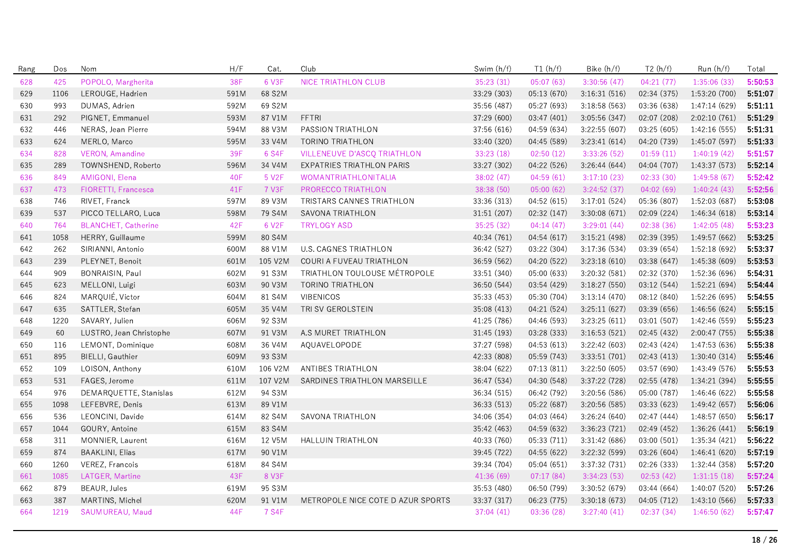| Rang | Dos  | Nom                        | H/F  | Cat.    | Club                               | Swim (h/f)  | T1(h/f)     | Bike (h/f)    | T2(h/f)     | Run (h/f)     | Total   |
|------|------|----------------------------|------|---------|------------------------------------|-------------|-------------|---------------|-------------|---------------|---------|
| 628  | 425  | POPOLO, Margherita         | 38F  | 6 V3F   | <b>NICE TRIATHLON CLUB</b>         | 35:23 (31)  | 05:07(63)   | 3:30:56(47)   | 04:21(77)   | 1:35:06(33)   | 5:50:53 |
| 629  | 1106 | LEROUGE, Hadrien           | 591M | 68 S2M  |                                    | 33:29 (303) | 05:13 (670) | 3:16:31(516)  | 02:34 (375) | 1:53:20 (700) | 5:51:07 |
| 630  | 993  | DUMAS, Adrien              | 592M | 69 S2M  |                                    | 35:56 (487) | 05:27 (693) | 3:18:58(563)  | 03:36 (638) | 1:47:14 (629) | 5:51:11 |
| 631  | 292  | PIGNET, Emmanuel           | 593M | 87 V1M  | <b>FFTRI</b>                       | 37:29 (600) | 03:47 (401) | 3:05:56 (347) | 02:07 (208) | 2:02:10 (761) | 5:51:29 |
| 632  | 446  | NERAS, Jean Pierre         | 594M | 88 V3M  | PASSION TRIATHLON                  | 37:56 (616) | 04:59 (634) | 3:22:55 (607) | 03:25 (605) | 1:42:16 (555) | 5:51:31 |
| 633  | 624  | MERLO, Marco               | 595M | 33 V4M  | <b>TORINO TRIATHLON</b>            | 33:40 (320) | 04:45 (589) | 3:23:41(614)  | 04:20 (739) | 1:45:07 (597) | 5:51:33 |
| 634  | 828  | <b>VERON, Amandine</b>     | 39F  | 6 S4F   | <b>VILLENEUVE D'ASCO TRIATHLON</b> | 33:23 (18)  | 02:50(12)   | 3:33:26(52)   | 01:59(11)   | 1:40:19(42)   | 5:51:57 |
| 635  | 289  | TOWNSHEND, Roberto         | 596M | 34 V4M  | EXPATRIES TRIATHLON PARIS          | 33:27 (302) | 04:22 (526) | 3:26:44 (644) | 04:04 (707) | 1:43:37 (573) | 5:52:14 |
| 636  | 849  | AMIGONI, Elena             | 40F  | 5 V2F   | <b>WOMANTRIATHLONITALIA</b>        | 38:02(47)   | 04:59(61)   | 3:17:10(23)   | 02:33(30)   | 1:49:58(67)   | 5:52:42 |
| 637  | 473  | FIORETTI, Francesca        | 41F  | 7 V3F   | PRORECCO TRIATHLON                 | 38:38 (50)  | 05:00(62)   | 3:24:52(37)   | 04:02(69)   | 1:40:24(43)   | 5:52:56 |
| 638  | 746  | RIVET, Franck              | 597M | 89 V3M  | TRISTARS CANNES TRIATHLON          | 33:36 (313) | 04:52 (615) | 3:17:01 (524) | 05:36 (807) | 1:52:03 (687) | 5:53:08 |
| 639  | 537  | PICCO TELLARO, Luca        | 598M | 79 S4M  | SAVONA TRIATHLON                   | 31:51 (207) | 02:32 (147) | 3:30:08(671)  | 02:09(224)  | 1:46:34(618)  | 5:53:14 |
| 640  | 764  | <b>BLANCHET, Catherine</b> | 42F  | 6 V2F   | <b>TRYLOGY ASD</b>                 | 35:25 (32)  | 04:14(47)   | 3:29:01(44)   | 02:38(36)   | 1:42:05(48)   | 5:53:23 |
| 641  | 1058 | HERRY, Guillaume           | 599M | 80 S4M  |                                    | 40:34 (761) | 04:54 (617) | 3:15:21 (498) | 02:39 (395) | 1:49:57 (662) | 5:53:25 |
| 642  | 262  | SIRIANNI, Antonio          | 600M | 88 V1M  | <b>U.S. CAGNES TRIATHLON</b>       | 36:42 (527) | 03:22 (304) | 3:17:36 (534) | 03:39 (654) | 1:52:18(692)  | 5:53:37 |
| 643  | 239  | PLEYNET, Benoit            | 601M | 105 V2M | COURI A FUVEAU TRIATHLON           | 36:59 (562) | 04:20 (522) | 3:23:18(610)  | 03:38 (647) | 1:45:38 (609) | 5:53:53 |
| 644  | 909  | BONRAISIN, Paul            | 602M | 91 S3M  | TRIATHLON TOULOUSE MÉTROPOLE       | 33:51 (340) | 05:00 (633) | 3:20:32 (581) | 02:32 (370) | 1:52:36 (696) | 5:54:31 |
| 645  | 623  | MELLONI, Luigi             | 603M | 90 V3M  | TORINO TRIATHLON                   | 36:50 (544) | 03:54 (429) | 3:18:27(550)  | 03:12 (544) | 1:52:21(694)  | 5:54:44 |
| 646  | 824  | MARQUIÉ, Victor            | 604M | 81 S4M  | <b>VIBENICOS</b>                   | 35:33 (453) | 05:30 (704) | 3:13:14(470)  | 08:12 (840) | 1:52:26 (695) | 5:54:55 |
| 647  | 635  | SATTLER, Stefan            | 605M | 35 V4M  | TRI SV GEROLSTEIN                  | 35:08 (413) | 04:21 (524) | 3:25:11(627)  | 03:39 (656) | 1:46:56 (624) | 5:55:15 |
| 648  | 1220 | SAVARY, Julien             | 606M | 92 S3M  |                                    | 41:25 (786) | 04:46 (593) | 3:23:25(611)  | 03:01 (507) | 1:42:46 (559) | 5:55:23 |
| 649  | 60   | LUSTRO, Jean Christophe    | 607M | 91 V3M  | A.S MURET TRIATHLON                | 31:45 (193) | 03:28 (333) | 3:16:53(521)  | 02:45 (432) | 2:00:47 (755) | 5:55:38 |
| 650  | 116  | LEMONT, Dominique          | 608M | 36 V4M  | AQUAVELOPODE                       | 37:27 (598) | 04:53(613)  | 3:22:42 (603) | 02:43 (424) | 1:47:53 (636) | 5:55:38 |
| 651  | 895  | <b>BIELLI</b> , Gauthier   | 609M | 93 S3M  |                                    | 42:33 (808) | 05:59 (743) | 3:33:51(701)  | 02:43(413)  | 1:30:40(314)  | 5:55:46 |
| 652  | 109  | LOISON, Anthony            | 610M | 106 V2M | ANTIBES TRIATHLON                  | 38:04 (622) | 07:13(811)  | 3:22:50(605)  | 03:57 (690) | 1:43:49 (576) | 5:55:53 |
| 653  | 531  | FAGES, Jerome              | 611M | 107 V2M | SARDINES TRIATHLON MARSEILLE       | 36:47 (534) | 04:30 (548) | 3:37:22 (728) | 02:55 (478) | 1:34:21 (394) | 5:55:55 |
| 654  | 976  | DEMARQUETTE, Stanislas     | 612M | 94 S3M  |                                    | 36:34 (515) | 06:42 (792) | 3:20:56 (586) | 05:00 (787) | 1:46:46 (622) | 5:55:58 |
| 655  | 1098 | LEFEBVRE, Denis            | 613M | 89 V1M  |                                    | 36:33 (513) | 05:22 (687) | 3:20:56 (585) | 03:33 (623) | 1:49:42 (657) | 5:56:06 |
| 656  | 536  | LEONCINI, Davide           | 614M | 82 S4M  | SAVONA TRIATHLON                   | 34:06 (354) | 04:03 (464) | 3:26:24(640)  | 02:47 (444) | 1:48:57 (650) | 5:56:17 |
| 657  | 1044 | GOURY, Antoine             | 615M | 83 S4M  |                                    | 35:42 (463) | 04:59 (632) | 3:36:23 (721) | 02:49 (452) | 1:36:26 (441) | 5:56:19 |
| 658  | 311  | MONNIER, Laurent           | 616M | 12 V5M  | <b>HALLUIN TRIATHLON</b>           | 40:33 (760) | 05:33 (711) | 3:31:42(686)  | 03:00 (501) | 1:35:34 (421) | 5:56:22 |
| 659  | 874  | <b>BAAKLINI, Elias</b>     | 617M | 90 V1M  |                                    | 39:45 (722) | 04:55 (622) | 3:22:32 (599) | 03:26 (604) | 1:46:41 (620) | 5:57:19 |
| 660  | 1260 | VEREZ, Francois            | 618M | 84 S4M  |                                    | 39:34 (704) | 05:04 (651) | 3:37:32 (731) | 02:26 (333) | 1:32:44 (358) | 5:57:20 |
| 661  | 1085 | LATGER, Martine            | 43F  | 8 V3F   |                                    | 41:36 (69)  | 07:17(84)   | 3:34:23(53)   | 02:53(42)   | 1:31:15(18)   | 5:57:24 |
| 662  | 879  | BEAUR, Jules               | 619M | 95 S3M  |                                    | 35:53 (480) | 06:50 (799) | 3:30:52(679)  | 03:44 (664) | 1:40:07 (520) | 5:57:26 |
| 663  | 387  | MARTINS, Michel            | 620M | 91 V1M  | METROPOLE NICE COTE D AZUR SPORTS  | 33:37 (317) | 06:23 (775) | 3:30:18(673)  | 04:05 (712) | 1:43:10 (566) | 5:57:33 |
| 664  | 1219 | SAUMUREAU, Maud            | 44F  | 7 S4F   |                                    | 37:04(41)   | 03:36(28)   | 3:27:40(41)   | 02:37(34)   | 1:46:50(62)   | 5:57:47 |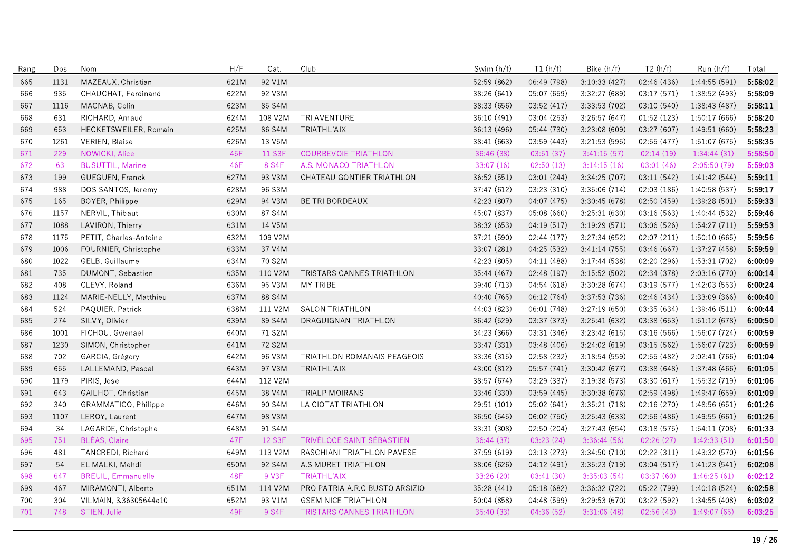| Rang | Dos  | Nom                       | H/F  | Cat.          | Club                             | Swim (h/f)  | T1(h/f)     | Bike (h/f)    | T2(h/f)     | Run (h/f)     | Total   |
|------|------|---------------------------|------|---------------|----------------------------------|-------------|-------------|---------------|-------------|---------------|---------|
| 665  | 1131 | MAZEAUX, Christian        | 621M | 92 V1M        |                                  | 52:59 (862) | 06:49 (798) | 3:10:33 (427) | 02:46 (436) | 1:44:55 (591) | 5:58:02 |
| 666  | 935  | CHAUCHAT, Ferdinand       | 622M | 92 V3M        |                                  | 38:26 (641) | 05:07 (659) | 3:32:27 (689) | 03:17 (571) | 1:38:52 (493) | 5:58:09 |
| 667  | 1116 | MACNAB, Colin             | 623M | 85 S4M        |                                  | 38:33 (656) | 03:52 (417) | 3:33:53 (702) | 03:10 (540) | 1:38:43 (487) | 5:58:11 |
| 668  | 631  | RICHARD, Arnaud           | 624M | 108 V2M       | TRI AVENTURE                     | 36:10 (491) | 03:04 (253) | 3:26:57 (647) | 01:52 (123) | 1:50:17 (666) | 5:58:20 |
| 669  | 653  | HECKETSWEILER, Romain     | 625M | 86 S4M        | TRIATHL'AIX                      | 36.13 (496) | 05:44 (730) | 3:23:08 (609) | 03:27 (607) | 1:49:51(660)  | 5:58:23 |
| 670  | 1261 | <b>VERIEN, Blaise</b>     | 626M | 13 V5M        |                                  | 38:41 (663) | 03:59 (443) | 3:21:53(595)  | 02:55(477)  | 1:51:07 (675) | 5:58:35 |
| 671  | 229  | NOWICKI, Alice            | 45F  | 11 S3F        | <b>COURBEVOIE TRIATHLON</b>      | 36:46 (38)  | 03:51(37)   | 3:41:15(57)   | 02:14(19)   | 1:34:44(31)   | 5:58:50 |
| 672  | 63   | <b>BUSUTTIL, Marine</b>   | 46F  | 8 S4F         | A.S. MONACO TRIATHLON            | 33:07(16)   | 02:50(13)   | 3:14:15(16)   | 03:01(46)   | 2:05:50(79)   | 5:59:03 |
| 673  | 199  | GUEGUEN, Franck           | 627M | 93 V3M        | CHATEAU GONTIER TRIATHLON        | 36:52 (551) | 03:01 (244) | 3:34:25 (707) | 03:11 (542) | 1:41:42 (544) | 5:59:11 |
| 674  | 988  | DOS SANTOS, Jeremy        | 628M | 96 S3M        |                                  | 37:47 (612) | 03:23 (310) | 3:35:06 (714) | 02:03(186)  | 1:40:58(537)  | 5:59:17 |
| 675  | 165  | BOYER, Philippe           | 629M | 94 V3M        | BE TRI BORDEAUX                  | 42:23 (807) | 04:07 (475) | 3:30:45(678)  | 02:50(459)  | 1:39:28 (501) | 5:59:33 |
| 676  | 1157 | NERVIL, Thibaut           | 630M | 87 S4M        |                                  | 45:07 (837) | 05:08 (660) | 3:25:31 (630) | 03:16 (563) | 1:40:44 (532) | 5:59:46 |
| 677  | 1088 | LAVIRON, Thierry          | 631M | 14 V5M        |                                  | 38:32 (653) | 04:19 (517) | 3:19:29(571)  | 03:06 (526) | 1:54:27(711)  | 5:59:53 |
| 678  | 1175 | PETIT, Charles-Antoine    | 632M | 109 V2M       |                                  | 37:21 (590) | 02:44 (177) | 3:27:34(652)  | 02:07 (211) | 1:50:10(665)  | 5:59:56 |
| 679  | 1006 | FOURNIER, Christophe      | 633M | 37 V4M        |                                  | 33:07 (281) | 04:25 (532) | 3:41:14(755)  | 03:46 (667) | 1:37:27 (458) | 5:59:59 |
| 680  | 1022 | GELB, Guillaume           | 634M | 70 S2M        |                                  | 42:23 (805) | 04:11 (488) | 3:17:44(538)  | 02:20 (296) | 1:53:31 (702) | 6:00:09 |
| 681  | 735  | DUMONT, Sebastien         | 635M | 110 V2M       | TRISTARS CANNES TRIATHLON        | 35:44 (467) | 02:48 (197) | 3:15:52(502)  | 02:34 (378) | 2:03:16 (770) | 6:00:14 |
| 682  | 408  | CLEVY, Roland             | 636M | 95 V3M        | <b>MY TRIBE</b>                  | 39:40 (713) | 04:54(618)  | 3:30:28 (674) | 03:19 (577) | 1:42:03(553)  | 6:00:24 |
| 683  | 1124 | MARIE-NELLY, Matthieu     | 637M | 88 S4M        |                                  | 40:40 (765) | 06:12 (764) | 3:37:53(736)  | 02:46 (434) | 1:33:09(366)  | 6:00:40 |
| 684  | 524  | PAQUIER, Patrick          | 638M | 111 V2M       | <b>SALON TRIATHLON</b>           | 44:03 (823) | 06:01 (748) | 3:27:19(650)  | 03:35 (634) | 1:39:46(511)  | 6:00:44 |
| 685  | 274  | SILVY, Olivier            | 639M | 89 S4M        | DRAGUIGNAN TRIATHLON             | 36:42 (529) | 03:37 (373) | 3:25:41(632)  | 03:38 (653) | 1:51:12(678)  | 6:00:50 |
| 686  | 1001 | FICHOU, Gwenael           | 640M | 71 S2M        |                                  | 34:23 (366) | 03:31 (346) | 3:23:42 (615) | 03:16 (566) | 1:56:07 (724) | 6:00:59 |
| 687  | 1230 | SIMON, Christopher        | 641M | 72 S2M        |                                  | 33:47 (331) | 03:48 (406) | 3:24:02(619)  | 03:15 (562) | 1:56:07(723)  | 6:00:59 |
| 688  | 702  | GARCIA, Grégory           | 642M | 96 V3M        | TRIATHLON ROMANAIS PEAGEOIS      | 33:36 (315) | 02:58 (232) | 3:18:54(559)  | 02:55 (482) | 2:02:41 (766) | 6:01:04 |
| 689  | 655  | LALLEMAND, Pascal         | 643M | 97 V3M        | TRIATHL'AIX                      | 43:00 (812) | 05:57 (741) | 3:30:42(677)  | 03:38 (648) | 1:37:48(466)  | 6:01:05 |
| 690  | 1179 | PIRIS, Jose               | 644M | 112 V2M       |                                  | 38:57 (674) | 03:29 (337) | 3:19:38 (573) | 03:30 (617) | 1:55:32 (719) | 6:01:06 |
| 691  | 643  | GAILHOT, Christian        | 645M | 38 V4M        | TRIALP MOIRANS                   | 33:46 (330) | 03:59 (445) | 3:30:38(676)  | 02:59 (498) | 1:49:47 (659) | 6:01:09 |
| 692  | 340  | GRAMMATICO, Philippe      | 646M | 90 S4M        | LA CIOTAT TRIATHLON              | 29:51 (101) | 05:02 (641) | 3:35:21 (718) | 02:16(270)  | 1:48:56(651)  | 6:01:26 |
| 693  | 1107 | LEROY, Laurent            | 647M | 98 V3M        |                                  | 36:50 (545) | 06:02 (750) | 3:25:43 (633) | 02:56 (486) | 1:49:55(661)  | 6:01:26 |
| 694  | 34   | LAGARDE, Christophe       | 648M | 91 S4M        |                                  | 33:31 (308) | 02:50 (204) | 3:27:43(654)  | 03:18 (575) | 1:54:11 (708) | 6:01:33 |
| 695  | 751  | <b>BLEAS, Claire</b>      | 47F  | <b>12 S3F</b> | TRIVÉLOCE SAINT SÉBASTIEN        | 36:44 (37)  | 03:23(24)   | 3:36:44(56)   | 02:26(27)   | 1:42:33(51)   | 6:01:50 |
| 696  | 481  | TANCREDI, Richard         | 649M | 113 V2M       | RASCHIANI TRIATHLON PAVESE       | 37:59 (619) | 03:13 (273) | 3:34:50(710)  | 02:22 (311) | 1:43:32 (570) | 6:01:56 |
| 697  | 54   | EL MALKI, Mehdi           | 650M | 92 S4M        | A.S MURET TRIATHLON              | 38:06 (626) | 04:12 (491) | 3:35:23(719)  | 03:04 (517) | 1:41:23(541)  | 6:02:08 |
| 698  | 647  | <b>BREUIL, Emmanuelle</b> | 48F  | 9 V3F         | <b>TRIATHL'AIX</b>               | 33:26 (20)  | 03:41(30)   | 3:35:03(54)   | 03:37(60)   | 1:46:25(61)   | 6:02:12 |
| 699  | 467  | MIRAMONTI, Alberto        | 651M | 114 V2M       | PRO PATRIA A.R.C BUSTO ARSIZIO   | 35:28 (441) | 05:18 (682) | 3:36:32(722)  | 05:22 (799) | 1:40:18 (524) | 6:02:58 |
| 700  | 304  | VILMAIN, 3.36305644e10    | 652M | 93 V1M        | <b>GSEM NICE TRIATHLON</b>       | 50:04 (858) | 04:48 (599) | 3:29:53 (670) | 03:22 (592) | 1:34:55 (408) | 6:03:02 |
| 701  | 748  | STIEN, Julie              | 49F  | 9 S4F         | <b>TRISTARS CANNES TRIATHLON</b> | 35:40(33)   | 04:36(52)   | 3:31:06(48)   | 02:56(43)   | 1:49:07(65)   | 6:03:25 |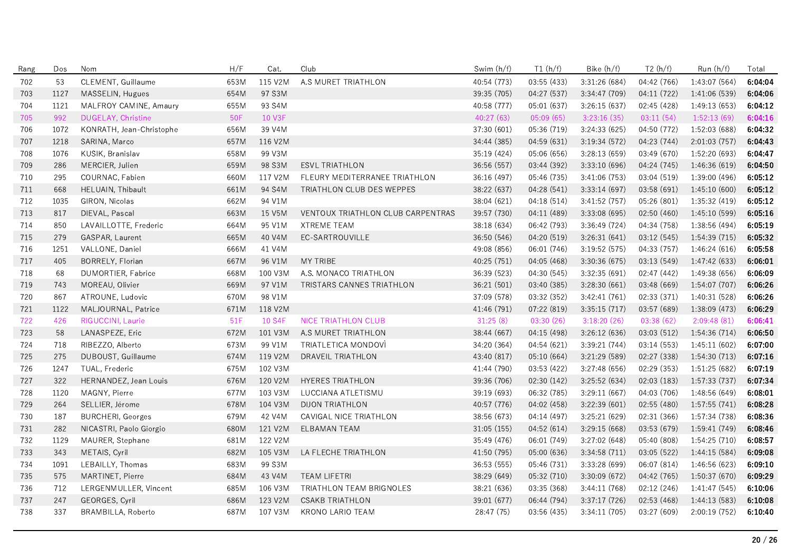| Rang | Dos  | Nom                       | H/F  | Cat.    | Club                                     | Swim (h/f)  | T1(h/f)     | Bike (h/f)    | T2(h/f)     | Run (h/f)     | Total   |
|------|------|---------------------------|------|---------|------------------------------------------|-------------|-------------|---------------|-------------|---------------|---------|
| 702  | 53   | CLEMENT, Guillaume        | 653M | 115 V2M | A.S MURET TRIATHLON                      | 40:54 (773) | 03:55 (433) | 3:31:26(684)  | 04:42 (766) | 1:43:07 (564) | 6:04:04 |
| 703  | 1127 | MASSELIN, Hugues          | 654M | 97 S3M  |                                          | 39.35 (705) | 04:27 (537) | 3:34:47(709)  | 04:11 (722) | 1:41:06 (539) | 6:04:06 |
| 704  | 1121 | MALFROY CAMINE, Amaury    | 655M | 93 S4M  |                                          | 40:58 (777) | 05:01 (637) | 3:26:15(637)  | 02:45 (428) | 1:49:13 (653) | 6:04:12 |
| 705  | 992  | DUGELAY, Christine        | 50F  | 10 V3F  |                                          | 40:27 (63)  | 05:09(65)   | 3:23:16(35)   | 03:11(54)   | 1:52:13(69)   | 6:04:16 |
| 706  | 1072 | KONRATH, Jean-Christophe  | 656M | 39 V4M  |                                          | 37:30 (601) | 05:36 (719) | 3:24:33 (625) | 04:50 (772) | 1:52:03 (688) | 6:04:32 |
| 707  | 1218 | SARINA, Marco             | 657M | 116 V2M |                                          | 34:44 (385) | 04:59 (631) | 3:19:34(572)  | 04:23 (744) | 2:01:03(757)  | 6:04:43 |
| 708  | 1076 | KUSIK, Branislav          | 658M | 99 V3M  |                                          | 35:19 (424) | 05:06 (656) | 3:28:13(659)  | 03:49 (670) | 1:52:20 (693) | 6:04:47 |
| 709  | 286  | MERCIER, Julien           | 659M | 98 S3M  | <b>ESVL TRIATHLON</b>                    | 36:56 (557) | 03:44 (392) | 3:33:10 (696) | 04:24 (745) | 1:46:36 (619) | 6:04:50 |
| 710  | 295  | COURNAC, Fabien           | 660M | 117 V2M | FLEURY MEDITERRANEE TRIATHLON            | 36:16 (497) | 05:46 (735) | 3:41:06(753)  | 03:04(519)  | 1:39:00 (496) | 6:05:12 |
| 711  | 668  | HELUAIN, Thibault         | 661M | 94 S4M  | TRIATHLON CLUB DES WEPPES                | 38:22 (637) | 04:28 (541) | 3:33:14(697)  | 03:58(691)  | 1:45:10(600)  | 6:05:12 |
| 712  | 1035 | GIRON, Nicolas            | 662M | 94 V1M  |                                          | 38:04 (621) | 04:18 (514) | 3:41:52 (757) | 05:26 (801) | 1:35:32 (419) | 6:05:12 |
| 713  | 817  | DIEVAL, Pascal            | 663M | 15 V5M  | <b>VENTOUX TRIATHLON CLUB CARPENTRAS</b> | 39:57 (730) | 04:11 (489) | 3:33:08 (695) | 02:50(460)  | 1:45:10(599)  | 6:05:16 |
| 714  | 850  | LAVAILLOTTE, Frederic     | 664M | 95 V1M  | <b>XTREME TEAM</b>                       | 38:18 (634) | 06:42 (793) | 3:36:49(724)  | 04:34 (758) | 1:38:56 (494) | 6:05:19 |
| 715  | 279  | GASPAR, Laurent           | 665M | 40 V4M  | EC-SARTROUVILLE                          | 36:50 (546) | 04:20 (519) | 3:26:31(641)  | 03:12 (545) | 1:54:39 (715) | 6:05:32 |
| 716  | 1251 | VALLONE, Daniel           | 666M | 41 V4M  |                                          | 49:08 (856) | 06:01 (746) | 3:19:52(575)  | 04:33 (757) | 1:46:24(616)  | 6:05:58 |
| 717  | 405  | BORRELY, Florian          | 667M | 96 V1M  | MY TRIBE                                 | 40:25 (751) | 04:05 (468) | 3:30:36(675)  | 03:13(549)  | 1:47:42 (633) | 6:06:01 |
| 718  | 68   | <b>DUMORTIER, Fabrice</b> | 668M | 100 V3M | A.S. MONACO TRIATHLON                    | 36:39 (523) | 04:30 (545) | 3:32:35 (691) | 02:47(442)  | 1:49:38 (656) | 6:06:09 |
| 719  | 743  | MOREAU, Olivier           | 669M | 97 V1M  | TRISTARS CANNES TRIATHLON                | 36:21 (501) | 03:40 (385) | 3:28:30(661)  | 03:48 (669) | 1:54:07 (707) | 6:06:26 |
| 720  | 867  | ATROUNE, Ludovic          | 670M | 98 V1M  |                                          | 37:09 (578) | 03:32 (352) | 3:42:41(761)  | 02:33 (371) | 1:40:31 (528) | 6:06:26 |
| 721  | 1122 | MALJOURNAL, Patrice       | 671M | 118 V2M |                                          | 41:46 (791) | 07:22 (819) | 3:35:15(717)  | 03:57 (689) | 1:38:09 (473) | 6:06:29 |
| 722  | 426  | RIGUCCINI, Laurie         | 51F  | 10 S4F  | <b>NICE TRIATHLON CLUB</b>               | 31:25(8)    | 03:30(26)   | 3:18:20(26)   | 03:38(62)   | 2:09:48(81)   | 6:06:41 |
| 723  | 58   | LANASPEZE, Eric           | 672M | 101 V3M | A.S MURET TRIATHLON                      | 38:44 (667) | 04:15 (498) | 3:26:12(636)  | 03:03 (512) | 1:54:36 (714) | 6:06:50 |
| 724  | 718  | RIBEZZO, Alberto          | 673M | 99 V1M  | TRIATLETICA MONDOVI                      | 34:20 (364) | 04:54 (621) | 3:39:21(744)  | 03:14(553)  | 1:45:11(602)  | 6:07:00 |
| 725  | 275  | DUBOUST, Guillaume        | 674M | 119 V2M | <b>DRAVEIL TRIATHLON</b>                 | 43:40 (817) | 05:10 (664) | 3:21:29(589)  | 02:27 (338) | 1:54:30(713)  | 6:07:16 |
| 726  | 1247 | TUAL, Frederic            | 675M | 102 V3M |                                          | 41:44 (790) | 03:53 (422) | 3:27:48(656)  | 02:29(353)  | 1:51:25(682)  | 6:07:19 |
| 727  | 322  | HERNANDEZ, Jean Louis     | 676M | 120 V2M | <b>HYERES TRIATHLON</b>                  | 39:36 (706) | 02:30 (142) | 3:25:52(634)  | 02:03(183)  | 1:57:33 (737) | 6:07:34 |
| 728  | 1120 | MAGNY Pierre              | 677M | 103 V3M | LUCCIANA ATLETISMU                       | 39:19 (693) | 06:32 (785) | 3:29:11(667)  | 04:03 (706) | 1:48:56 (649) | 6:08:01 |
| 729  | 264  | SELLIER, Jérome           | 678M | 104 V3M | <b>DIJON TRIATHLON</b>                   | 40:57 (776) | 04:02 (458) | 3:22:39 (601) | 02:55 (480) | 1:57:55(741)  | 6:08:28 |
| 730  | 187  | <b>BURCHERI, Georges</b>  | 679M | 42 V4M  | CAVIGAL NICE TRIATHLON                   | 38:56 (673) | 04:14 (497) | 3:25:21(629)  | 02:31 (366) | 1:57:34 (738) | 6:08:36 |
| 731  | 282  | NICASTRI, Paolo Giorgio   | 680M | 121 V2M | <b>ELBAMAN TEAM</b>                      | 31:05(155)  | 04:52 (614) | 3:29:15(668)  | 03:53 (679) | 1:59:41 (749) | 6:08:46 |
| 732  | 1129 | MAURER, Stephane          | 681M | 122 V2M |                                          | 35:49 (476) | 06:01 (749) | 3:27:02(648)  | 05:40 (808) | 1:54:25 (710) | 6:08:57 |
| 733  | 343  | METAIS, Cyril             | 682M | 105 V3M | LA FLECHE TRIATHLON                      | 41:50 (795) | 05:00 (636) | 3:34:58(711)  | 03:05 (522) | 1:44:15 (584) | 6:09:08 |
| 734  | 1091 | LEBAILLY, Thomas          | 683M | 99 S3M  |                                          | 36:53 (555) | 05:46 (731) | 3:33:28 (699) | 06:07 (814) | 1:46:56 (623) | 6:09:10 |
| 735  | 575  | MARTINET, Pierre          | 684M | 43 V4M  | <b>TEAM LIFETRI</b>                      | 38:29 (649) | 05:32 (710) | 3:30:09 (672) | 04:42 (765) | 1:50:37 (670) | 6:09:29 |
| 736  | 712  | LERGENMULLER, Vincent     | 685M | 106 V3M | TRIATHLON TEAM BRIGNOLES                 | 38:21 (636) | 03:35 (368) | 3:44:11(768)  | 02:12(246)  | 1:41:47 (545) | 6:10:06 |
| 737  | 247  | GEORGES, Cyril            | 686M | 123 V2M | <b>CSAKB TRIATHLON</b>                   | 39:01 (677) | 06:44 (794) | 3:37:17(726)  | 02:53(468)  | 1:44:13 (583) | 6:10:08 |
| 738  | 337  | BRAMBILLA, Roberto        | 687M | 107 V3M | KRONO LARIO TEAM                         | 28:47 (75)  | 03:56 (435) | 3:34:11(705)  | 03:27 (609) | 2:00:19(752)  | 6:10:40 |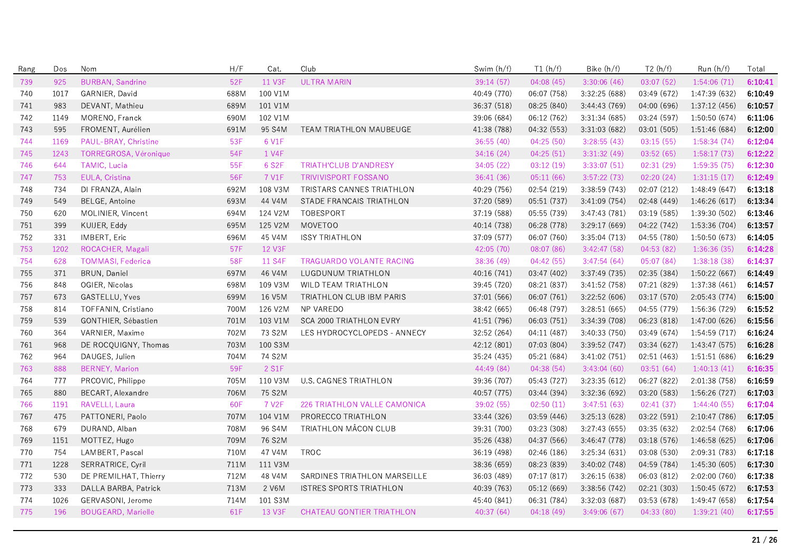| Rang | Dos  | Nom                       | H/F  | Cat.               | Club                                | Swim (h/f)  | T1(h/f)     | Bike (h/f)    | T2(h/f)     | Run (h/f)     | Total   |
|------|------|---------------------------|------|--------------------|-------------------------------------|-------------|-------------|---------------|-------------|---------------|---------|
| 739  | 925  | <b>BURBAN, Sandrine</b>   | 52F  | 11 V3F             | <b>ULTRA MARIN</b>                  | 39:14 (57)  | 04:08(45)   | 3:30:06(46)   | 03:07(52)   | 1:54:06(71)   | 6:10:41 |
| 740  | 1017 | GARNIER, David            | 688M | 100 V1M            |                                     | 40:49 (770) | 06:07 (758) | 3.32:25(688)  | 03:49 (672) | 1:47:39 (632) | 6:10:49 |
| 741  | 983  | DEVANT, Mathieu           | 689M | 101 V1M            |                                     | 36:37 (518) | 08:25 (840) | 3:44:43(769)  | 04:00(696)  | 1:37:12(456)  | 6:10:57 |
| 742  | 1149 | MORENO, Franck            | 690M | 102 V1M            |                                     | 39:06 (684) | 06:12 (762) | 3:31:34 (685) | 03:24 (597) | 1:50:50 (674) | 6:11:06 |
| 743  | 595  | FROMENT, Aurélien         | 691M | 95 S4M             | TEAM TRIATHLON MAUBEUGE             | 41:38 (788) | 04:32 (553) | 3:31:03 (682) | 03:01 (505) | 1:51:46 (684) | 6:12:00 |
| 744  | 1169 | PAUL-BRAY, Christine      | 53F  | 6 V1F              |                                     | 36:55(40)   | 04:25(50)   | 3:28:55(43)   | 03:15(55)   | 1:58:34(74)   | 6:12:04 |
| 745  | 1243 | TORREGROSA, Véronique     | 54F  | 1 V4F              |                                     | 34:16(24)   | 04:25(51)   | 3:31:32(49)   | 03:52(65)   | 1:58:17(73)   | 6:12:22 |
| 746  | 644  | <b>TAMIC, Lucia</b>       | 55F  | 6 S2F              | <b>TRIATH'CLUB D'ANDRESY</b>        | 34:05 (22)  | 03:12(19)   | 3:33:07(51)   | 02:31(29)   | 1:59:35(75)   | 6:12:30 |
| 747  | 753  | EULA, Cristina            | 56F  | 7 V1F              | <b>TRIVIVISPORT FOSSANO</b>         | 36:41(36)   | 05:11(66)   | 3:57:22(73)   | 02:20(24)   | 1:31:15(17)   | 6:12:49 |
| 748  | 734  | DI FRANZA, Alain          | 692M | 108 V3M            | TRISTARS CANNES TRIATHLON           | 40:29 (756) | 02:54 (219) | 3:38:59 (743) | 02:07 (212) | 1:48:49(647)  | 6:13:18 |
| 749  | 549  | <b>BELGE, Antoine</b>     | 693M | 44 V4M             | STADE FRANCAIS TRIATHLON            | 37:20 (589) | 05:51 (737) | 3:41:09 (754) | 02:48 (449) | 1:46:26(617)  | 6:13:34 |
| 750  | 620  | MOLINIER, Vincent         | 694M | 124 V2M            | TOBESPORT                           | 37:19 (588) | 05:55 (739) | 3:47:43(781)  | 03:19(585)  | 1:39:30 (502) | 6:13:46 |
| 751  | 399  | KUIJER, Eddy              | 695M | 125 V2M            | <b>MOVETOO</b>                      | 40:14 (738) | 06:28 (778) | 3:29:17(669)  | 04:22 (742) | 1:53:36(704)  | 6:13:57 |
| 752  | 331  | IMBERT, Eric              | 696M | 45 V4M             | <b>ISSY TRIATHLON</b>               | 37:09 (577) | 06:07 (760) | 3:35:04(713)  | 04:55 (780) | 1:50:50 (673) | 6:14:05 |
| 753  | 1202 | ROCACHER, Magali          | 57F  | 12 V3F             |                                     | 42:05 (70)  | 08:07(86)   | 3:42:47(58)   | 04:53(82)   | 1:36:36(35)   | 6:14:28 |
| 754  | 628  | <b>TOMMASI, Federica</b>  | 58F  | 11 S4F             | <b>TRAGUARDO VOLANTE RACING</b>     | 38:36 (49)  | 04:42(55)   | 3:47:54(64)   | 05:07 (84)  | 1:38:18(38)   | 6:14:37 |
| 755  | 371  | BRUN, Daniel              | 697M | 46 V4M             | LUGDUNUM TRIATHLON                  | 40:16 (741) | 03:47 (402) | 3:37:49 (735) | 02:35 (384) | 1:50:22 (667) | 6:14:49 |
| 756  | 848  | OGIER, Nicolas            | 698M | 109 V3M            | WILD TEAM TRIATHLON                 | 39:45 (720) | 08:21 (837) | 3:41:52(758)  | 07:21 (829) | 1:37:38(461)  | 6:14:57 |
| 757  | 673  | GASTELLU, Yves            | 699M | 16 V5M             | TRIATHLON CLUB IBM PARIS            | 37:01 (566) | 06:07 (761) | 3:22:52(606)  | 03:17 (570) | 2:05:43 (774) | 6:15:00 |
| 758  | 814  | TOFFANIN, Cristiano       | 700M | 126 V2M            | <b>NP VAREDO</b>                    | 38:42 (665) | 06:48 (797) | 3:28:51 (665) | 04:55 (779) | 1:56:36 (729) | 6:15:52 |
| 759  | 539  | GONTHIER, Sébastien       | 701M | 103 V1M            | <b>SCA 2000 TRIATHLON EVRY</b>      | 41:51 (796) | 06:03 (751) | 3:34:39 (708) | 06:23 (818) | 1:47:00 (626) | 6:15:56 |
| 760  | 364  | VARNIER, Maxime           | 702M | 73 S2M             | LES HYDROCYCLOPEDS - ANNECY         | 32:52 (264) | 04:11 (487) | 3:40:33 (750) | 03:49 (674) | 1:54:59(717)  | 6:16:24 |
| 761  | 968  | DE ROCQUIGNY, Thomas      | 703M | 100 S3M            |                                     | 42:12 (801) | 07:03 (804) | 3:39:52 (747) | 03:34 (627) | 1:43:47 (575) | 6:16:28 |
| 762  | 964  | DAUGES, Julien            | 704M | 74 S2M             |                                     | 35:24 (435) | 05:21 (684) | 3:41:02(751)  | 02:51(463)  | 1:51:51(686)  | 6:16:29 |
| 763  | 888  | <b>BERNEY, Marion</b>     | 59F  | 2 S1F              |                                     | 44:49 (84)  | 04:38(54)   | 3:43:04(60)   | 03:51(64)   | 1:40:13(41)   | 6:16:35 |
| 764  | 777  | PRCOVIC, Philippe         | 705M | 110 V3M            | U.S. CAGNES TRIATHLON               | 39:36 (707) | 05:43 (727) | 3:23:35(612)  | 06:27 (822) | 2:01:38(758)  | 6:16:59 |
| 765  | 880  | BECART, Alexandre         | 706M | 75 S2M             |                                     | 40:57 (775) | 03:44 (394) | 3:32:36 (692) | 03:20 (583) | 1:56:26 (727) | 6:17:03 |
| 766  | 1191 | RAVELLI, Laura            | 60F  | 7 V <sub>2</sub> F | <b>226 TRIATHLON VALLE CAMONICA</b> | 39:02 (55)  | 02:50(11)   | 3:47:51(63)   | 02:41(37)   | 1:44:40(55)   | 6:17:04 |
| 767  | 475  | PATTONERI, Paolo          | 707M | 104 V1M            | PRORECCO TRIATHLON                  | 33:44 (326) | 03:59 (446) | 3:25:13(628)  | 03:22 (591) | 2:10:47 (786) | 6:17:05 |
| 768  | 679  | DURAND, Alban             | 708M | 96 S4M             | TRIATHLON MÂCON CLUB                | 39:31 (700) | 03:23 (308) | 3:27:43(655)  | 03:35 (632) | 2:02:54 (768) | 6:17:06 |
| 769  | 1151 | MOTTEZ, Hugo              | 709M | 76 S2M             |                                     | 35:26 (438) | 04:37 (566) | 3:46:47(778)  | 03:18 (576) | 1:46:58 (625) | 6:17:06 |
| 770  | 754  | LAMBERT, Pascal           | 710M | 47 V4M             | <b>TROC</b>                         | 36:19 (498) | 02:46 (186) | 3:25:34(631)  | 03:08 (530) | 2:09:31 (783) | 6:17:18 |
| 771  | 1228 | SERRATRICE, Cyril         | 711M | 111 V3M            |                                     | 38:36 (659) | 08:23 (839) | 3:40:02 (748) | 04:59 (784) | 1:45:30 (605) | 6:17:30 |
| 772  | 530  | DE PREMILHAT, Thierry     | 712M | 48 V4M             | SARDINES TRIATHLON MARSEILLE        | 36:03 (489) | 07:17 (817) | 3:26:15(638)  | 06:03 (812) | 2:02:00 (760) | 6:17:38 |
| 773  | 333  | DALLA BARBA, Patrick      | 713M | 2 V6M              | <b>ISTRES SPORTS TRIATHLON</b>      | 40:39 (763) | 05:12 (669) | 3:38:56(742)  | 02:21 (303) | 1:50:45(672)  | 6:17:53 |
| 774  | 1026 | GERVASONI, Jerome         | 714M | 101 S3M            |                                     | 45:40 (841) | 06:31 (784) | 3:32:03 (687) | 03:53 (678) | 1:49:47 (658) | 6:17:54 |
| 775  | 196  | <b>BOUGEARD, Marielle</b> | 61F  | 13 V3F             | <b>CHATEAU GONTIER TRIATHLON</b>    | 40:37(64)   | 04:18(49)   | 3:49:06(67)   | 04:33 (80)  | 1:39:21(40)   | 6:17:55 |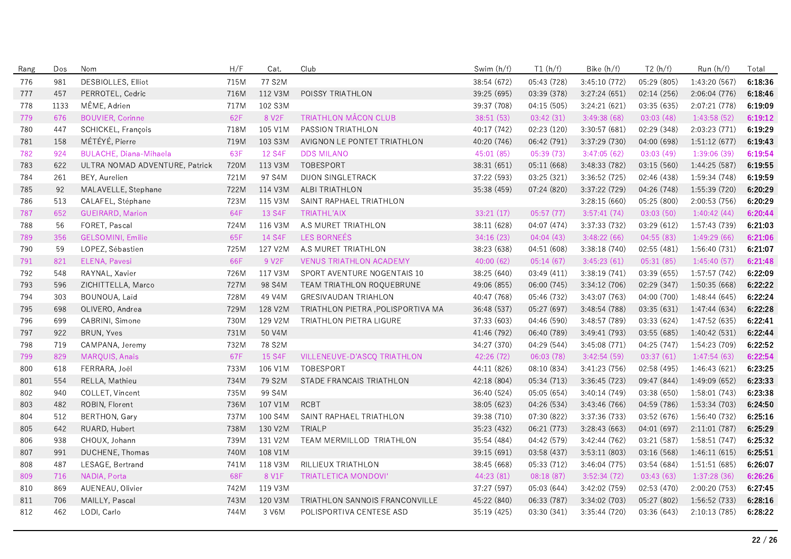| Rang | Dos  | Nom                            | H/F  | Cat.               | Club                              | Swim (h/f)  | T1(h/f)     | Bike (h/f)    | T2(h/f)     | Run(h/f)      | Total   |
|------|------|--------------------------------|------|--------------------|-----------------------------------|-------------|-------------|---------------|-------------|---------------|---------|
| 776  | 981  | <b>DESBIOLLES, Elliot</b>      | 715M | 77 S2M             |                                   | 38:54 (672) | 05:43 (728) | 3:45:10 (772) | 05:29 (805) | 1:43:20 (567) | 6:18:36 |
| 777  | 457  | PERROTEL, Cedric               | 716M | 112 V3M            | POISSY TRIATHLON                  | 39:25 (695) | 03:39 (378) | 3:27:24(651)  | 02:14(256)  | 2:06:04 (776) | 6:18:46 |
| 778  | 1133 | MÊME, Adrien                   | 717M | 102 S3M            |                                   | 39:37 (708) | 04:15 (505) | 3:24:21 (621) | 03:35 (635) | 2:07:21 (778) | 6:19:09 |
| 779  | 676  | <b>BOUVIER, Corinne</b>        | 62F  | 8 V <sub>2</sub> F | <b>TRIATHLON MACON CLUB</b>       | 38:51(53)   | 03:42(31)   | 3:49:38(68)   | 03:03(48)   | 1:43:58(52)   | 6:19:12 |
| 780  | 447  | SCHICKEL, François             | 718M | 105 V1M            | PASSION TRIATHLON                 | 40:17 (742) | 02:23 (120) | 3:30:57(681)  | 02:29 (348) | 2:03:23 (771) | 6:19:29 |
| 781  | 158  | MÉTÉYÉ, Pierre                 | 719M | 103 S3M            | AVIGNON LE PONTET TRIATHLON       | 40:20 (746) | 06:42 (791) | 3:37:29 (730) | 04:00 (698) | 1:51:12(677)  | 6:19:43 |
| 782  | 924  | <b>BULACHE, Diana-Mihaela</b>  | 63F  | 12 S4F             | <b>DDS MILANO</b>                 | 45:01 (85)  | 05:39(73)   | 3:47:05(62)   | 03:03(49)   | 1:39:06(39)   | 6:19:54 |
| 783  | 622  | ULTRA NOMAD ADVENTURE, Patrick | 720M | 113 V3M            | TOBESPORT                         | 38:31 (651) | 05:11 (668) | 3:48:33 (782) | 03:15(560)  | 1:44:25 (587) | 6:19:55 |
| 784  | 261  | BEY, Aurelien                  | 721M | 97 S4M             | <b>DIJON SINGLETRACK</b>          | 37:22 (593) | 03:25 (321) | 3:36:52 (725) | 02:46 (438) | 1:59:34 (748) | 6:19:59 |
| 785  | 92   | MALAVELLE, Stephane            | 722M | 114 V3M            | ALBI TRIATHLON                    | 35:38 (459) | 07:24 (820) | 3:37:22 (729) | 04:26 (748) | 1:55:39 (720) | 6:20:29 |
| 786  | 513  | CALAFEL, Stéphane              | 723M | 115 V3M            | SAINT RAPHAEL TRIATHLON           |             |             | 3:28:15(660)  | 05:25 (800) | 2:00:53 (756) | 6:20:29 |
| 787  | 652  | <b>GUEIRARD, Marion</b>        | 64F  | 13 S4F             | TRIATHL'AIX                       | 33:21(17)   | 05:57(77)   | 3:57:41(74)   | 03:03(50)   | 1:40:42(44)   | 6:20:44 |
| 788  | 56   | FORET, Pascal                  | 724M | 116 V3M            | A.S MURET TRIATHLON               | 38:11 (628) | 04:07 (474) | 3:37:33 (732) | 03:29 (612) | 1:57:43 (739) | 6:21:03 |
| 789  | 356  | <b>GELSOMINI</b> , Emilie      | 65F  | 14 S4F             | LES BORNEES                       | 34:16(23)   | 04:04(43)   | 3:48:22(66)   | 04:55(83)   | 1:49:29(66)   | 6:21:06 |
| 790  | 59   | LOPEZ, Sébastien               | 725M | 127 V2M            | A.S MURET TRIATHLON               | 38:23 (638) | 04:51 (608) | 3:38:18(740)  | 02:55(481)  | 1:56:40 (731) | 6:21:07 |
| 791  | 821  | ELENA, Pavesi                  | 66F  | 9 V <sub>2</sub> F | <b>VENUS TRIATHLON ACADEMY</b>    | 40:00(62)   | 05:14(67)   | 3:45:23(61)   | 05:31 (85)  | 1:45:40(57)   | 6:21:48 |
| 792  | 548  | RAYNAL, Xavier                 | 726M | 117 V3M            | SPORT AVENTURE NOGENTAIS 10       | 38:25 (640) | 03:49 (411) | 3:38:19(741)  | 03:39 (655) | 1:57:57 (742) | 6:22:09 |
| 793  | 596  | ZICHITTELLA, Marco             | 727M | 98 S4M             | TEAM TRIATHLON ROQUEBRUNE         | 49:06 (855) | 06:00 (745) | 3:34:12(706)  | 02:29(347)  | 1:50:35(668)  | 6:22:22 |
| 794  | 303  | BOUNOUA, Laïd                  | 728M | 49 V4M             | <b>GRESIVAUDAN TRIAHLON</b>       | 40:47 (768) | 05:46 (732) | 3:43:07 (763) | 04:00 (700) | 1:48:44(645)  | 6:22:24 |
| 795  | 698  | OLIVERO, Andrea                | 729M | 128 V2M            | TRIATHLON PIETRA, POLISPORTIVA MA | 36:48 (537) | 05:27 (697) | 3:48:54(788)  | 03:35(631)  | 1:47:44(634)  | 6:22:28 |
| 796  | 699  | CABRINI, Simone                | 730M | 129 V2M            | TRIATHLON PIETRA LIGURE           | 37:33 (603) | 04:46 (590) | 3:48:57 (789) | 03:33 (624) | 1:47:52 (635) | 6:22:41 |
| 797  | 922  | <b>BRUN, Yves</b>              | 731M | 50 V4M             |                                   | 41:46 (792) | 06:40 (789) | 3:49:41 (793) | 03:55 (685) | 1:40:42 (531) | 6:22:44 |
| 798  | 719  | CAMPANA, Jeremy                | 732M | 78 S2M             |                                   | 34:27 (370) | 04:29 (544) | 3:45:08 (771) | 04:25 (747) | 1:54:23 (709) | 6:22:52 |
| 799  | 829  | MARQUIS, Anais                 | 67F  | 15 S4F             | VILLENEUVE-D'ASCO TRIATHLON       | 42:26 (72)  | 06:03(78)   | 3:42:54(59)   | 03:37(61)   | 1:47:54(63)   | 6:22:54 |
| 800  | 618  | FERRARA, Joël                  | 733M | 106 V1M            | TOBESPORT                         | 44:11 (826) | 08:10 (834) | 3:41:23(756)  | 02:58 (495) | 1:46:43 (621) | 6:23:25 |
| 801  | 554  | RELLA, Mathieu                 | 734M | 79 S2M             | STADE FRANCAIS TRIATHLON          | 42:18 (804) | 05:34 (713) | 3:36:45 (723) | 09:47 (844) | 1:49:09 (652) | 6:23:33 |
| 802  | 940  | COLLET, Vincent                | 735M | 99 S4M             |                                   | 36:40 (524) | 05:05 (654) | 3:40:14(749)  | 03:38 (650) | 1:58:01(743)  | 6:23:38 |
| 803  | 482  | ROBIN, Florent                 | 736M | 107 V1M            | <b>RCBT</b>                       | 38:05 (623) | 04:26 (534) | 3:43:46 (766) | 04:59 (786) | 1:53:34 (703) | 6:24:50 |
| 804  | 512  | <b>BERTHON, Gary</b>           | 737M | 100 S4M            | SAINT RAPHAEL TRIATHLON           | 39:38 (710) | 07:30 (822) | 3:37:36 (733) | 03:52 (676) | 1:56:40 (732) | 6:25:16 |
| 805  | 642  | RUARD, Hubert                  | 738M | 130 V2M            | TRIALP                            | 35:23 (432) | 06:21 (773) | 3:28:43(663)  | 04:01 (697) | 2:11:01(787)  | 6:25:29 |
| 806  | 938  | CHOUX, Johann                  | 739M | 131 V2M            | TEAM MERMILLOD TRIATHLON          | 35:54 (484) | 04:42 (579) | 3:42:44 (762) | 03:21 (587) | 1:58:51(747)  | 6:25:32 |
| 807  | 991  | DUCHENE, Thomas                | 740M | 108 V1M            |                                   | 39:15 (691) | 03:58 (437) | 3:53:11(803)  | 03:16 (568) | 1:46:11(615)  | 6:25:51 |
| 808  | 487  | LESAGE, Bertrand               | 741M | 118 V3M            | RILLIEUX TRIATHLON                | 38:45 (668) | 05:33 (712) | 3:46:04(775)  | 03:54 (684) | 1:51:51(685)  | 6:26:07 |
| 809  | 716  | NADIA, Porta                   | 68F  | 8 V1F              | <b>TRIATLETICA MONDOVI'</b>       | 44:23 (81)  | 08:18(87)   | 3:52:34(72)   | 03:43(63)   | 1:37:28(36)   | 6:26:26 |
| 810  | 869  | AUENEAU, Olivier               | 742M | 119 V3M            |                                   | 37:27 (597) | 05:03(644)  | 3:42:02(759)  | 02:53 (470) | 2:00:20 (753) | 6:27:45 |
| 811  | 706  | MAILLY, Pascal                 | 743M | 120 V3M            | TRIATHLON SANNOIS FRANCONVILLE    | 45:22 (840) | 06:33 (787) | 3:34:02 (703) | 05:27 (802) | 1:56:52(733)  | 6:28:16 |
| 812  | 462  | LODI, Carlo                    | 744M | 3 V6M              | POLISPORTIVA CENTESE ASD          | 35:19 (425) | 03:30 (341) | 3:35:44(720)  | 03:36(643)  | 2:10:13(785)  | 6:28:22 |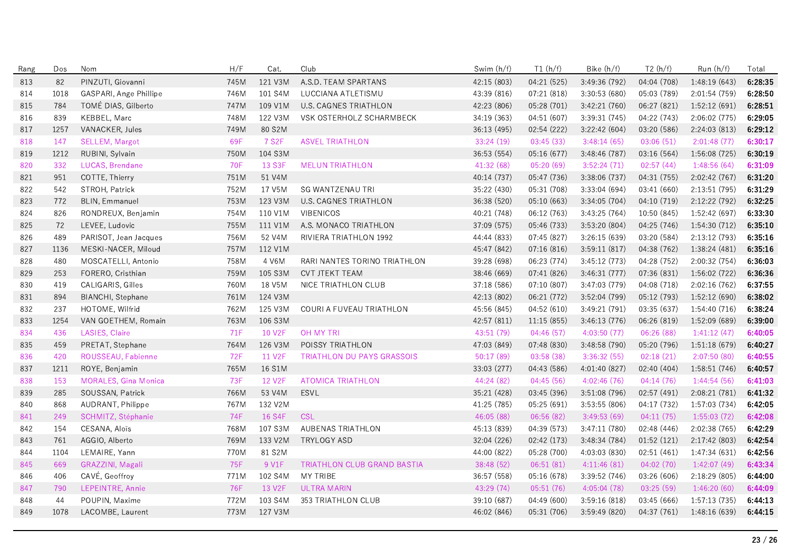| Rang | Dos  | Nom                         | H/F        | Cat.               | Club                               | Swim (h/f)  | T1(h/f)     | Bike (h/f)    | T2(h/f)     | Run (h/f)     | Total   |
|------|------|-----------------------------|------------|--------------------|------------------------------------|-------------|-------------|---------------|-------------|---------------|---------|
| 813  | 82   | PINZUTI, Giovanni           | 745M       | 121 V3M            | A.S.D. TEAM SPARTANS               | 42:15 (803) | 04:21 (525) | 3:49:36 (792) | 04:04 (708) | 1:48:19(643)  | 6:28:35 |
| 814  | 1018 | GASPARI, Ange Phillipe      | 746M       | 101 S4M            | LUCCIANA ATLETISMU                 | 43.39 (816) | 07:21 (818) | 3:30:53 (680) | 05:03 (789) | 2:01:54 (759) | 6:28:50 |
| 815  | 784  | TOMÉ DIAS, Gilberto         | 747M       | 109 V1M            | U.S. CAGNES TRIATHLON              | 42:23 (806) | 05:28 (701) | 3:42:21(760)  | 06:27 (821) | 1:52:12(691)  | 6:28:51 |
| 816  | 839  | KEBBEL, Marc                | 748M       | 122 V3M            | VSK OSTERHOLZ SCHARMBECK           | 34:19 (363) | 04:51 (607) | 3:39:31 (745) | 04:22 (743) | 2:06:02 (775) | 6:29:05 |
| 817  | 1257 | VANACKER, Jules             | 749M       | 80 S2M             |                                    | 36:13 (495) | 02:54 (222) | 3:22:42 (604) | 03:20 (586) | 2:24:03 (813) | 6:29:12 |
| 818  | 147  | SELLEM, Margot              | 69F        | 7 S <sub>2</sub> F | <b>ASVEL TRIATHLON</b>             | 33:24(19)   | 03:45(33)   | 3:48:14(65)   | 03:06(51)   | 2:01:48(77)   | 6:30:17 |
| 819  | 1212 | RUBINI, Sylvain             | 750M       | 104 S3M            |                                    | 36:53 (554) | 05:16 (677) | 3:48:46 (787) | 03:16 (564) | 1:56:08 (725) | 6:30:19 |
| 820  | 332  | LUCAS, Brendane             | <b>70F</b> | 13 S3F             | <b>MELUN TRIATHLON</b>             | 41:32 (68)  | 05:20 (69)  | 3:52:24(71)   | 02:57(44)   | 1:48:56(64)   | 6:31:09 |
| 821  | 951  | COTTE, Thierry              | 751M       | 51 V4M             |                                    | 40:14 (737) | 05:47 (736) | 3:38:06 (737) | 04:31 (755) | 2:02:42 (767) | 6:31:20 |
| 822  | 542  | STROH, Patrick              | 752M       | 17 V5M             | <b>SG WANTZENAU TRI</b>            | 35:22 (430) | 05:31 (708) | 3:33:04 (694) | 03:41 (660) | 2:13:51(795)  | 6:31:29 |
| 823  | 772  | <b>BLIN, Emmanuel</b>       | 753M       | 123 V3M            | U.S. CAGNES TRIATHLON              | 36:38 (520) | 05:10 (663) | 3:34:05 (704) | 04:10 (719) | 2:12:22 (792) | 6:32:25 |
| 824  | 826  | RONDREUX, Benjamin          | 754M       | 110 V1M            | <b>VIBENICOS</b>                   | 40:21 (748) | 06:12 (763) | 3:43:25(764)  | 10:50 (845) | 1:52:42(697)  | 6:33:30 |
| 825  | 72   | LEVEE, Ludovic              | 755M       | 111 V1M            | A.S. MONACO TRIATHLON              | 37:09 (575) | 05:46 (733) | 3:53:20(804)  | 04:25 (746) | 1:54:30 (712) | 6:35:10 |
| 826  | 489  | PARISOT, Jean Jacques       | 756M       | 52 V4M             | RIVIERA TRIATHLON 1992             | 44:44 (833) | 07:45 (827) | 3:26:15 (639) | 03:20 (584) | 2:13:12 (793) | 6:35:16 |
| 827  | 1136 | MESKI-NACER, Miloud         | 757M       | 112 V1M            |                                    | 45:47 (842) | 07:16(816)  | 3:59:11(817)  | 04:38 (762) | 1:38:24(481)  | 6:35:16 |
| 828  | 480  | MOSCATELLI, Antonio         | 758M       | 4 V6M              | RARI NANTES TORINO TRIATHLON       | 39:28 (698) | 06:23 (774) | 3:45:12(773)  | 04:28 (752) | 2:00:32 (754) | 6:36:03 |
| 829  | 253  | FORERO, Cristhian           | 759M       | 105 S3M            | <b>CVT JTEKT TEAM</b>              | 38:46 (669) | 07:41 (826) | 3:46:31 (777) | 07:36 (831) | 1:56:02 (722) | 6:36:36 |
| 830  | 419  | CALIGARIS, Gilles           | 760M       | 18 V5M             | NICE TRIATHLON CLUB                | 37:18 (586) | 07:10 (807) | 3:47:03(779)  | 04:08 (718) | 2:02:16 (762) | 6:37:55 |
| 831  | 894  | BIANCHI, Stephane           | 761M       | 124 V3M            |                                    | 42:13 (802) | 06:21 (772) | 3:52:04(799)  | 05:12 (793) | 1:52:12 (690) | 6:38:02 |
| 832  | 237  | HOTOME, Wilfrid             | 762M       | 125 V3M            | COURI A FUVEAU TRIATHLON           | 45:56 (845) | 04:52 (610) | 3:49:21 (791) | 03:35 (637) | 1:54:40 (716) | 6:38:24 |
| 833  | 1254 | VAN GOETHEM, Romain         | 763M       | 106 S3M            |                                    | 42:57 (811) | 11:15(855)  | 3:46:13(776)  | 06:26 (819) | 1:52:09 (689) | 6:39:00 |
| 834  | 436  | LASIES, Claire              | 71F        | 10 V2F             | OH MY TRI                          | 43:51 (79)  | 04:46(57)   | 4:03:50(77)   | 06:26 (88)  | 1:41:12(47)   | 6:40:05 |
| 835  | 459  | PRETAT, Stephane            | 764M       | 126 V3M            | POISSY TRIATHLON                   | 47:03 (849) | 07:48 (830) | 3:48:58 (790) | 05:20 (796) | 1:51:18(679)  | 6:40:27 |
| 836  | 420  | ROUSSEAU, Fabienne          | 72F        | 11 V2F             | <b>TRIATHLON DU PAYS GRASSOIS</b>  | 50:17(89)   | 03:58(38)   | 3:36:32(55)   | 02:18(21)   | 2:07:50(80)   | 6:40:55 |
| 837  | 1211 | ROYE, Benjamin              | 765M       | 16 S1M             |                                    | 33:03 (277) | 04:43 (586) | 4:01:40 (827) | 02:40(404)  | 1:58:51(746)  | 6:40:57 |
| 838  | 153  | <b>MORALES, Gina Monica</b> | 73F        | 12 V2F             | <b>ATOMICA TRIATHLON</b>           | 44:24 (82)  | 04:45(56)   | 4:02:46(76)   | 04:14(76)   | 1:44:54(56)   | 6:41:03 |
| 839  | 285  | SOUSSAN, Patrick            | 766M       | 53 V4M             | <b>ESVL</b>                        | 35:21 (428) | 03:45 (396) | 3:51:08 (796) | 02:57(491)  | 2:08:21 (781) | 6:41:32 |
| 840  | 868  | AUDRANT, Philippe           | 767M       | 132 V2M            |                                    | 41:25 (785) | 05:25 (691) | 3:53:55 (806) | 04:17 (732) | 1:57:03 (734) | 6:42:05 |
| 841  | 249  | SCHMITZ, Stéphanie          | <b>74F</b> | 16 S4F             | <b>CSL</b>                         | 46:05 (88)  | 06:56(82)   | 3:49:53(69)   | 04:11(75)   | 1:55:03(72)   | 6:42:08 |
| 842  | 154  | CESANA, Aloïs               | 768M       | 107 S3M            | AUBENAS TRIATHLON                  | 45:13 (839) | 04:39 (573) | 3:47:11(780)  | 02:48 (446) | 2:02:38 (765) | 6:42:29 |
| 843  | 761  | AGGIO, Alberto              | 769M       | 133 V2M            | TRYLOGY ASD                        | 32:04 (226) | 02:42 (173) | 3:48:34 (784) | 01:52(121)  | 2:17:42 (803) | 6:42:54 |
| 844  | 1104 | LEMAIRE, Yann               | 770M       | 81 S2M             |                                    | 44:00 (822) | 05:28 (700) | 4:03:03 (830) | 02:51(461)  | 1:47:34 (631) | 6:42:56 |
| 845  | 669  | GRAZZINI, Magali            | 75F        | 9 V1F              | <b>TRIATHLON CLUB GRAND BASTIA</b> | 38:48 (52)  | 06:51(81)   | 4:11:46(81)   | 04:02(70)   | 1:42:07(49)   | 6:43:34 |
| 846  | 406  | CAVÉ, Geoffroy              | 771M       | 102 S4M            | MY TRIBE                           | 36:57 (558) | 05:16 (678) | 3:39:52 (746) | 03:26 (606) | 2:18:29 (805) | 6:44:00 |
| 847  | 790  | LEPEINTRE, Annie            | 76F        | 13 V2F             | <b>ULTRA MARIN</b>                 | 43:29 (74)  | 05:51(76)   | 4:05:04(78)   | 03:25(59)   | 1:46:20(60)   | 6:44:09 |
| 848  | 44   | POUPIN, Maxime              | 772M       | 103 S4M            | 353 TRIATHLON CLUB                 | 39:10 (687) | 04:49(600)  | 3:59:16(818)  | 03:45 (666) | 1:57:13 (735) | 6:44:13 |
| 849  | 1078 | LACOMBE, Laurent            | 773M       | 127 V3M            |                                    | 46:02 (846) | 05:31 (706) | 3:59:49(820)  | 04:37 (761) | 1:48:16 (639) | 6:44:15 |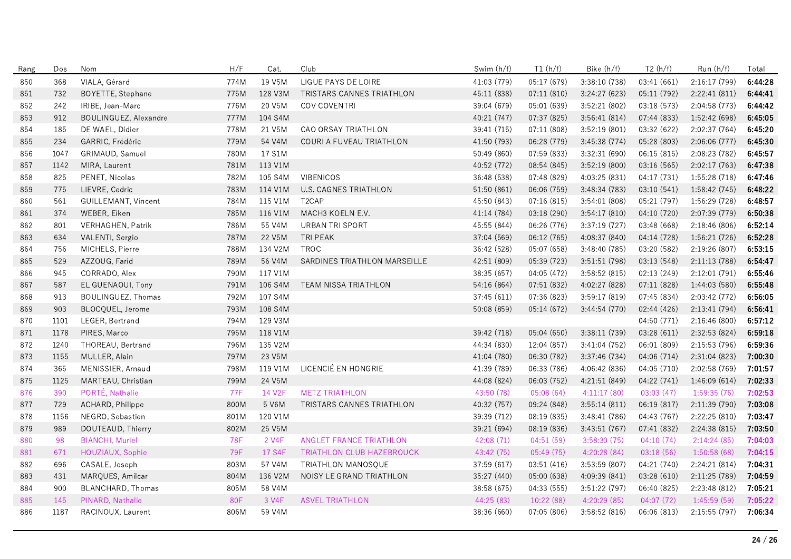| Rang | Dos  | Nom                     | H/F        | Cat.    | Club                             | Swim (h/f)  | T1(h/f)     | Bike (h/f)    | T2(h/f)     | Run (h/f)     | Total   |
|------|------|-------------------------|------------|---------|----------------------------------|-------------|-------------|---------------|-------------|---------------|---------|
| 850  | 368  | VIALA, Gérard           | 774M       | 19 V5M  | LIGUE PAYS DE LOIRE              | 41:03 (779) | 05:17 (679) | 3:38:10(738)  | 03:41(661)  | 2:16:17 (799) | 6:44:28 |
| 851  | 732  | BOYETTE, Stephane       | 775M       | 128 V3M | TRISTARS CANNES TRIATHLON        | 45:11 (838) | 07:11 (810) | 3:24:27 (623) | 05:11 (792) | 2:22:41 (811) | 6:44:41 |
| 852  | 242  | IRIBE, Jean-Marc        | 776M       | 20 V5M  | COV COVENTRI                     | 39:04 (679) | 05:01 (639) | 3:52:21 (802) | 03:18 (573) | 2:04:58 (773) | 6:44:42 |
| 853  | 912  | BOULINGUEZ, Alexandre   | 777M       | 104 S4M |                                  | 40:21 (747) | 07:37 (825) | 3:56:41 (814) | 07:44 (833) | 1:52:42 (698) | 6:45:05 |
| 854  | 185  | DE WAEL, Didier         | 778M       | 21 V5M  | CAO ORSAY TRIATHLON              | 39:41 (715) | 07:11 (808) | 3:52:19(801)  | 03:32 (622) | 2:02:37 (764) | 6:45:20 |
| 855  | 234  | GARRIC, Frédéric        | 779M       | 54 V4M  | COURI A FUVEAU TRIATHLON         | 41.50 (793) | 06:28 (779) | 3:45:38(774)  | 05:28 (803) | 2:06:06(777)  | 6:45:30 |
| 856  | 1047 | GRIMAUD, Samuel         | 780M       | 17 S1M  |                                  | 50:49 (860) | 07:59 (833) | 3:32:31 (690) | 06:15(815)  | 2:08:23 (782) | 6:45:57 |
| 857  | 1142 | MIRA, Laurent           | 781M       | 113 V1M |                                  | 40:52 (772) | 08:54 (845) | 3:52:19 (800) | 03:16 (565) | 2:02:17(763)  | 6:47:38 |
| 858  | 825  | PENET, Nicolas          | 782M       | 105 S4M | <b>VIBENICOS</b>                 | 36:48 (538) | 07:48 (829) | 4:03:25 (831) | 04:17 (731) | 1:55:28 (718) | 6:47:46 |
| 859  | 775  | LIEVRE, Cedric          | 783M       | 114 V1M | U.S. CAGNES TRIATHLON            | 51:50 (861) | 06:06 (759) | 3:48:34(783)  | 03:10(541)  | 1:58:42 (745) | 6:48:22 |
| 860  | 561  | GUILLEMANT, Vincent     | 784M       | 115 V1M | T <sub>2</sub> CAP               | 45:50 (843) | 07:16 (815) | 3:54:01(808)  | 05:21 (797) | 1:56:29 (728) | 6:48:57 |
| 861  | 374  | WEBER, Eiken            | 785M       | 116 V1M | MACH3 KOELN E.V.                 | 41:14 (784) | 03:18 (290) | 3:54:17(810)  | 04:10 (720) | 2:07:39 (779) | 6:50:38 |
| 862  | 801  | VERHAGHEN, Patrik       | 786M       | 55 V4M  | <b>URBAN TRI SPORT</b>           | 45:55 (844) | 06:26 (776) | 3:37:19(727)  | 03:48 (668) | 2:18:46(806)  | 6:52:14 |
| 863  | 634  | VALENTI, Sergio         | 787M       | 22 V5M  | TRI PEAK                         | 37:04 (569) | 06:12 (765) | 4:08:37 (840) | 04:14 (728) | 1:56:21 (726) | 6:52:28 |
| 864  | 756  | MICHELS, Pierre         | 788M       | 134 V2M | <b>TROC</b>                      | 36:42 (528) | 05:07 (658) | 3:48:40 (785) | 03:20 (582) | 2:19:26 (807) | 6:53:15 |
| 865  | 529  | AZZOUG, Farid           | 789M       | 56 V4M  | SARDINES TRIATHLON MARSEILLE     | 42:51 (809) | 05:39 (723) | 3:51:51 (798) | 03:13 (548) | 2:11:13(788)  | 6:54:47 |
| 866  | 945  | CORRADO, Alex           | 790M       | 117 V1M |                                  | 38:35 (657) | 04:05 (472) | 3:58:52(815)  | 02:13 (249) | 2:12:01(791)  | 6:55:46 |
| 867  | 587  | EL GUENAOUI, Tony       | 791M       | 106 S4M | <b>TEAM NISSA TRIATHLON</b>      | 54:16 (864) | 07:51 (832) | 4:02:27 (828) | 07:11 (828) | 1:44:03 (580) | 6:55:48 |
| 868  | 913  | BOULINGUEZ, Thomas      | 792M       | 107 S4M |                                  | 37:45 (611) | 07:36 (823) | 3:59:17(819)  | 07:45 (834) | 2:03:42 (772) | 6:56:05 |
| 869  | 903  | BLOCQUEL, Jerome        | 793M       | 108 S4M |                                  | 50:08 (859) | 05:14 (672) | 3:44:54 (770) | 02:44 (426) | 2:13:41 (794) | 6:56:41 |
| 870  | 1101 | LEGER, Bertrand         | 794M       | 129 V3M |                                  |             |             |               | 04:50 (771) | 2:16:46 (800) | 6:57:12 |
| 871  | 1178 | PIRES, Marco            | 795M       | 118 V1M |                                  | 39:42 (718) | 05:04 (650) | 3:38:11(739)  | 03:28(611)  | 2:32:53 (824) | 6:59:18 |
| 872  | 1240 | THOREAU, Bertrand       | 796M       | 135 V2M |                                  | 44:34 (830) | 12:04 (857) | 3:41:04(752)  | 06:01 (809) | 2:15:53 (796) | 6:59:36 |
| 873  | 1155 | MULLER, Alain           | 797M       | 23 V5M  |                                  | 41:04 (780) | 06:30 (782) | 3:37:46 (734) | 04:06 (714) | 2:31:04 (823) | 7:00:30 |
| 874  | 365  | MENISSIER, Arnaud       | 798M       | 119 V1M | LICENCIÉ EN HONGRIE              | 41:39 (789) | 06:33 (786) | 4:06:42 (836) | 04:05 (710) | 2:02:58 (769) | 7:01:57 |
| 875  | 1125 | MARTEAU, Christian      | 799M       | 24 V5M  |                                  | 44:08 (824) | 06:03 (752) | 4:21:51 (849) | 04:22 (741) | 1:46:09(614)  | 7:02:33 |
| 876  | 390  | PORTÉ, Nathalie         | <b>77F</b> | 14 V2F  | <b>METZ TRIATHLON</b>            | 43:50 (78)  | 05:08(64)   | 4:11:17(80)   | 03:03(47)   | 1:59:35(76)   | 7:02:53 |
| 877  | 729  | ACHARD, Philippe        | 800M       | 5 V6M   | TRISTARS CANNES TRIATHLON        | 40:32 (757) | 09:24 (848) | 3:55:14(811)  | 06:19 (817) | 2:11:39 (790) | 7:03:08 |
| 878  | 1156 | NEGRO, Sebastien        | 801M       | 120 V1M |                                  | 39:39 (712) | 08:19 (835) | 3:48:41 (786) | 04:43 (767) | 2:22:25 (810) | 7:03:47 |
| 879  | 989  | DOUTEAUD, Thierry       | 802M       | 25 V5M  |                                  | 39:21 (694) | 08:19 (836) | 3:43:51(767)  | 07:41 (832) | 2:24:38 (815) | 7:03:50 |
| 880  | 98   | <b>BIANCHI</b> , Muriel | 78F        | 2 V4F   | <b>ANGLET FRANCE TRIATHLON</b>   | 42:08 (71)  | 04:51(59)   | 3:58:30 (75)  | 04:10(74)   | 2:14:24(85)   | 7:04:03 |
| 881  | 671  | HOUZIAUX, Sophie        | 79F        | 17 S4F  | <b>TRIATHLON CLUB HAZEBROUCK</b> | 43:42 (75)  | 05:49(75)   | 4:20:28(84)   | 03:18(56)   | 1:50:58(68)   | 7:04:15 |
| 882  | 696  | CASALE, Joseph          | 803M       | 57 V4M  | TRIATHLON MANOSQUE               | 37:59 (617) | 03:51 (416) | 3:53:59 (807) | 04:21 (740) | 2:24:21 (814) | 7:04:31 |
| 883  | 431  | MARQUES, Amilcar        | 804M       | 136 V2M | NOISY LE GRAND TRIATHLON         | 35:27 (440) | 05:00 (638) | 4:09:39(841)  | 03:28(610)  | 2:11:25 (789) | 7:04:59 |
| 884  | 900  | BLANCHARD, Thomas       | 805M       | 58 V4M  |                                  | 38:58 (675) | 04:33 (555) | 3:51:22(797)  | 06:40 (825) | 2:23:48 (812) | 7:05:21 |
| 885  | 145  | PINARD, Nathalie        | 80F        | 3 V4F   | <b>ASVEL TRIATHLON</b>           | 44:25 (83)  | 10:22 (88)  | 4:20:29 (85)  | 04:07(72)   | 1:45:59(59)   | 7:05:22 |
| 886  | 1187 | RACINOUX, Laurent       | 806M       | 59 V4M  |                                  | 38:36 (660) | 07:05 (806) | 3:58:52 (816) | 06:06 (813) | 2:15:55(797)  | 7:06:34 |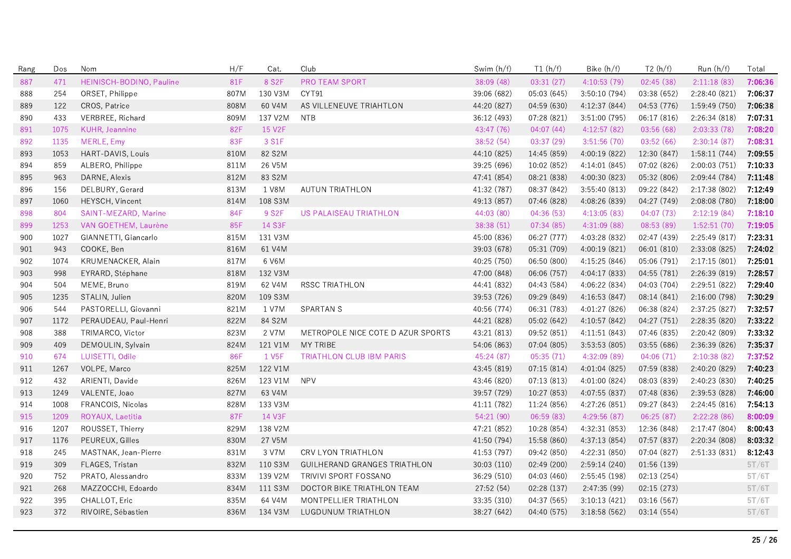| Rang | Dos  | Nom                      | H/F        | Cat.               | Club                              | Swim (h/f)  | T1(h/f)     | Bike $(h/f)$  | T2(h/f)     | Run(h/f)      | Total   |
|------|------|--------------------------|------------|--------------------|-----------------------------------|-------------|-------------|---------------|-------------|---------------|---------|
| 887  | 471  | HEINISCH-BODINO, Pauline | 81F        | 8 S <sub>2</sub> F | PRO TEAM SPORT                    | 38:09(48)   | 03:31(27)   | 4:10:53(79)   | 02:45(38)   | 2:11:18(83)   | 7:06:36 |
| 888  | 254  | ORSET, Philippe          | 807M       | 130 V3M            | CYT91                             | 39:06 (682) | 05:03(645)  | 3:50:10(794)  | 03:38 (652) | 2:28:40(821)  | 7:06:37 |
| 889  | 122  | CROS, Patrice            | 808M       | 60 V4M             | AS VILLENEUVE TRIAHTLON           | 44.20 (827) | 04:59 (630) | 4:12:37 (844) | 04:53 (776) | 1:59:49 (750) | 7:06:38 |
| 890  | 433  | VERBREE, Richard         | 809M       | 137 V2M            | NTB                               | 36:12 (493) | 07:28 (821) | 3:51:00 (795) | 06:17 (816) | 2:26:34 (818) | 7:07:31 |
| 891  | 1075 | KUHR, Jeannine           | 82F        | 15 V2F             |                                   | 43:47 (76)  | 04:07(44)   | 4:12:57(82)   | 03:56(68)   | 2:03:33(78)   | 7:08:20 |
| 892  | 1135 | MERLE, Emy               | 83F        | 3 S1F              |                                   | 38:52 (54)  | 03:37(29)   | 3:51:56(70)   | 03:52(66)   | 2:30:14(87)   | 7:08:31 |
| 893  | 1053 | HART-DAVIS, Louis        | 810M       | 82 S2M             |                                   | 44:10 (825) | 14:45 (859) | 4:00:19 (822) | 12:30 (847) | 1:58:11(744)  | 7:09:55 |
| 894  | 859  | ALBERO, Philippe         | 811M       | 26 V5M             |                                   | 39:25 (696) | 10:02 (852) | 4:14:01 (845) | 07:02 (826) | 2:00:03 (751) | 7:10:33 |
| 895  | 963  | DARNE, Alexis            | 812M       | 83 S2M             |                                   | 47:41 (854) | 08:21 (838) | 4:00:30 (823) | 05:32 (806) | 2:09:44 (784) | 7:11:48 |
| 896  | 156  | DELBURY, Gerard          | 813M       | 1 V8M              | <b>AUTUN TRIATHLON</b>            | 41:32 (787) | 08:37 (842) | 3:55:40(813)  | 09:22 (842) | 2:17:38 (802) | 7:12:49 |
| 897  | 1060 | HEYSCH, Vincent          | 814M       | 108 S3M            |                                   | 49:13 (857) | 07:46 (828) | 4:08:26 (839) | 04:27 (749) | 2:08:08 (780) | 7:18:00 |
| 898  | 804  | SAINT-MEZARD, Marine     | <b>84F</b> | 9 S <sub>2</sub> F | US PALAISEAU TRIATHLON            | 44:03 (80)  | 04:36(53)   | 4:13:05(83)   | 04:07(73)   | 2:12:19(84)   | 7:18:10 |
| 899  | 1253 | VAN GOETHEM, Laurène     | 85F        | 14 S3F             |                                   | 38:38 (51)  | 07:34(85)   | 4:31:09(88)   | 08:53(89)   | 1:52:51(70)   | 7:19:05 |
| 900  | 1027 | GIANNETTI, Giancarlo     | 815M       | 131 V3M            |                                   | 45:00 (836) | 06:27 (777) | 4:03:28 (832) | 02:47 (439) | 2:25:49 (817) | 7:23:31 |
| 901  | 943  | COOKE, Ben               | 816M       | 61 V4M             |                                   | 39:03 (678) | 05:31 (709) | 4:00:19(821)  | 06:01 (810) | 2:33:08 (825) | 7:24:02 |
| 902  | 1074 | KRUMENACKER, Alain       | 817M       | 6 V6M              |                                   | 40:25 (750) | 06:50 (800) | 4:15:25 (846) | 05:06 (791) | 2:17:15(801)  | 7:25:01 |
| 903  | 998  | EYRARD, Stéphane         | 818M       | 132 V3M            |                                   | 47:00 (848) | 06:06 (757) | 4:04:17(833)  | 04:55 (781) | 2:26:39 (819) | 7:28:57 |
| 904  | 504  | MEME, Bruno              | 819M       | 62 V4M             | RSSC TRIATHLON                    | 44:41 (832) | 04:43 (584) | 4:06:22(834)  | 04:03 (704) | 2:29:51 (822) | 7:29:40 |
| 905  | 1235 | STALIN, Julien           | 820M       | 109 S3M            |                                   | 39:53 (726) | 09:29 (849) | 4:16:53(847)  | 08:14 (841) | 2:16:00 (798) | 7:30:29 |
| 906  | 544  | PASTORELLI, Giovanni     | 821M       | 1 V7M              | <b>SPARTAN S</b>                  | 40:56 (774) | 06:31 (783) | 4:01:27 (826) | 06:38 (824) | 2:37:25 (827) | 7:32:57 |
| 907  | 1172 | PERAUDEAU, Paul-Henri    | 822M       | 84 S2M             |                                   | 44:21 (828) | 05:02 (642) | 4:10:57 (842) | 04:27 (751) | 2:28:35 (820) | 7:33:22 |
| 908  | 388  | TRIMARCO, Victor         | 823M       | 2 V7M              | METROPOLE NICE COTE D AZUR SPORTS | 43:21 (813) | 09:52 (851) | 4:11:51(843)  | 07:46 (835) | 2:20:42 (809) | 7:33:32 |
| 909  | 409  | DEMOULIN, Sylvain        | 824M       | 121 V1M            | MY TRIBE                          | 54:06 (863) | 07:04 (805) | 3:53:53 (805) | 03:55 (686) | 2:36:39 (826) | 7:35:37 |
| 910  | 674  | LUISETTI, Odile          | 86F        | 1 V <sub>5F</sub>  | <b>TRIATHLON CLUB IBM PARIS</b>   | 45:24 (87)  | 05:35(71)   | 4:32:09 (89)  | 04:06(71)   | 2:10:38(82)   | 7:37:52 |
| 911  | 1267 | VOLPE, Marco             | 825M       | 122 V1M            |                                   | 43:45 (819) | 07:15(814)  | 4:01:04 (825) | 07:59 (838) | 2:40:20 (829) | 7:40:23 |
| 912  | 432  | ARIENTI, Davide          | 826M       | 123 V1M            | <b>NPV</b>                        | 43:46 (820) | 07:13(813)  | 4:01:00(824)  | 08:03 (839) | 2:40:23 (830) | 7:40:25 |
| 913  | 1249 | VALENTE, Joao            | 827M       | 63 V4M             |                                   | 39:57 (729) | 10:27 (853) | 4:07:55(837)  | 07:48 (836) | 2:39:53 (828) | 7:46:00 |
| 914  | 1008 | FRANCOIS, Nicolas        | 828M       | 133 V3M            |                                   | 41:11 (782) | 11:24 (856) | 4:27:26 (851) | 09:27 (843) | 2:24:45(816)  | 7:54:13 |
| 915  | 1209 | ROYAUX, Laetitia         | 87F        | 14 V3F             |                                   | 54:21 (90)  | 06:59(83)   | 4:29:56 (87)  | 06:25(87)   | 2:22:28 (86)  | 8:00:09 |
| 916  | 1207 | ROUSSET, Thierry         | 829M       | 138 V2M            |                                   | 47:21 (852) | 10:28 (854) | 4:32:31 (853) | 12:36 (848) | 2:17:47 (804) | 8:00:43 |
| 917  | 1176 | PEUREUX, Gilles          | 830M       | 27 V5M             |                                   | 41:50 (794) | 15:58 (860) | 4:37:13 (854) | 07:57 (837) | 2:20:34 (808) | 8:03:32 |
| 918  | 245  | MASTNAK, Jean-Pierre     | 831M       | 3 V7M              | <b>CRV LYON TRIATHLON</b>         | 41:53 (797) | 09:42 (850) | 4:22:31 (850) | 07:04 (827) | 2:51:33(831)  | 8:12:43 |
| 919  | 309  | FLAGES, Tristan          | 832M       | 110 S3M            | GUILHERAND GRANGES TRIATHLON      | 30:03 (110) | 02:49(200)  | 2:59:14(240)  | 01:56(139)  |               | 5T/6T   |
| 920  | 752  | PRATO, Alessandro        | 833M       | 139 V2M            | TRIVIVI SPORT FOSSANO             | 36:29 (510) | 04:03 (460) | 2:55:45(198)  | 02:13(254)  |               | 5T/6T   |
| 921  | 268  | MAZZOCCHI, Edoardo       | 834M       | 111 S3M            | DOCTOR BIKE TRIATHLON TEAM        | 27:52 (54)  | 02:28 (137) | 2:47:35(99)   | 02:15(273)  |               | 5T/6T   |
| 922  | 395  | CHALLOT, Eric            | 835M       | 64 V4M             | MONTPELLIER TRIATHLON             | 33:35 (310) | 04:37 (565) | 3:10:13(421)  | 03:16 (567) |               | 5T/6T   |
| 923  | 372  | RIVOIRE, Sébastien       | 836M       | 134 V3M            | LUGDUNUM TRIATHLON                | 38:27 (642) | 04:40 (575) | 3:18:58(562)  | 03:14(554)  |               | 5T/6T   |